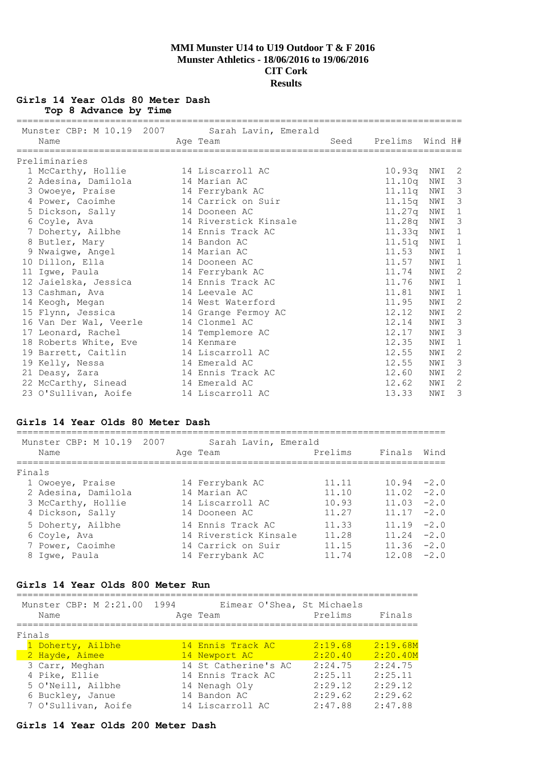# **Girls 14 Year Olds 80 Meter Dash**

**Top 8 Advance by Time**

| Name                   | Munster CBP: M 10.19 2007 Sarah Lavin, Emerald<br>Age Team | Seed | Prelims                | Wind H# |                            |
|------------------------|------------------------------------------------------------|------|------------------------|---------|----------------------------|
| Preliminaries          |                                                            |      |                        |         |                            |
|                        |                                                            |      |                        | NWI     | $\overline{\phantom{0}}^2$ |
| 1 McCarthy, Hollie     | 14 Liscarroll AC<br>14 Marian AC                           |      | 10.93q                 | NWI     | $\overline{\mathbf{3}}$    |
| 2 Adesina, Damilola    |                                                            |      | 11.10q<br>$11.11q$ NWI |         | $\mathcal{S}$              |
| 3 Owoeye, Praise       | 14 Ferrybank AC                                            |      |                        |         |                            |
| 4 Power, Caoimhe       | 14 Carrick on Suir                                         |      | 11 <b>.</b> 15a        | NWI     | $\mathcal{S}$              |
| 5 Dickson, Sally       | 14 Dooneen AC                                              |      | 11.27q                 | NWI     | 1<br>$\mathcal{S}$         |
| 6 Coyle, Ava           | 14 Riverstick Kinsale                                      |      | 11.28q                 | NWI     |                            |
| 7 Doherty, Ailbhe      | 14 Ennis Track AC                                          |      | 11.33q                 | NWI     | 1                          |
| 8 Butler, Mary         | 14 Bandon AC                                               |      | 11.51q                 | NWI     | 1                          |
| 9 Nwaiqwe, Angel       | 14 Marian AC                                               |      | 11.53                  | NWI     | $\mathbf{1}$               |
| 10 Dillon, Ella        | 14 Dooneen AC                                              |      | 11.57                  | NWI     | $\mathbf{1}$               |
| 11 Igwe, Paula         | 14 Ferrybank AC                                            |      | 11.74                  | NWI     | 2                          |
| 12 Jaielska, Jessica   | 14 Ennis Track AC                                          |      | 11.76                  | NWI     | $\mathbf{1}$               |
| 13 Cashman, Ava        | 14 Leevale AC                                              |      | 11.81                  | NWI     | 1                          |
| 14 Keogh, Megan        | 14 West Waterford                                          |      | 11.95                  | NWI     | 2                          |
| 15 Flynn, Jessica      | 14 Grange Fermoy AC                                        |      | 12.12                  | NWI     | $\overline{c}$             |
| 16 Van Der Wal, Veerle | 14 Clonmel AC                                              |      | 12.14                  | NWI     | $\mathcal{E}$              |
| 17 Leonard, Rachel     | 14 Templemore AC                                           |      | 12.17                  | NWI     | $\mathcal{E}$              |
| 18 Roberts White, Eve  | 14 Kenmare                                                 |      | 12.35                  | NWI     | $\mathbf{1}$               |
| 19 Barrett, Caitlin    | 14 Liscarroll AC                                           |      | 12.55                  | NWI     | $\overline{c}$             |
| 19 Kelly, Nessa        | 14 Emerald AC                                              |      | 12.55                  | NWI     | 3                          |
| 21 Deasy, Zara         | 14 Ennis Track AC                                          |      | 12.60                  | NWI     | $\mathbf{2}$               |
| 22 McCarthy, Sinead    | 14 Emerald AC                                              |      | 12.62                  | NWI     | 2                          |
| 23 O'Sullivan, Aoife   | 14 Liscarroll AC                                           |      | 13.33                  | NWI     | 3                          |

## **Girls 14 Year Olds 80 Meter Dash**

| Munster CBP: M 10.19 2007<br>Name | Sarah Lavin, Emerald<br>Age Team | Prelims | Finals        | Wind   |
|-----------------------------------|----------------------------------|---------|---------------|--------|
| Finals                            |                                  |         |               |        |
| 1 Owoeye, Praise                  | 14 Ferrybank AC                  | 11.11   | $10.94 - 2.0$ |        |
| 2 Adesina, Damilola               | 14 Marian AC                     | 11.10   | $11.02 -2.0$  |        |
| 3 McCarthy, Hollie                | 14 Liscarroll AC                 | 10.93   | $11.03 -2.0$  |        |
| 4 Dickson, Sally                  | 14 Dooneen AC                    | 11.27   | $11.17 -2.0$  |        |
| 5 Doherty, Ailbhe                 | 14 Ennis Track AC                | 11.33   | 11.19         | $-2.0$ |
| 6 Coyle, Ava                      | 14 Riverstick Kinsale            | 11.28   | 11.24         | $-2.0$ |
| 7 Power, Caoimhe                  | 14 Carrick on Suir               | 11.15   | $11.36 - 2.0$ |        |
| 8 Iqwe, Paula                     | 14 Ferrybank AC                  | 11.74   | $12.08 - 2.0$ |        |
|                                   |                                  |         |               |        |

## **Girls 14 Year Olds 800 Meter Run**

| Munster CBP: M 2:21.00<br>Name | 1994 | Eimear O'Shea, St Michaels<br>Age Team | Prelims | Finals   |
|--------------------------------|------|----------------------------------------|---------|----------|
| Finals                         |      |                                        |         |          |
| 1 Doherty, Ailbhe              |      | 14 Ennis Track AC                      | 2:19.68 | 2:19.68M |
| 2 Hayde, Aimee                 |      | 14 Newport AC                          | 2:20.40 | 2:20.40M |
| 3 Carr, Meghan                 |      | 14 St Catherine's AC                   | 2:24.75 | 2:24.75  |
| 4 Pike, Ellie                  |      | 14 Ennis Track AC                      | 2:25.11 | 2:25.11  |
| 5 O'Neill, Ailbhe              |      | 14 Nenagh Oly                          | 2:29.12 | 2:29.12  |
| 6 Buckley, Janue               |      | 14 Bandon AC                           | 2:29.62 | 2:29.62  |
| 7 O'Sullivan, Aoife            |      | 14 Liscarroll AC                       | 2:47.88 | 2:47.88  |

## **Girls 14 Year Olds 200 Meter Dash**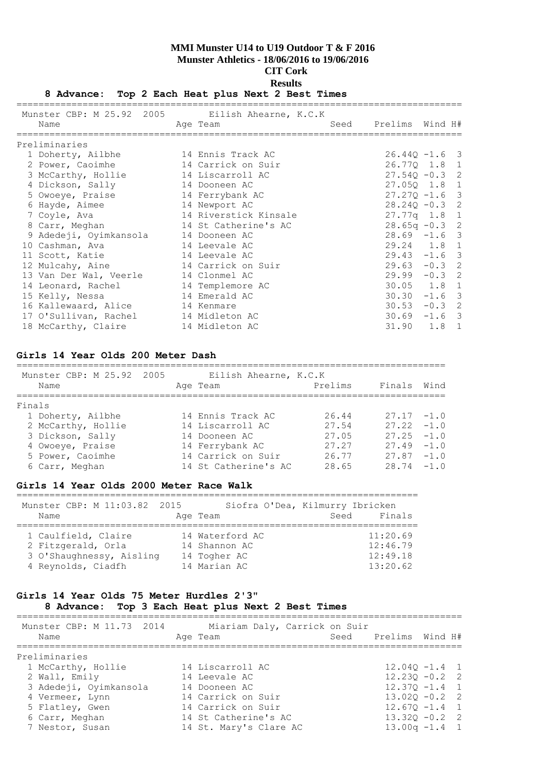## **8 Advance: Top 2 Each Heat plus Next 2 Best Times**

| Munster CBP: M 25.92 2005 Eilish Ahearne, K.C.K |                       |                  |         |  |
|-------------------------------------------------|-----------------------|------------------|---------|--|
| Name                                            | Age Team              | Seed Prelims     | Wind H# |  |
| Preliminaries                                   |                       |                  |         |  |
| 1 Doherty, Ailbhe                               | 14 Ennis Track AC     | $26.440 - 1.6$ 3 |         |  |
| 2 Power, Caoimhe                                | 14 Carrick on Suir    | 26.77Q 1.8 1     |         |  |
| 3 McCarthy, Hollie                              | 14 Liscarroll AC      | $27.54Q - 0.3$ 2 |         |  |
| 4 Dickson, Sally                                | 14 Dooneen AC         | 27.050 1.8 1     |         |  |
| 5 Owoeye, Praise                                | 14 Ferrybank AC       | $27.27Q - 1.6$ 3 |         |  |
| 6 Hayde, Aimee                                  | 14 Newport AC         | $28.240 - 0.3$ 2 |         |  |
| 7 Coyle, Ava                                    | 14 Riverstick Kinsale | $27.77q$ 1.8 1   |         |  |
| 8 Carr, Meghan                                  | 14 St Catherine's AC  | $28.65q - 0.3$ 2 |         |  |
| 9 Adedeji, Oyimkansola                          | 14 Dooneen AC         | $28.69 - 1.6$ 3  |         |  |
| 10 Cashman, Ava                                 | 14 Leevale AC         | 29.24 1.8 1      |         |  |
| 11 Scott, Katie                                 | 14 Leevale AC         | $29.43 - 1.6$ 3  |         |  |
| 12 Mulcahy, Aine                                | 14 Carrick on Suir    | $29.63 - 0.3$ 2  |         |  |
| 13 Van Der Wal, Veerle                          | 14 Clonmel AC         | $29.99 - 0.3$ 2  |         |  |
| 14 Leonard, Rachel                              | 14 Templemore AC      | 30.05 1.8 1      |         |  |
| 15 Kelly, Nessa                                 | 14 Emerald AC         | $30.30 - 1.6$ 3  |         |  |
| 16 Kallewaard, Alice                            | 14 Kenmare            | $30.53 - 0.3$ 2  |         |  |
| 17 O'Sullivan, Rachel                           | 14 Midleton AC        | $30.69 - 1.6$ 3  |         |  |
| 18 McCarthy, Claire                             | 14 Midleton AC        | 31.90            | 1.8 1   |  |

## **Girls 14 Year Olds 200 Meter Dash**

| Munster CBP: M 25.92 2005<br>Name | Eilish Ahearne, K.C.K<br>Age Team | Prelims | Finals Wind   |  |
|-----------------------------------|-----------------------------------|---------|---------------|--|
| Finals                            |                                   |         |               |  |
| 1 Doherty, Ailbhe                 | 14 Ennis Track AC                 | 26.44   | $27.17 - 1.0$ |  |
| 2 McCarthy, Hollie                | 14 Liscarroll AC                  | 27.54   | $27.22 - 1.0$ |  |
| 3 Dickson, Sally                  | 14 Dooneen AC                     | 27.05   | $27.25 - 1.0$ |  |
| 4 Owoeye, Praise                  | 14 Ferrybank AC                   | 27.27   | $27.49 - 1.0$ |  |
| 5 Power, Caoimhe                  | 14 Carrick on Suir                | 26.77   | $27.87 - 1.0$ |  |
| 6 Carr, Meghan                    | 14 St Catherine's AC              | 28.65   | $28.74 - 1.0$ |  |

==============================================================================

#### **Girls 14 Year Olds 2000 Meter Race Walk**

| Munster CBP: M 11:03.82 2015 |                 | Siofra O'Dea, Kilmurry Ibricken |
|------------------------------|-----------------|---------------------------------|
| Name                         | Age Team        | Finals<br>Seed                  |
|                              |                 |                                 |
| 1 Caulfield, Claire          | 14 Waterford AC | 11:20.69                        |
| 2 Fitzgerald, Orla           | 14 Shannon AC   | 12:46.79                        |
| 3 O'Shaughnessy, Aisling     | 14 Togher AC    | 12:49.18                        |
| 4 Reynolds, Ciadfh           | 14 Marian AC    | 13:20.62                        |

## **Girls 14 Year Olds 75 Meter Hurdles 2'3"**

## **8 Advance: Top 3 Each Heat plus Next 2 Best Times**

| Munster CBP: M 11.73 2014<br>Name | Miariam Daly, Carrick on Suir<br>Age Team | Seed Prelims Wind H# |
|-----------------------------------|-------------------------------------------|----------------------|
| Preliminaries                     |                                           |                      |
| 1 McCarthy, Hollie                | 14 Liscarroll AC                          | $12.040 - 1.4$ 1     |
| 2 Wall, Emily                     | 14 Leevale AC                             | $12.230 - 0.2$ 2     |
| 3 Adedeji, Oyimkansola            | 14 Dooneen AC                             | $12.370 - 1.4$ 1     |
| 4 Vermeer, Lynn                   | 14 Carrick on Suir                        | $13.020 - 0.2$ 2     |
| 5 Flatley, Gwen                   | 14 Carrick on Suir                        | $12.670 - 1.4$ 1     |
| 6 Carr, Meghan                    | 14 St Catherine's AC                      | $13.320 - 0.2$ 2     |
| 7 Nestor, Susan                   | 14 St. Mary's Clare AC                    | $13.00q - 1.4$ 1     |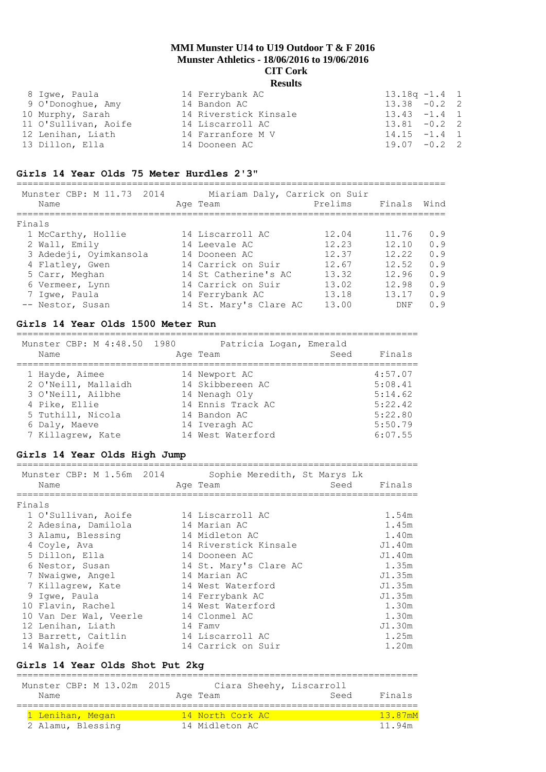| 8 Iqwe, Paula        | 14 Ferrybank AC       | $13.18q - 1.4$ 1 |
|----------------------|-----------------------|------------------|
| 9 O'Donoghue, Amy    | 14 Bandon AC          | $13.38 - 0.2$ 2  |
| 10 Murphy, Sarah     | 14 Riverstick Kinsale | $13.43 - 1.4$ 1  |
| 11 O'Sullivan, Aoife | 14 Liscarroll AC      | $13.81 - 0.2$ 2  |
| 12 Lenihan, Liath    | 14 Farranfore M V     | $14.15 - 1.4$ 1  |
| 13 Dillon, Ella      | 14 Dooneen AC         | $19.07 - 0.2$ 2  |
|                      |                       |                  |

## **Girls 14 Year Olds 75 Meter Hurdles 2'3"**

| Munster CBP: M 11.73 2014<br>Name | Miariam Daly, Carrick on Suir<br>Age Team | Prelims | Finals | Wind |
|-----------------------------------|-------------------------------------------|---------|--------|------|
| Finals                            |                                           |         |        |      |
| 1 McCarthy, Hollie                | 14 Liscarroll AC                          | 12.04   | 11.76  | 0.9  |
| 2 Wall, Emily                     | 14 Leevale AC                             | 12.23   | 12.10  | 0.9  |
| 3 Adedeji, Oyimkansola            | 14 Dooneen AC                             | 12.37   | 12.22  | 0.9  |
| 4 Flatley, Gwen                   | 14 Carrick on Suir                        | 12.67   | 12.52  | 0.9  |
| 5 Carr, Meghan                    | 14 St Catherine's AC                      | 13.32   | 12.96  | 0.9  |
| 6 Vermeer, Lynn                   | 14 Carrick on Suir                        | 13.02   | 12.98  | 0.9  |
| 7 Iqwe, Paula                     | 14 Ferrybank AC                           | 13.18   | 13.17  | 0.9  |
| -- Nestor, Susan                  | 14 St. Mary's Clare AC                    | 13.00   | DNF    | 0.9  |

#### **Girls 14 Year Olds 1500 Meter Run**

=========================================================================

| Munster CBP: M 4:48.50 1980 | Patricia Logan, Emerald |                |
|-----------------------------|-------------------------|----------------|
| Name                        | Age Team                | Finals<br>Seed |
| 1 Hayde, Aimee              | 14 Newport AC           | 4:57.07        |
| 2 O'Neill, Mallaidh         | 14 Skibbereen AC        | 5:08.41        |
| 3 O'Neill, Ailbhe           | 14 Nenagh Oly           | 5:14.62        |
| 4 Pike, Ellie               | 14 Ennis Track AC       | 5:22.42        |
| 5 Tuthill, Nicola           | 14 Bandon AC            | 5:22.80        |
| 6 Daly, Maeve               | 14 Iveragh AC           | 5:50.79        |
| 7 Killagrew, Kate           | 14 West Waterford       | 6:07.55        |

## **Girls 14 Year Olds High Jump**

|        | Munster CBP: M 1.56m 2014<br>Name | Sophie Meredith, St Marys Lk<br>Seed<br>Age Team | Finals |
|--------|-----------------------------------|--------------------------------------------------|--------|
| Finals |                                   |                                                  |        |
|        | 1 O'Sullivan, Aoife               | 14 Liscarroll AC                                 | 1.54m  |
|        | 2 Adesina, Damilola               | 14 Marian AC                                     | 1.45m  |
|        | 3 Alamu, Blessing                 | 14 Midleton AC                                   | 1.40m  |
|        | 4 Coyle, Ava                      | 14 Riverstick Kinsale                            | J1.40m |
|        | 5 Dillon, Ella                    | 14 Dooneen AC                                    | J1.40m |
|        | 6 Nestor, Susan                   | 14 St. Mary's Clare AC                           | 1.35m  |
|        | 7 Nwaiqwe, Angel                  | 14 Marian AC                                     | J1.35m |
|        | 7 Killagrew, Kate                 | 14 West Waterford                                | J1.35m |
|        | 9 Iqwe, Paula                     | 14 Ferrybank AC                                  | J1.35m |
|        | 10 Flavin, Rachel                 | 14 West Waterford                                | 1.30m  |
|        | 10 Van Der Wal, Veerle            | 14 Clonmel AC                                    | 1.30m  |
|        | 12 Lenihan, Liath                 | 14 Famv                                          | J1.30m |
|        | 13 Barrett, Caitlin               | 14 Liscarroll AC                                 | 1.25m  |
|        | 14 Walsh, Aoife                   | 14 Carrick on Suir                               | 1.20m  |

## **Girls 14 Year Olds Shot Put 2kg**

| Munster CBP: M 13.02m 2015<br>Name | Ciara Sheehy, Liscarroll<br>Age Team | Seed | Finals  |
|------------------------------------|--------------------------------------|------|---------|
| 1 Lenihan, Megan                   | 14 North Cork AC                     |      | 13.87mM |
| 2 Alamu, Blessing                  | 14 Midleton AC                       |      | 11.94m  |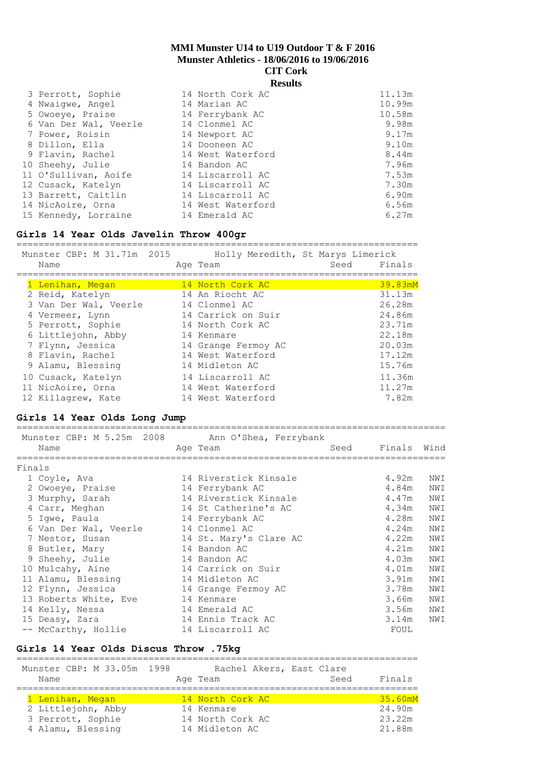## **Results**

| 3 Perrott, Sophie     | 14 North Cork AC  | 11.13m |
|-----------------------|-------------------|--------|
| 4 Nwaiqwe, Angel      | 14 Marian AC      | 10.99m |
| 5 Owoeye, Praise      | 14 Ferrybank AC   | 10.58m |
| 6 Van Der Wal, Veerle | 14 Clonmel AC     | 9.98m  |
| 7 Power, Roisin       | 14 Newport AC     | 9.17m  |
| 8 Dillon, Ella        | 14 Dooneen AC     | 9.10m  |
| 9 Flavin, Rachel      | 14 West Waterford | 8.44m  |
| 10 Sheehy, Julie      | 14 Bandon AC      | 7.96m  |
| 11 O'Sullivan, Aoife  | 14 Liscarroll AC  | 7.53m  |
| 12 Cusack, Katelyn    | 14 Liscarroll AC  | 7.30m  |
| 13 Barrett, Caitlin   | 14 Liscarroll AC  | 6.90m  |
| 14 NicAoire, Orna     | 14 West Waterford | 6.56m  |
| 15 Kennedy, Lorraine  | 14 Emerald AC     | 6.27m  |

#### **Girls 14 Year Olds Javelin Throw 400gr**

=========================================================================

| Munster CBP: M 31.71m 2015 | Holly Meredith, St Marys Limerick |      |         |
|----------------------------|-----------------------------------|------|---------|
| Name                       | Age Team                          | Seed | Finals  |
|                            |                                   |      |         |
| 1 Lenihan, Megan           | 14 North Cork AC                  |      | 39.83mM |
| 2 Reid, Katelyn            | 14 An Riocht AC                   |      | 31.13m  |
| 3 Van Der Wal, Veerle      | 14 Clonmel AC                     |      | 26.28m  |
| 4 Vermeer, Lynn            | 14 Carrick on Suir                |      | 24.86m  |
| 5 Perrott, Sophie          | 14 North Cork AC                  |      | 23.71m  |
| 6 Littlejohn, Abby         | 14 Kenmare                        |      | 22.18m  |
| 7 Flynn, Jessica           | 14 Grange Fermoy AC               |      | 20.03m  |
| 8 Flavin, Rachel           | 14 West Waterford                 |      | 17.12m  |
| 9 Alamu, Blessing          | 14 Midleton AC                    |      | 15.76m  |
| 10 Cusack, Katelyn         | 14 Liscarroll AC                  |      | 11.36m  |
| 11 NicAoire, Orna          | 14 West Waterford                 |      | 11.27m  |
| 12 Killagrew, Kate         | 14 West Waterford                 |      | 7.82m   |

## **Girls 14 Year Olds Long Jump**

|        | Munster CBP: M 5.25m 2008 Ann O'Shea, Ferrybank |                        |      |             |     |
|--------|-------------------------------------------------|------------------------|------|-------------|-----|
|        | Name                                            | Age Team               | Seed | Finals Wind |     |
| Finals | ===========================                     |                        |      |             |     |
|        | 1 Coyle, Ava                                    | 14 Riverstick Kinsale  |      | 4.92m       | NWI |
|        | 2 Owoeye, Praise                                | 14 Ferrybank AC        |      | 4.84m       | NWI |
|        | 3 Murphy, Sarah                                 | 14 Riverstick Kinsale  |      | 4.47m       | NWI |
|        | 4 Carr, Meghan                                  | 14 St Catherine's AC   |      | 4.34m       | NWI |
|        | 5 Iqwe, Paula                                   | 14 Ferrybank AC        |      | 4.28m       | NWI |
|        | 6 Van Der Wal, Veerle                           | 14 Clonmel AC          |      | 4.24m       | NWI |
|        | 7 Nestor, Susan                                 | 14 St. Mary's Clare AC |      | 4.22m       | NWI |
|        | 8 Butler, Mary                                  | 14 Bandon AC           |      | 4.21m       | NWI |
|        | 9 Sheehy, Julie                                 | 14 Bandon AC           |      | 4.03m       | NWI |
|        | 10 Mulcahy, Aine                                | 14 Carrick on Suir     |      | 4.01m       | NWI |
|        | 11 Alamu, Blessing                              | 14 Midleton AC         |      | 3.91m       | NWI |
|        | 12 Flynn, Jessica                               | 14 Grange Fermoy AC    |      | 3.78m       | NWI |
|        | 13 Roberts White, Eve                           | 14 Kenmare             |      | 3.66m       | NWI |
|        | 14 Kelly, Nessa                                 | 14 Emerald AC          |      | 3.56m       | NWI |
|        | 15 Deasy, Zara                                  | 14 Ennis Track AC      |      | 3.14m       | NWI |
|        | -- McCarthy, Hollie                             | 14 Liscarroll AC       |      | FOUL        |     |

#### **Girls 14 Year Olds Discus Throw .75kg** =========================================================================

| Munster CBP: M 33.05m 1998 | Rachel Akers, East Clare | Finals  |
|----------------------------|--------------------------|---------|
| Name                       | Age Team                 | Seed    |
| 1 Lenihan, Megan           | 14 North Cork AC         | 35.60mM |
| 2 Littlejohn, Abby         | 14 Kenmare               | 24.90m  |
| 3 Perrott, Sophie          | 14 North Cork AC         | 23.22m  |
| 4 Alamu, Blessing          | 14 Midleton AC           | 21.88m  |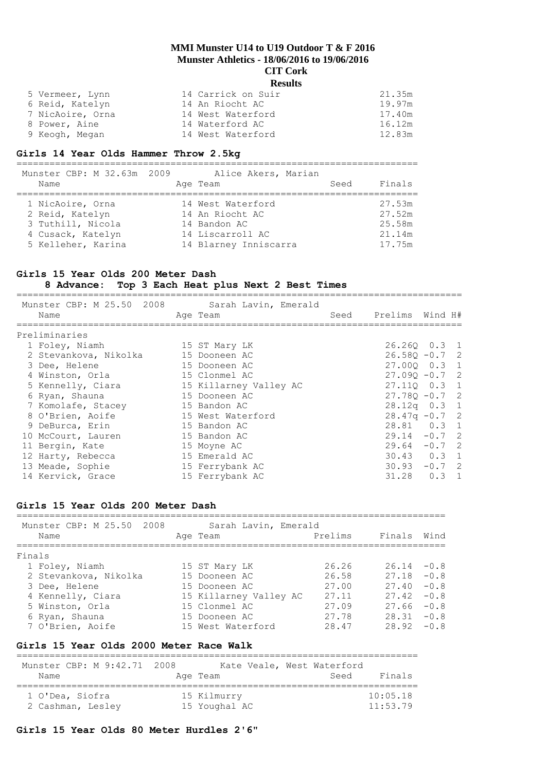| 5 Vermeer, Lynn  | 14 Carrick on Suir | 21.35m |
|------------------|--------------------|--------|
| 6 Reid, Katelyn  | 14 An Riocht AC    | 19.97m |
| 7 NicAoire, Orna | 14 West Waterford  | 17.40m |
| 8 Power, Aine    | 14 Waterford AC    | 16.12m |
| 9 Keogh, Megan   | 14 West Waterford  | 12.83m |

## **Girls 14 Year Olds Hammer Throw 2.5kg**

| Munster CBP: M 32.63m 2009<br>Name | Alice Akers, Marian<br>Age Team | Seed | Finals |
|------------------------------------|---------------------------------|------|--------|
| 1 NicAoire, Orna                   | 14 West Waterford               |      | 27.53m |
| 2 Reid, Katelyn                    | 14 An Riocht AC                 |      | 27.52m |
| 3 Tuthill, Nicola                  | 14 Bandon AC                    |      | 25.58m |
| 4 Cusack, Katelyn                  | 14 Liscarroll AC                |      | 21.14m |
| 5 Kelleher, Karina                 | 14 Blarney Inniscarra           |      | 17.75m |

# **Girls 15 Year Olds 200 Meter Dash**

## **8 Advance: Top 3 Each Heat plus Next 2 Best Times**

| Munster CBP: M 25.50 2008<br>Name | Sarah Lavin, Emerald<br>Age Team | Seed Prelims Wind H# |
|-----------------------------------|----------------------------------|----------------------|
| Preliminaries                     |                                  |                      |
| 1 Foley, Niamh                    | 15 ST Mary LK                    | 26.260 0.3 1         |
| 2 Stevankova, Nikolka             | 15 Dooneen AC                    | $26.580 - 0.7$ 2     |
| 3 Dee, Helene                     | 15 Dooneen AC                    | 27.000 0.3 1         |
| 4 Winston, Orla                   | 15 Clonmel AC                    | $27.090 - 0.7$ 2     |
| 5 Kennelly, Ciara                 | 15 Killarney Valley AC           | 27.110 0.3 1         |
| 6 Ryan, Shauna                    | 15 Dooneen AC                    | $27.780 - 0.7$ 2     |
| 7 Komolafe, Stacey                | 15 Bandon AC                     | 28.12q 0.3 1         |
| 8 O'Brien, Aoife                  | 15 West Waterford                | $28.47q - 0.72$      |
| 9 DeBurca, Erin                   | 15 Bandon AC                     | 28.81 0.3 1          |
| 10 McCourt, Lauren                | 15 Bandon AC                     | $29.14 - 0.7$ 2      |
| 11 Bergin, Kate                   | 15 Moyne AC                      | $29.64 - 0.7$ 2      |
| 12 Harty, Rebecca                 | 15 Emerald AC                    | $30.43$ 0.3 1        |
| 13 Meade, Sophie                  | 15 Ferrybank AC                  | $30.93 - 0.7$ 2      |
| 14 Kervick, Grace                 | 15 Ferrybank AC                  | $31.28$ 0.3 1        |
|                                   |                                  |                      |

## **Girls 15 Year Olds 200 Meter Dash**

| Munster CBP: M 25.50 2008<br>Sarah Lavin, Emerald<br>Prelims<br>Wind<br>Finals<br>Age Team<br>Name<br>26.26<br>$26.14 - 0.8$<br>1 Foley, Niamh<br>15 ST Mary LK<br>$27.18 - 0.8$<br>26.58<br>2 Stevankova, Nikolka<br>15 Dooneen AC<br>27.00<br>$-0.8$<br>27.40<br>3 Dee, Helene<br>15 Dooneen AC<br>$-0.8$<br>27.11<br>27.42<br>4 Kennelly, Ciara<br>15 Killarney Valley AC<br>27.09<br>$-0.8$<br>27.66<br>5 Winston, Orla<br>15 Clonmel AC<br>27.78<br>$28.31 - 0.8$<br>6 Ryan, Shauna<br>15 Dooneen AC<br>$28.92 - 0.8$<br>7 O'Brien, Aoife<br>28.47<br>15 West Waterford |  |  |  |
|------------------------------------------------------------------------------------------------------------------------------------------------------------------------------------------------------------------------------------------------------------------------------------------------------------------------------------------------------------------------------------------------------------------------------------------------------------------------------------------------------------------------------------------------------------------------------|--|--|--|
| Finals                                                                                                                                                                                                                                                                                                                                                                                                                                                                                                                                                                       |  |  |  |
|                                                                                                                                                                                                                                                                                                                                                                                                                                                                                                                                                                              |  |  |  |
|                                                                                                                                                                                                                                                                                                                                                                                                                                                                                                                                                                              |  |  |  |
|                                                                                                                                                                                                                                                                                                                                                                                                                                                                                                                                                                              |  |  |  |
|                                                                                                                                                                                                                                                                                                                                                                                                                                                                                                                                                                              |  |  |  |
|                                                                                                                                                                                                                                                                                                                                                                                                                                                                                                                                                                              |  |  |  |
|                                                                                                                                                                                                                                                                                                                                                                                                                                                                                                                                                                              |  |  |  |
|                                                                                                                                                                                                                                                                                                                                                                                                                                                                                                                                                                              |  |  |  |
|                                                                                                                                                                                                                                                                                                                                                                                                                                                                                                                                                                              |  |  |  |

#### **Girls 15 Year Olds 2000 Meter Race Walk**

| Munster CBP: M 9:42.71 2008<br>Name | Age Team      | Kate Veale, West Waterford<br>Finals<br>Seed |
|-------------------------------------|---------------|----------------------------------------------|
| 1 O'Dea, Siofra                     | 15 Kilmurry   | 10:05.18                                     |
| 2 Cashman, Lesley                   | 15 Youghal AC | 11:53.79                                     |

# **Girls 15 Year Olds 80 Meter Hurdles 2'6"**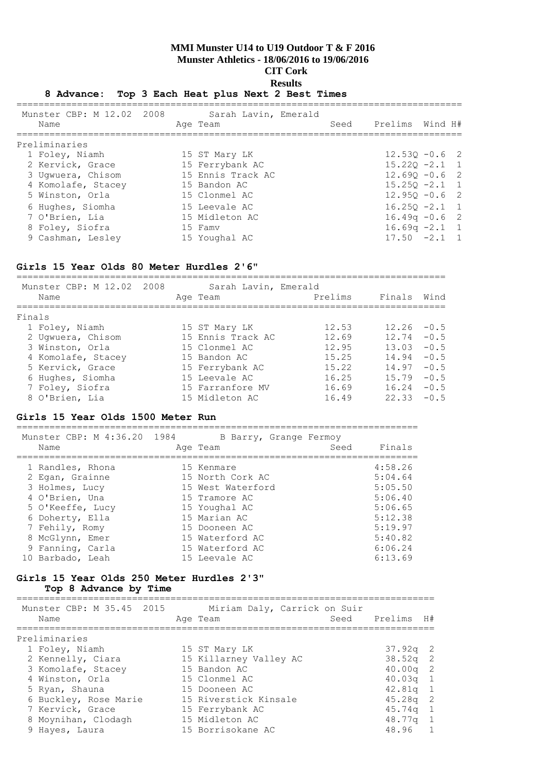## **8 Advance: Top 3 Each Heat plus Next 2 Best Times**

| Munster CBP: M 12.02 2008<br>Name | Sarah Lavin, Emerald<br>Age Team |  | Seed Prelims Wind H# |  |
|-----------------------------------|----------------------------------|--|----------------------|--|
| Preliminaries                     |                                  |  |                      |  |
| 1 Foley, Niamh                    | 15 ST Mary LK                    |  | $12.530 - 0.6$ 2     |  |
| 2 Kervick, Grace                  | 15 Ferrybank AC                  |  | $15.220 -2.1$ 1      |  |
| 3 Uqwuera, Chisom                 | 15 Ennis Track AC                |  | $12.690 - 0.6$ 2     |  |
| 4 Komolafe, Stacey                | 15 Bandon AC                     |  | $15.250 -2.1$ 1      |  |
| 5 Winston, Orla                   | 15 Clonmel AC                    |  | $12.950 - 0.6$ 2     |  |
| 6 Hughes, Siomha                  | 15 Leevale AC                    |  | $16.250 -2.1$ 1      |  |
| 7 O'Brien, Lia                    | 15 Midleton AC                   |  | $16.49q - 0.6$ 2     |  |
| 8 Foley, Siofra                   | 15 Famv                          |  | $16.69q -2.1$ 1      |  |
| 9 Cashman, Lesley                 | 15 Youghal AC                    |  | $17.50 -2.1 1$       |  |

## **Girls 15 Year Olds 80 Meter Hurdles 2'6"**

| Munster CBP: M 12.02 2008<br>Name | Sarah Lavin, Emerald<br>Age Team | Prelims | Finals Wind   |        |
|-----------------------------------|----------------------------------|---------|---------------|--------|
| Finals                            |                                  |         |               |        |
| 1 Foley, Niamh                    | 15 ST Mary LK                    | 12.53   | $12.26 - 0.5$ |        |
| 2 Ugwuera, Chisom                 | 15 Ennis Track AC                | 12.69   | 12.74         | $-0.5$ |
| 3 Winston, Orla                   | 15 Clonmel AC                    | 12.95   | 13.03         | $-0.5$ |
| 4 Komolafe, Stacey                | 15 Bandon AC                     | 15.25   | 14.94         | $-0.5$ |
| 5 Kervick, Grace                  | 15 Ferrybank AC                  | 15.22   | 14.97         | $-0.5$ |
| 6 Hughes, Siomha                  | 15 Leevale AC                    | 16.25   | 15.79         | $-0.5$ |
| 7 Foley, Siofra                   | 15 Farranfore MV                 | 16.69   | 16.24         | $-0.5$ |
| 8 O'Brien, Lia                    | 15 Midleton AC                   | 16.49   | 22.33         | $-0.5$ |

#### **Girls 15 Year Olds 1500 Meter Run**

| Munster CBP: M 4:36.20 1984 | B Barry, Grange Fermoy | Finals  |
|-----------------------------|------------------------|---------|
| Name                        | Age Team               | Seed    |
| 1 Randles, Rhona            | 15 Kenmare             | 4:58.26 |
| 2 Egan, Grainne             | 15 North Cork AC       | 5:04.64 |
| 3 Holmes, Lucy              | 15 West Waterford      | 5:05.50 |

| 3 HOIMES, LUCY   | 15 West Waterford | 3:03.30 |
|------------------|-------------------|---------|
| 4 O'Brien, Una   | 15 Tramore AC     | 5:06.40 |
| 5 O'Keeffe, Lucy | 15 Youghal AC     | 5:06.65 |
| 6 Doherty, Ella  | 15 Marian AC      | 5:12.38 |
| 7 Fehily, Romy   | 15 Dooneen AC     | 5:19.97 |
| 8 McGlynn, Emer  | 15 Waterford AC   | 5:40.82 |
| 9 Fanning, Carla | 15 Waterford AC   | 6:06.24 |
| 10 Barbado, Leah | 15 Leevale AC     | 6:13.69 |

## **Girls 15 Year Olds 250 Meter Hurdles 2'3" Top 8 Advance by Time**

============================================================================ Miriam Daly, Carrick on Suir

| MUNSTER CBP: M 35.45 ZUIS | - Miriam Dalv, Carrick on Suir |                 |  |
|---------------------------|--------------------------------|-----------------|--|
| Name                      | Age Team                       | Seed Prelims H# |  |
| Preliminaries             |                                |                 |  |
| 1 Foley, Niamh            | 15 ST Mary LK                  | $37.92q$ 2      |  |
| 2 Kennelly, Ciara         | 15 Killarney Valley AC         | $38.52q$ 2      |  |
| 3 Komolafe, Stacey        | 15 Bandon AC                   | $40.00q$ 2      |  |
| 4 Winston, Orla           | 15 Clonmel AC                  | $40.03q$ 1      |  |
| 5 Ryan, Shauna            | 15 Dooneen AC                  | $42.81q$ 1      |  |
| 6 Buckley, Rose Marie     | 15 Riverstick Kinsale          | $45.28q$ 2      |  |
| 7 Kervick, Grace          | 15 Ferrybank AC                | $45.74q$ 1      |  |
| 8 Moynihan, Clodagh       | 15 Midleton AC                 | $48.77q$ 1      |  |
| 9 Hayes, Laura            | 15 Borrisokane AC              | 48.96 1         |  |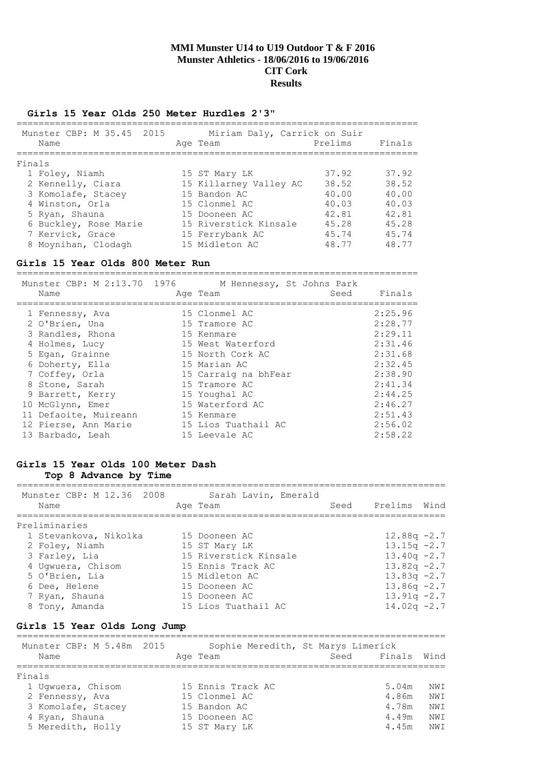$=$ 

#### **Girls 15 Year Olds 250 Meter Hurdles 2'3"**

|        | Munster CBP: M 35.45 2015<br>Name | Miriam Daly, Carrick on Suir<br>Age Team | Prelims | Finals |
|--------|-----------------------------------|------------------------------------------|---------|--------|
| Finals |                                   |                                          |         |        |
|        | 1 Foley, Niamh                    | 15 ST Mary LK                            | 37.92   | 37.92  |
|        | 2 Kennelly, Ciara                 | 15 Killarney Valley AC                   | 38.52   | 38.52  |
|        | 3 Komolafe, Stacey                | 15 Bandon AC                             | 40.00   | 40.00  |
|        | 4 Winston, Orla                   | 15 Clonmel AC                            | 40.03   | 40.03  |
|        | 5 Ryan, Shauna                    | 15 Dooneen AC                            | 42.81   | 42.81  |
|        | 6 Buckley, Rose Marie             | 15 Riverstick Kinsale                    | 45.28   | 45.28  |
|        | 7 Kervick, Grace                  | 15 Ferrybank AC                          | 45.74   | 45.74  |
|        | 8 Moynihan, Clodagh               | 15 Midleton AC                           | 48.77   | 48.77  |

## **Girls 15 Year Olds 800 Meter Run**

| Munster CBP: M 2:13.70 1976 M Hennessy, St Johns Park<br>Name | Age Team             | Seed Finals |
|---------------------------------------------------------------|----------------------|-------------|
| 1 Fennessy, Ava                                               | 15 Clonmel AC        | 2:25.96     |
| 2 O'Brien, Una                                                | 15 Tramore AC        | 2:28.77     |
| 3 Randles, Rhona                                              | 15 Kenmare           | 2:29.11     |
| 4 Holmes, Lucy                                                | 15 West Waterford    | 2:31.46     |
| 5 Egan, Grainne                                               | 15 North Cork AC     | 2:31.68     |
| 6 Doherty, Ella                                               | 15 Marian AC         | 2:32.45     |
| 7 Coffey, Orla                                                | 15 Carraig na bhFear | 2:38.90     |
| 8 Stone, Sarah                                                | 15 Tramore AC        | 2:41.34     |
| 9 Barrett, Kerry                                              | 15 Youghal AC        | 2:44.25     |
| 10 McGlynn, Emer                                              | 15 Waterford AC      | 2:46.27     |
| 11 Defaoite, Muireann                                         | 15 Kenmare           | 2:51.43     |
| 12 Pierse, Ann Marie                                          | 15 Lios Tuathail AC  | 2:56.02     |
| 13 Barbado, Leah                                              | 15 Leevale AC        | 2:58.22     |

## **Girls 15 Year Olds 100 Meter Dash Top 8 Advance by Time**

| Munster CBP: M 12.36 2008<br>Name | Sarah Lavin, Emerald<br>Age Team | Seed | Prelims Wind   |  |
|-----------------------------------|----------------------------------|------|----------------|--|
| Preliminaries                     |                                  |      |                |  |
| 1 Stevankova, Nikolka             | 15 Dooneen AC                    |      | $12.88q - 2.7$ |  |
| 2 Foley, Niamh                    | 15 ST Mary LK                    |      | $13.15q - 2.7$ |  |
| 3 Farley, Lia                     | 15 Riverstick Kinsale            |      | $13.40q -2.7$  |  |
| 4 Uqwuera, Chisom                 | 15 Ennis Track AC                |      | $13.82q -2.7$  |  |
| 5 O'Brien, Lia                    | 15 Midleton AC                   |      | $13.83q -2.7$  |  |
| 6 Dee, Helene                     | 15 Dooneen AC                    |      | $13.86q - 2.7$ |  |
| 7 Ryan, Shauna                    | 15 Dooneen AC                    |      | $13.91q -2.7$  |  |
| 8 Tony, Amanda                    | 15 Lios Tuathail AC              |      | $14.02q -2.7$  |  |

# **Girls 15 Year Olds Long Jump**

| Munster CBP: M 5.48m 2015<br>Name |  | Sophie Meredith, St Marys Limerick<br>Age Team | Seed Finals Wind |       |     |
|-----------------------------------|--|------------------------------------------------|------------------|-------|-----|
| Finals                            |  |                                                |                  |       |     |
| 1 Uqwuera, Chisom                 |  | 15 Ennis Track AC                              |                  | 5.04m | NWI |
| 2 Fennessy, Ava                   |  | 15 Clonmel AC                                  |                  | 4.86m | NWI |
| 3 Komolafe, Stacey                |  | 15 Bandon AC                                   |                  | 4.78m | NWI |
| 4 Ryan, Shauna                    |  | 15 Dooneen AC                                  |                  | 4.49m | NWI |
| 5 Meredith, Holly                 |  | 15 ST Mary LK                                  |                  | 4.45m | NWI |
|                                   |  |                                                |                  |       |     |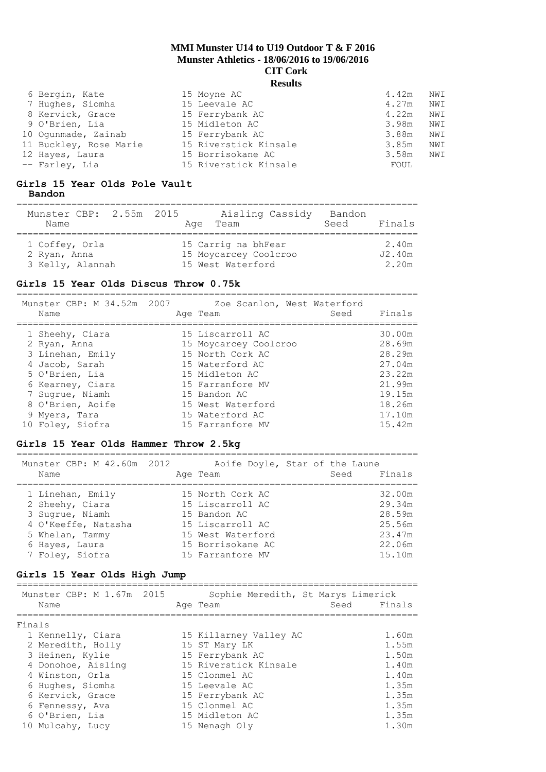| 6 Bergin, Kate         | 15 Moyne AC           | 4.42m<br>NWI |
|------------------------|-----------------------|--------------|
| 7 Hughes, Siomha       | 15 Leevale AC         | NWI<br>4.27m |
| 8 Kervick, Grace       | 15 Ferrybank AC       | 4.22m<br>NWI |
| 9 O'Brien, Lia         | 15 Midleton AC        | 3.98m<br>NWI |
| 10 Ogunmade, Zainab    | 15 Ferrybank AC       | 3.88m<br>NWI |
| 11 Buckley, Rose Marie | 15 Riverstick Kinsale | NWI<br>3.85m |
| 12 Hayes, Laura        | 15 Borrisokane AC     | 3.58m<br>NWI |
| -- Farley, Lia         | 15 Riverstick Kinsale | FOUL         |

### **Girls 15 Year Olds Pole Vault Bandon**

| Munster CBP: 2.55m 2015<br>Name | Aisling Cassidy<br>Age Team | Bandon<br>Finals<br>Seed |
|---------------------------------|-----------------------------|--------------------------|
| 1 Coffey, Orla                  | 15 Carrig na bhFear         | 2.40m                    |
| 2 Ryan, Anna                    | 15 Moycarcey Coolcroo       | J2.40m                   |
| 3 Kelly, Alannah                | 15 West Waterford           | 2.20m                    |

## **Girls 15 Year Olds Discus Throw 0.75k**

========================================================================= Munster CBP: M 34.52m 2007 Zoe Scanlon, West Waterford

| MUNSLEI CDP: M 34.34M ZUU/ | AGE SCANION, WEST MATELLOID | Finals |
|----------------------------|-----------------------------|--------|
| Name                       | Age Team                    | Seed   |
| 1 Sheehy, Ciara            | 15 Liscarroll AC            | 30.00m |
| 2 Ryan, Anna               | 15 Moycarcey Coolcroo       | 28.69m |
| 3 Linehan, Emily           | 15 North Cork AC            | 28.29m |
| 4 Jacob, Sarah             | 15 Waterford AC             | 27.04m |
| 5 O'Brien, Lia             | 15 Midleton AC              | 23.22m |
| 6 Kearney, Ciara           | 15 Farranfore MV            | 21.99m |
| 7 Sugrue, Niamh            | 15 Bandon AC                | 19.15m |
| 8 O'Brien, Aoife           | 15 West Waterford           | 18.26m |
| 9 Myers, Tara              | 15 Waterford AC             | 17.10m |
| 10 Foley, Siofra           | 15 Farranfore MV            | 15.42m |

## **Girls 15 Year Olds Hammer Throw 2.5kg**

=========================================================================

| Munster CBP: M 42.60m 2012 | Aoife Doyle, Star of the Laune |                |
|----------------------------|--------------------------------|----------------|
| Name                       | Age Team                       | Finals<br>Seed |
| 1 Linehan, Emily           | 15 North Cork AC               | 32.00m         |
| 2 Sheehy, Ciara            | 15 Liscarroll AC               | 29.34m         |
| 3 Sugrue, Niamh            | 15 Bandon AC                   | 28.59m         |
| 4 O'Keeffe, Natasha        | 15 Liscarroll AC               | 25.56m         |
| 5 Whelan, Tammy            | 15 West Waterford              | 23.47m         |
| 6 Hayes, Laura             | 15 Borrisokane AC              | 22.06m         |
| 7 Foley, Siofra            | 15 Farranfore MV               | 15.10m         |

## **Girls 15 Year Olds High Jump**

| Munster CBP: M 1.67m 2015<br>Name | Sophie Meredith, St Marys Limerick<br>Seed<br>Age Team | Finals |
|-----------------------------------|--------------------------------------------------------|--------|
| Finals                            |                                                        |        |
| 1 Kennelly, Ciara                 | 15 Killarney Valley AC                                 | 1.60m  |
| 2 Meredith, Holly                 | 15 ST Mary LK                                          | 1.55m  |
| 3 Heinen, Kylie                   | 15 Ferrybank AC                                        | 1.50m  |
| 4 Donohoe, Aisling                | 15 Riverstick Kinsale                                  | 1.40m  |
| 4 Winston, Orla                   | 15 Clonmel AC                                          | 1.40m  |
| 6 Hughes, Siomha                  | 15 Leevale AC                                          | 1.35m  |
| 6 Kervick, Grace                  | 15 Ferrybank AC                                        | 1.35m  |
| 6 Fennessy, Ava                   | 15 Clonmel AC                                          | 1.35m  |
| 6 O'Brien, Lia                    | 15 Midleton AC                                         | 1.35m  |
| 10 Mulcahy, Lucy                  | 15 Nenagh Oly                                          | 1.30m  |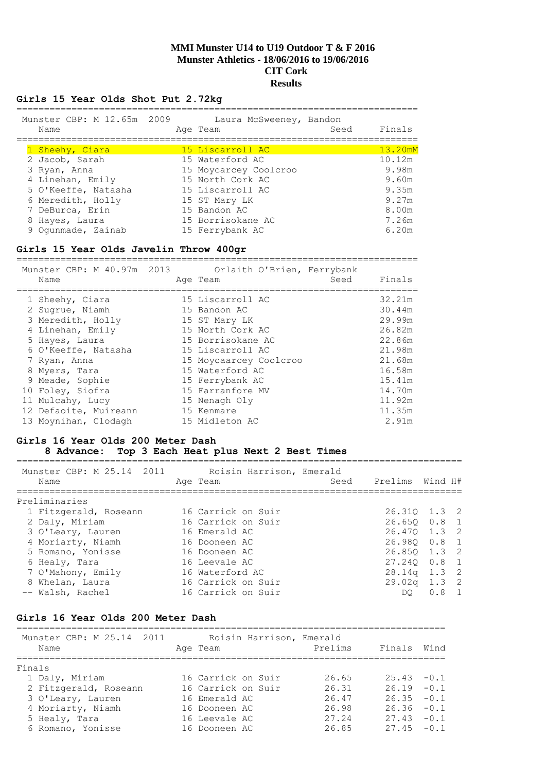## **Girls 15 Year Olds Shot Put 2.72kg**

| Munster CBP: M 12.65m 2009<br>Name | Laura McSweeney, Bandon<br>Age Team | Seed | Finals  |
|------------------------------------|-------------------------------------|------|---------|
| 1 Sheehy, Ciara                    | 15 Liscarroll AC                    |      | 13.20mM |
| 2 Jacob, Sarah                     | 15 Waterford AC                     |      | 10.12m  |
| 3 Ryan, Anna                       | 15 Moycarcey Coolcroo               |      | 9.98m   |
| 4 Linehan, Emily                   | 15 North Cork AC                    |      | 9.60m   |
| 5 O'Keeffe, Natasha                | 15 Liscarroll AC                    |      | 9.35m   |
| 6 Meredith, Holly                  | 15 ST Mary LK                       |      | 9.27m   |
| 7 DeBurca, Erin                    | 15 Bandon AC                        |      | 8.00m   |
| 8 Hayes, Laura                     | 15 Borrisokane AC                   |      | 7.26m   |
| 9 Oqunmade, Zainab                 | 15 Ferrybank AC                     |      | 6.20m   |

#### **Girls 15 Year Olds Javelin Throw 400gr**

========================================================================= Munster CBP: M 40.97m 2013 Orlaith O'Brien, Ferrybank Name **Age Team** Age Team Seed Finals ========================================================================= 1 Sheehy, Ciara 15 Liscarroll AC 32.21m 2 Sugrue, Niamh 15 Bandon AC 30.44m 3 Meredith, Holly 15 ST Mary LK 29.99m 4 Linehan, Emily 15 North Cork AC 26.82m 5 Hayes, Laura 15 Borrisokane AC 22.86m 6 O'Keeffe, Natasha 15 Liscarroll AC 21.98m 7 Ryan, Anna 15 Moycaarcey Coolcroo 21.68m 8 Myers, Tara 15 Waterford AC 16.58m 9 Meade, Sophie 15 Ferrybank AC 15.41m 10 Foley, Siofra 15 Farranfore MV 14.70m 11 Mulcahy, Lucy 15 Nenagh Oly 11.92m 12 Defaoite, Muireann 15 Kenmare 11.35m 13 Moynihan, Clodagh 15 Midleton AC 2.91m

#### **Girls 16 Year Olds 200 Meter Dash**

#### **8 Advance: Top 3 Each Heat plus Next 2 Best Times**

| Munster CBP: M 25.14 2011<br>Name | Roisin Harrison, Emerald<br>Age Team | Seed | Prelims Wind H# |               |  |
|-----------------------------------|--------------------------------------|------|-----------------|---------------|--|
| Preliminaries                     |                                      |      |                 |               |  |
| 1 Fitzgerald, Roseann             | 16 Carrick on Suir                   |      | 26.310 1.3 2    |               |  |
| 2 Daly, Miriam                    | 16 Carrick on Suir                   |      | 26.650 0.8 1    |               |  |
| 3 O'Leary, Lauren                 | 16 Emerald AC                        |      | 26.470 1.3 2    |               |  |
| 4 Moriarty, Niamh                 | 16 Dooneen AC                        |      | 26.980 0.8 1    |               |  |
| 5 Romano, Yonisse                 | 16 Dooneen AC                        |      | 26.850 1.3 2    |               |  |
| 6 Healy, Tara                     | 16 Leevale AC                        |      | 27.240 0.8 1    |               |  |
| 7 O'Mahony, Emily                 | 16 Waterford AC                      |      | $28.14q$ 1.3 2  |               |  |
| 8 Whelan, Laura                   | 16 Carrick on Suir                   |      | $29.02q$ 1.3 2  |               |  |
| -- Walsh, Rachel                  | 16 Carrick on Suir                   |      | DO              | $0.8 \quad 1$ |  |
|                                   |                                      |      |                 |               |  |

## **Girls 16 Year Olds 200 Meter Dash**

| Munster CBP: M 25.14 2011<br>Name | Roisin Harrison, Emerald<br>Age Team | Prelims | Finals        | Wind |
|-----------------------------------|--------------------------------------|---------|---------------|------|
| Finals                            |                                      |         |               |      |
| 1 Daly, Miriam                    | 16 Carrick on Suir                   | 26.65   | $25.43 - 0.1$ |      |
| 2 Fitzgerald, Roseann             | 16 Carrick on Suir                   | 26.31   | $26.19 - 0.1$ |      |
| 3 O'Leary, Lauren                 | 16 Emerald AC                        | 26.47   | $26.35 - 0.1$ |      |
| 4 Moriarty, Niamh                 | 16 Dooneen AC                        | 26.98   | $26.36 - 0.1$ |      |
| 5 Healy, Tara                     | 16 Leevale AC                        | 27.24   | $27.43 - 0.1$ |      |
| 6 Romano, Yonisse                 | 16 Dooneen AC                        | 26.85   | $27.45 - 0.1$ |      |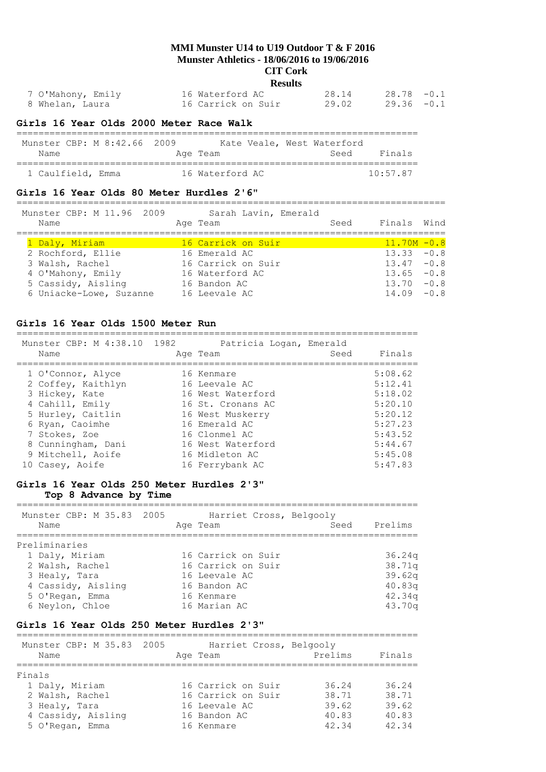#### **CIT Cork Results**

| 7 O'Mahony, Emily | 16 Waterford AC    | 28.14 | $28.78 - 0.1$ |
|-------------------|--------------------|-------|---------------|
| 8 Whelan, Laura   | 16 Carrick on Suir | 29.02 | $29.36 - 0.1$ |

#### **Girls 16 Year Olds 2000 Meter Race Walk**

| Munster CBP: M 8:42.66 2009 |  |                 |  | Kate Veale, West Waterford |                  |
|-----------------------------|--|-----------------|--|----------------------------|------------------|
| Name                        |  | Age Team        |  | Seed                       | Finals           |
| 1 Caulfield, Emma           |  | 16 Waterford AC |  |                            | $10 \cdot 57$ 87 |

#### **Girls 16 Year Olds 80 Meter Hurdles 2'6"**

============================================================================== Munster CBP: M 11.96 2009 Sarah Lavin, Emerald

| THUID COIL ODI . IT II . JULLEOUD<br>Name | param navrm, mmcrata<br>Age Team | Seed | Finals Wind    |  |
|-------------------------------------------|----------------------------------|------|----------------|--|
|                                           |                                  |      |                |  |
| 1 Daly, Miriam                            | 16 Carrick on Suir               |      | $11.70M - 0.8$ |  |
| 2 Rochford, Ellie                         | 16 Emerald AC                    |      | $13.33 - 0.8$  |  |
| 3 Walsh, Rachel                           | 16 Carrick on Suir               |      | $13.47 - 0.8$  |  |
| 4 O'Mahony, Emily                         | 16 Waterford AC                  |      | $13.65 - 0.8$  |  |
| 5 Cassidy, Aisling                        | 16 Bandon AC                     |      | $13.70 - 0.8$  |  |
| 6 Uniacke-Lowe, Suzanne                   | 16 Leevale AC                    |      | $14.09 - 0.8$  |  |
|                                           |                                  |      |                |  |

#### **Girls 16 Year Olds 1500 Meter Run**

| Munster CBP: M 4:38.10 1982<br>Name | Patricia Logan, Emerald<br>Age Team | Seed | Finals  |
|-------------------------------------|-------------------------------------|------|---------|
| 1 O'Connor, Alyce                   | 16 Kenmare                          |      | 5:08.62 |
| 2 Coffey, Kaithlyn                  | 16 Leevale AC                       |      | 5:12.41 |
| 3 Hickey, Kate                      | 16 West Waterford                   |      | 5:18.02 |
| 4 Cahill, Emily                     | 16 St. Cronans AC                   |      | 5:20.10 |
| 5 Hurley, Caitlin                   | 16 West Muskerry                    |      | 5:20.12 |
| 6 Ryan, Caoimhe                     | 16 Emerald AC                       |      | 5:27.23 |
| 7 Stokes, Zoe                       | 16 Clonmel AC                       |      | 5:43.52 |
| 8 Cunningham, Dani                  | 16 West Waterford                   |      | 5:44.67 |
| 9 Mitchell, Aoife                   | 16 Midleton AC                      |      | 5:45.08 |
| 10 Casey, Aoife                     | 16 Ferrybank AC                     |      | 5:47.83 |

#### **Girls 16 Year Olds 250 Meter Hurdles 2'3" Top 8 Advance by Time**

========================================================================= Munster CBP: M 35.83 2005 Harriet Cross, Belgooly Name Age Team Seed Prelims ========================================================================= Preliminaries 1 Daly, Miriam 16 Carrick on Suir 36.24q 2 Walsh, Rachel 16 Carrick on Suir 38.71q 3 Healy, Tara 16 Leevale AC 39.62q 4 Cassidy, Aisling 16 Bandon AC 40.83q

 5 O'Regan, Emma 16 Kenmare 42.34q 6 Neylon, Chloe 16 Marian AC 43.70q

## **Girls 16 Year Olds 250 Meter Hurdles 2'3"**

========================================================================= Munster CBP: M 35.83 2005 Harriet Cross, Belgooly Name **Age Team** Prelims Finals ========================================================================= Finals 1 Daly, Miriam 16 Carrick on Suir 36.24 36.24 2 Walsh, Rachel 16 Carrick on Suir 38.71 38.71 3 Healy, Tara 16 Leevale AC 39.62 39.62 4 Cassidy, Aisling 16 Bandon AC 40.83 40.83 5 O'Regan, Emma 16 Kenmare 42.34 42.34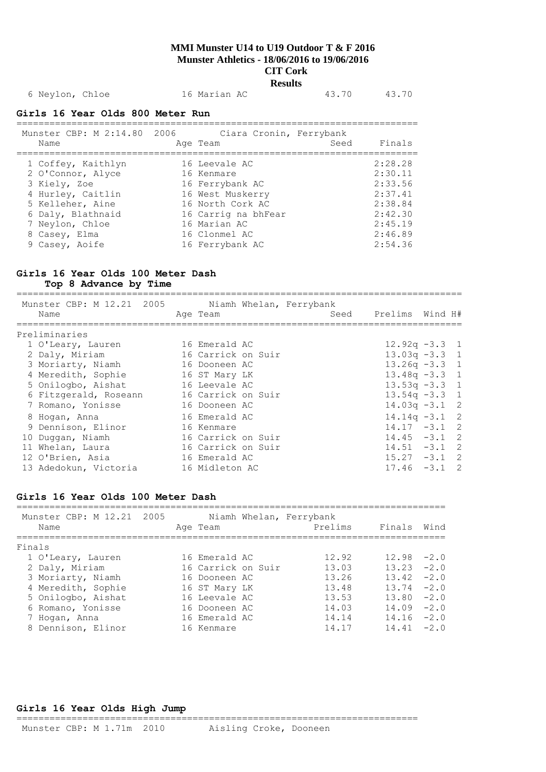# 6 Neylon, Chloe 16 Marian AC 43.70 43.70

#### **Girls 16 Year Olds 800 Meter Run** =========================================================================

| Munster CBP: M 2:14.80 2006<br>Name | Ciara Cronin, Ferrybank<br>Age Team | Seed | Finals  |
|-------------------------------------|-------------------------------------|------|---------|
| 1 Coffey, Kaithlyn                  | 16 Leevale AC                       |      | 2:28.28 |
| 2 O'Connor, Alyce                   | 16 Kenmare                          |      | 2:30.11 |
| 3 Kiely, Zoe                        | 16 Ferrybank AC                     |      | 2:33.56 |
| 4 Hurley, Caitlin                   | 16 West Muskerry                    |      | 2:37.41 |
| 5 Kelleher, Aine                    | 16 North Cork AC                    |      | 2:38.84 |
| 6 Daly, Blathnaid                   | 16 Carrig na bhFear                 |      | 2:42:30 |
| 7 Neylon, Chloe                     | 16 Marian AC                        |      | 2:45.19 |
| 8 Casey, Elma                       | 16 Clonmel AC                       |      | 2:46.89 |
| 9 Casey, Aoife                      | 16 Ferrybank AC                     |      | 2:54.36 |

#### **Girls 16 Year Olds 100 Meter Dash**

**Top 8 Advance by Time**

=================================================================================

| Munster CBP: M 12.21 2005<br>Name | Age Team           | Niamh Whelan, Ferrybank | Seed Prelims Wind H# |  |
|-----------------------------------|--------------------|-------------------------|----------------------|--|
| Preliminaries                     |                    |                         |                      |  |
| 1 O'Leary, Lauren                 | 16 Emerald AC      |                         | $12.92q - 3.3$ 1     |  |
| 2 Daly, Miriam                    | 16 Carrick on Suir |                         | $13.03q - 3.3$ 1     |  |
| 3 Moriarty, Niamh                 | 16 Dooneen AC      |                         | $13.26q - 3.3$ 1     |  |
| 4 Meredith, Sophie                | 16 ST Mary LK      |                         | $13.48q - 3.3$ 1     |  |
| 5 Onilogbo, Aishat                | 16 Leevale AC      |                         | $13.53q - 3.3$ 1     |  |
| 6 Fitzgerald, Roseann             | 16 Carrick on Suir |                         | $13.54q - 3.3$ 1     |  |
| 7 Romano, Yonisse                 | 16 Dooneen AC      |                         | $14.03q -3.1$ 2      |  |
| 8 Hogan, Anna                     | 16 Emerald AC      |                         | $14.14q - 3.1$ 2     |  |
| 9 Dennison, Elinor                | 16 Kenmare         |                         | $14.17 - 3.1$ 2      |  |
| 10 Duggan, Niamh                  | 16 Carrick on Suir |                         | $14.45 - 3.1$ 2      |  |
| 11 Whelan, Laura                  | 16 Carrick on Suir |                         | $14.51 - 3.1$ 2      |  |
| 12 O'Brien, Asia                  | 16 Emerald AC      |                         | $15.27 - 3.1$ 2      |  |
| 13 Adedokun, Victoria             | 16 Midleton AC     |                         | $17.46 - 3.1$ 2      |  |
|                                   |                    |                         |                      |  |

## **Girls 16 Year Olds 100 Meter Dash**

| Munster CBP: M 12.21 2005<br>Name | Age Team           | Niamh Whelan, Ferrybank<br>Prelims | Finals        | Wind   |
|-----------------------------------|--------------------|------------------------------------|---------------|--------|
| Finals                            |                    |                                    |               |        |
| 1 O'Leary, Lauren                 | 16 Emerald AC      | 12.92                              | $12.98 - 2.0$ |        |
| 2 Daly, Miriam                    | 16 Carrick on Suir | 13.03                              | 13.23         | $-2.0$ |
| 3 Moriarty, Niamh                 | 16 Dooneen AC      | 13.26                              | 13.42         | $-2.0$ |
| 4 Meredith, Sophie                | 16 ST Mary LK      | 13.48                              | $13.74 - 2.0$ |        |
| 5 Onilogbo, Aishat                | 16 Leevale AC      | 13.53                              | $13.80 - 2.0$ |        |
| 6 Romano, Yonisse                 | 16 Dooneen AC      | 14.03                              | $14.09 - 2.0$ |        |
| 7 Hogan, Anna                     | 16 Emerald AC      | 14.14                              | $14.16 - 2.0$ |        |
| 8 Dennison, Elinor                | 16 Kenmare         | 14.17                              | $14.41 - 2.0$ |        |

#### **Girls 16 Year Olds High Jump**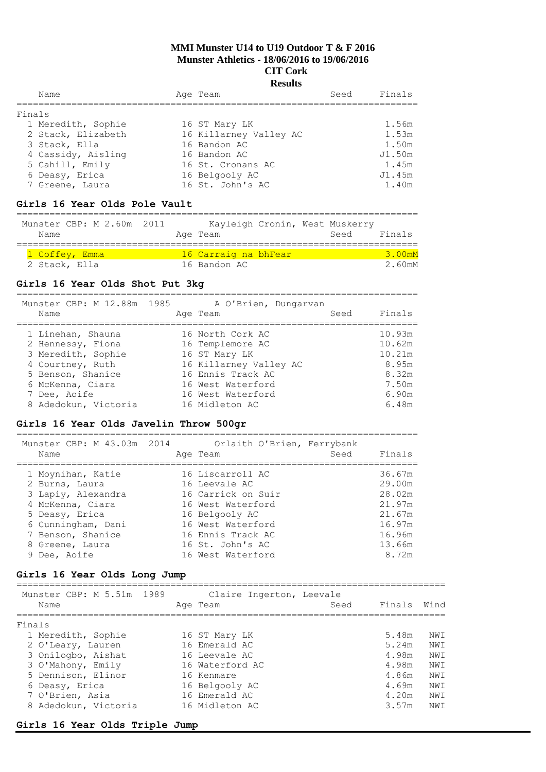| Name               | Age Team               | Seed | Finals |
|--------------------|------------------------|------|--------|
| Finals             |                        |      |        |
| 1 Meredith, Sophie | 16 ST Mary LK          |      | 1.56m  |
| 2 Stack, Elizabeth | 16 Killarney Valley AC |      | 1.53m  |
| 3 Stack, Ella      | 16 Bandon AC           |      | 1.50m  |
| 4 Cassidy, Aisling | 16 Bandon AC           |      | J1.50m |
| 5 Cahill, Emily    | 16 St. Cronans AC      |      | 1.45m  |
| 6 Deasy, Erica     | 16 Belgooly AC         |      | J1.45m |
| 7 Greene, Laura    | 16 St. John's AC       |      | 1.40m  |

#### **Girls 16 Year Olds Pole Vault**

#### ========================================================================= Munster CBP: M 2.60m 2011 Kayleigh Cronin, West Muskerry

| MUNSTEL CDF. M Z.OVIII ZVII<br>Name |  |  | Age Team             |  | Rayleigh Cronin, west muskelly<br>Seed | Finals |        |
|-------------------------------------|--|--|----------------------|--|----------------------------------------|--------|--------|
|                                     |  |  |                      |  |                                        |        |        |
| 1 Coffey, Emma                      |  |  | 16 Carraig na bhFear |  |                                        |        | 3.00mM |
| 2 Stack, Ella                       |  |  | 16 Bandon AC         |  |                                        |        | 2.60mM |

#### **Girls 16 Year Olds Shot Put 3kg**

=========================================================================

| Munster CBP: M 12.88m 1985 | A O'Brien, Dungarvan   |        |
|----------------------------|------------------------|--------|
| Name                       | Seed<br>Age Team       | Finals |
| 1 Linehan, Shauna          | 16 North Cork AC       | 10.93m |
| 2 Hennessy, Fiona          | 16 Templemore AC       | 10.62m |
| 3 Meredith, Sophie         | 16 ST Mary LK          | 10.21m |
| 4 Courtney, Ruth           | 16 Killarney Valley AC | 8.95m  |
| 5 Benson, Shanice          | 16 Ennis Track AC      | 8.32m  |
| 6 McKenna, Ciara           | 16 West Waterford      | 7.50m  |
| 7 Dee, Aoife               | 16 West Waterford      | 6.90m  |
| 8 Adedokun, Victoria       | 16 Midleton AC         | 6.48m  |

#### **Girls 16 Year Olds Javelin Throw 500gr**

| Munster CBP: M 43.03m 2014<br>Name | Orlaith O'Brien, Ferrybank<br>Age Team | Seed | Finals |
|------------------------------------|----------------------------------------|------|--------|
| 1 Moynihan, Katie                  | 16 Liscarroll AC                       |      | 36.67m |
| 2 Burns, Laura                     | 16 Leevale AC                          |      | 29.00m |
| 3 Lapiy, Alexandra                 | 16 Carrick on Suir                     |      | 28.02m |
| 4 McKenna, Ciara                   | 16 West Waterford                      |      | 21.97m |
| 5 Deasy, Erica                     | 16 Belgooly AC                         |      | 21.67m |
| 6 Cunningham, Dani                 | 16 West Waterford                      |      | 16.97m |
| 7 Benson, Shanice                  | 16 Ennis Track AC                      |      | 16.96m |
| 8 Greene, Laura                    | 16 St. John's AC                       |      | 13.66m |
| 9 Dee, Aoife                       | 16 West Waterford                      |      | 8.72m  |
|                                    |                                        |      |        |

## **Girls 16 Year Olds Long Jump**

| Munster CBP: M 5.51m 1989 | Claire Ingerton, Leevale |        |      |
|---------------------------|--------------------------|--------|------|
| Name                      | Seed<br>Age Team         | Finals | Wind |
| Finals                    |                          |        |      |
| 1 Meredith, Sophie        | 16 ST Mary LK            | 5.48m  | NW T |
| 2 O'Leary, Lauren         | 16 Emerald AC            | 5.24m  | NW T |
| 3 Onilogbo, Aishat        | 16 Leevale AC            | 4.98m  | NWI  |
| 3 O'Mahony, Emily         | 16 Waterford AC          | 4.98m  | NW T |
| 5 Dennison, Elinor        | 16 Kenmare               | 4.86m  | NW T |
| 6 Deasy, Erica            | 16 Belgooly AC           | 4.69m  | NWI  |
| 7 O'Brien, Asia           | 16 Emerald AC            | 4.20m  | NW T |
| 8 Adedokun, Victoria      | 16 Midleton AC           | 3.57m  | NW T |

#### **Girls 16 Year Olds Triple Jump**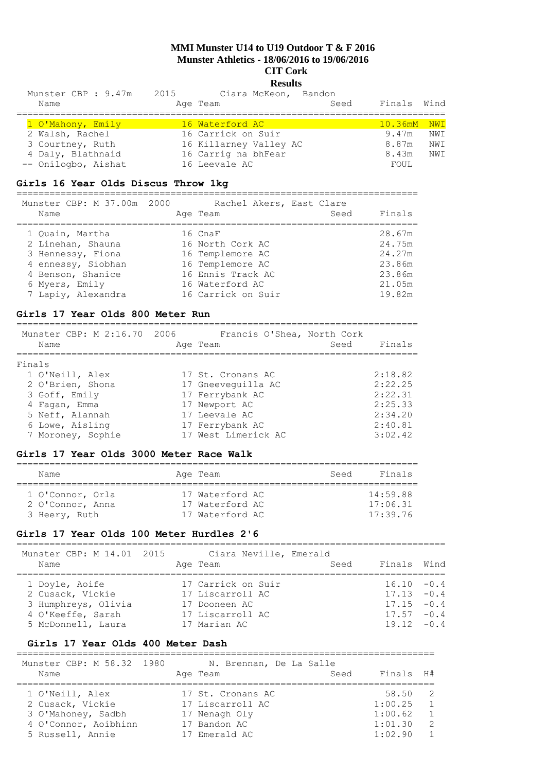# **Results**

| Munster CBP: 9.47m 2015<br>Name | Ciara McKeon, Bandon<br>Age Team | Seed | Finals Wind       |      |
|---------------------------------|----------------------------------|------|-------------------|------|
|                                 |                                  |      |                   |      |
| 1 O'Mahony, Emily               | 16 Waterford AC                  |      | $10.36$ m $M$ NWI |      |
| 2 Walsh, Rachel                 | 16 Carrick on Suir               |      | 9.47m             | NWI  |
| 3 Courtney, Ruth                | 16 Killarney Valley AC           |      | 8.87m             | NWI  |
| 4 Daly, Blathnaid               | 16 Carrig na bhFear              |      | 8.43m             | NW T |
| -- Onilogbo, Aishat             | 16 Leevale AC                    |      | FOUL              |      |

## **Girls 16 Year Olds Discus Throw 1kg**

=========================================================================

| Munster CBP: M 37.00m 2000 | Rachel Akers, East Clare |      |        |
|----------------------------|--------------------------|------|--------|
| Name                       | Age Team                 | Seed | Finals |
| 1 Quain, Martha            | 16 CnaF                  |      | 28.67m |
| 2 Linehan, Shauna          | 16 North Cork AC         |      | 24.75m |
| 3 Hennessy, Fiona          | 16 Templemore AC         |      | 24.27m |
| 4 ennessy, Siobhan         | 16 Templemore AC         |      | 23.86m |
| 4 Benson, Shanice          | 16 Ennis Track AC        |      | 23.86m |
| 6 Myers, Emily             | 16 Waterford AC          |      | 21.05m |
| 7 Lapiy, Alexandra         | 16 Carrick on Suir       |      | 19.82m |

#### **Girls 17 Year Olds 800 Meter Run**

| Munster CBP: M 2:16.70 2006<br>Name | Francis O'Shea, North Cork<br>Age Team | Seed<br>Finals |
|-------------------------------------|----------------------------------------|----------------|
| Finals                              |                                        |                |
| 1 O'Neill, Alex                     | 17 St. Cronans AC                      | 2:18.82        |
| 2 O'Brien, Shona                    | 17 Gneeveguilla AC                     | 2:22.25        |
| 3 Goff, Emily                       | 17 Ferrybank AC                        | 2:22.31        |
| 4 Fagan, Emma                       | 17 Newport AC                          | 2:25.33        |
| 5 Neff, Alannah                     | 17 Leevale AC                          | 2:34.20        |
| 6 Lowe, Aisling                     | 17 Ferrybank AC                        | 2:40.81        |
| 7 Moroney, Sophie                   | 17 West Limerick AC                    | 3:02.42        |

## **Girls 17 Year Olds 3000 Meter Race Walk**

| Name             | Age Team        | Finals<br>Seed |
|------------------|-----------------|----------------|
| 1 O'Connor, Orla | 17 Waterford AC | 14:59.88       |
| 2 O'Connor, Anna | 17 Waterford AC | 17:06.31       |
| 3 Heery, Ruth    | 17 Waterford AC | 17:39.76       |

#### **Girls 17 Year Olds 100 Meter Hurdles 2'6**

| Munster CBP: M 14.01 2015 | Ciara Neville, Emerald |      |               |  |
|---------------------------|------------------------|------|---------------|--|
| Name                      | Age Team               | Seed | Finals Wind   |  |
|                           |                        |      |               |  |
| 1 Doyle, Aoife            | 17 Carrick on Suir     |      | $16.10 - 0.4$ |  |
| 2 Cusack, Vickie          | 17 Liscarroll AC       |      | $17.13 - 0.4$ |  |
| 3 Humphreys, Olivia       | 17 Dooneen AC          |      | $17.15 - 0.4$ |  |
| 4 O'Keeffe, Sarah         | 17 Liscarroll AC       |      | $17.57 - 0.4$ |  |
| 5 McDonnell, Laura        | 17 Marian AC           |      | $19.12 - 0.4$ |  |
|                           |                        |      |               |  |

## **Girls 17 Year Olds 400 Meter Dash**

| Munster CBP: M 58.32 1980<br>Name   | N. Brennan, De La Salle<br>Age Team   | Finals H#<br>Seed                                    |
|-------------------------------------|---------------------------------------|------------------------------------------------------|
| 1 O'Neill, Alex<br>2 Cusack, Vickie | 17 St. Cronans AC<br>17 Liscarroll AC | 58.50<br>$\overline{2}$<br>1:00.25<br>$\overline{1}$ |
| 3 O'Mahoney, Sadbh                  | 17 Nenagh Oly                         | 1:00.62<br>$\overline{1}$                            |
| 4 O'Connor, Aoibhinn                | 17 Bandon AC                          | $\overline{2}$<br>1:01.30                            |
| 5 Russell, Annie                    | 17 Emerald AC                         | 1:02.90<br>$\overline{1}$                            |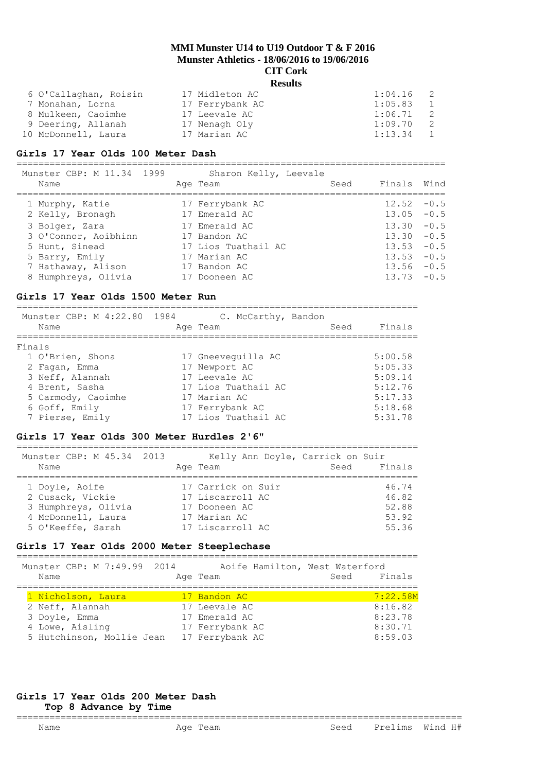| 6 O'Callaghan, Roisin | 17 Midleton AC  | 1:04.16<br>- 2          |  |
|-----------------------|-----------------|-------------------------|--|
| 7 Monahan, Lorna      | 17 Ferrybank AC | 1:05.83<br>$\mathbf{1}$ |  |
| 8 Mulkeen, Caoimhe    | 17 Leevale AC   | 1:06.71<br>2            |  |
| 9 Deering, Allanah    | 17 Nenagh Oly   | 1:09.70<br>2            |  |
| 10 McDonnell, Laura   | 17 Marian AC    | $1:13.34$ 1             |  |

#### **Girls 17 Year Olds 100 Meter Dash**

============================================================================== nster CBP: M 11.34, 1999

| MUNSTEL CDL: M TT.34 1999 SHALON NEITY, DEEVALE |                     |      |               |  |
|-------------------------------------------------|---------------------|------|---------------|--|
| Name                                            | Age Team            | Seed | Finals Wind   |  |
|                                                 |                     |      |               |  |
| 1 Murphy, Katie                                 | 17 Ferrybank AC     |      | $12.52 - 0.5$ |  |
| 2 Kelly, Bronagh                                | 17 Emerald AC       |      | $13.05 - 0.5$ |  |
| 3 Bolger, Zara                                  | 17 Emerald AC       |      | $13.30 - 0.5$ |  |
| 3 O'Connor, Aoibhinn                            | 17 Bandon AC        |      | $13.30 - 0.5$ |  |
| 5 Hunt, Sinead                                  | 17 Lios Tuathail AC |      | $13.53 - 0.5$ |  |
| 5 Barry, Emily                                  | 17 Marian AC        |      | $13.53 - 0.5$ |  |
| 7 Hathaway, Alison                              | 17 Bandon AC        |      | $13.56 - 0.5$ |  |
| 8 Humphreys, Olivia                             | 17 Dooneen AC       |      | $13.73 - 0.5$ |  |
|                                                 |                     |      |               |  |

## **Girls 17 Year Olds 1500 Meter Run**

| Munster CBP: M 4:22.80 1984 | C. McCarthy, Bandon |      |         |
|-----------------------------|---------------------|------|---------|
| Name                        | Age Team            | Seed | Finals  |
| Finals                      |                     |      |         |
| 1 O'Brien, Shona            | 17 Gneeveguilla AC  |      | 5:00.58 |
| 2 Fagan, Emma               | 17 Newport AC       |      | 5:05.33 |
| 3 Neff, Alannah             | 17 Leevale AC       |      | 5:09.14 |
| 4 Brent, Sasha              | 17 Lios Tuathail AC |      | 5:12.76 |
| 5 Carmody, Caoimhe          | 17 Marian AC        |      | 5:17.33 |
| 6 Goff, Emily               | 17 Ferrybank AC     |      | 5:18.68 |
| 7 Pierse, Emily             | 17 Lios Tuathail AC |      | 5:31.78 |

## **Girls 17 Year Olds 300 Meter Hurdles 2'6"**

| Munster CBP: M 45.34 2013<br>Name                                                                    | Kelly Ann Doyle, Carrick on Suir<br>Age Team                                                | Seed Finals                               |
|------------------------------------------------------------------------------------------------------|---------------------------------------------------------------------------------------------|-------------------------------------------|
| 1 Doyle, Aoife<br>2 Cusack, Vickie<br>3 Humphreys, Olivia<br>4 McDonnell, Laura<br>5 O'Keeffe, Sarah | 17 Carrick on Suir<br>17 Liscarroll AC<br>17 Dooneen AC<br>17 Marian AC<br>17 Liscarroll AC | 46.74<br>46.82<br>52.88<br>53.92<br>55.36 |

## **Girls 17 Year Olds 2000 Meter Steeplechase**

| Munster CBP: M 7:49.99 2014 | Aoife Hamilton, West Waterford |      |          |
|-----------------------------|--------------------------------|------|----------|
| Name                        | Age Team                       | Seed | Finals   |
|                             |                                |      |          |
| 1 Nicholson, Laura          | 17 Bandon AC                   |      | 7:22.58M |
| 2 Neff, Alannah             | 17 Leevale AC                  |      | 8:16.82  |
| 3 Doyle, Emma               | 17 Emerald AC                  |      | 8:23.78  |
| 4 Lowe, Aisling             | 17 Ferrybank AC                |      | 8:30.71  |
| 5 Hutchinson, Mollie Jean   | 17 Ferrybank AC                |      | 8:59.03  |

## **Girls 17 Year Olds 200 Meter Dash**

#### **Top 8 Advance by Time**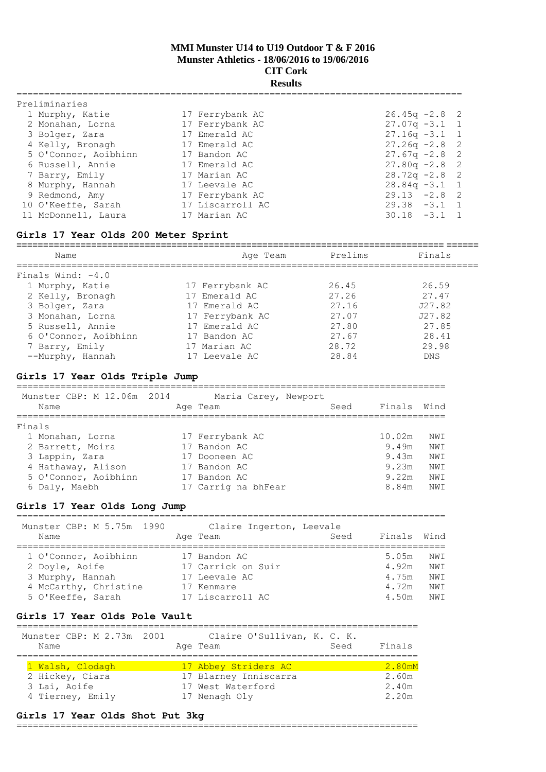## **Results**

| Preliminaries        |                  |                                 |
|----------------------|------------------|---------------------------------|
| 1 Murphy, Katie      | 17 Ferrybank AC  | $26.45q - 2.8$ 2                |
| 2 Monahan, Lorna     | 17 Ferrybank AC  | $27.07q -3.1$ 1                 |
| 3 Bolger, Zara       | 17 Emerald AC    | $27.16q - 3.1$ 1                |
| 4 Kelly, Bronagh     | 17 Emerald AC    | $27.26q -2.8$ 2                 |
| 5 O'Connor, Aoibhinn | 17 Bandon AC     | $27.67q -2.8$ 2                 |
| 6 Russell, Annie     | 17 Emerald AC    | $27.80q -2.8$ 2                 |
| 7 Barry, Emily       | 17 Marian AC     | $28.72q - 2.8$ 2                |
| 8 Murphy, Hannah     | 17 Leevale AC    | $28.84q - 3.1$ 1                |
| 9 Redmond, Amy       | 17 Ferrybank AC  | $29.13 - 2.8$ 2                 |
| 10 O'Keeffe, Sarah   | 17 Liscarroll AC | $29.38 - 3.1$<br>$\overline{1}$ |
| 11 McDonnell, Laura  | 17 Marian AC     | $30.18 - 3.1 1$                 |

## **Girls 17 Year Olds 200 Meter Sprint**

| Name                 | Age Team        | Prelims | Finals     |
|----------------------|-----------------|---------|------------|
| Finals Wind: $-4.0$  |                 |         |            |
| 1 Murphy, Katie      | 17 Ferrybank AC | 26.45   | 26.59      |
| 2 Kelly, Bronagh     | 17 Emerald AC   | 27.26   | 27.47      |
| 3 Bolger, Zara       | 17 Emerald AC   | 27.16   | J27.82     |
| 3 Monahan, Lorna     | 17 Ferrybank AC | 27.07   | J27.82     |
| 5 Russell, Annie     | 17 Emerald AC   | 27.80   | 27.85      |
| 6 O'Connor, Aoibhinn | 17 Bandon AC    | 27.67   | 28.41      |
| 7 Barry, Emily       | 17 Marian AC    | 28.72   | 29.98      |
| --Murphy, Hannah     | 17 Leevale AC   | 28.84   | <b>DNS</b> |

## **Girls 17 Year Olds Triple Jump**

| Munster CBP: M 12.06m 2014<br>Name | Maria Carey, Newport<br>Age Team | Seed | Finals | Wind |
|------------------------------------|----------------------------------|------|--------|------|
| Finals                             |                                  |      |        |      |
| 1 Monahan, Lorna                   | 17 Ferrybank AC                  |      | 10.02m | NWI  |
| 2 Barrett, Moira                   | 17 Bandon AC                     |      | 9.49m  | NWI  |
| 3 Lappin, Zara                     | 17 Dooneen AC                    |      | 9.43m  | NWI  |
| 4 Hathaway, Alison                 | 17 Bandon AC                     |      | 9.23m  | NWI  |
| 5 O'Connor, Aoibhinn               | 17 Bandon AC                     |      | 9.22m  | NWI  |
| 6 Daly, Maebh                      | 17 Carrig na bhFear              |      | 8.84m  | NW T |

## **Girls 17 Year Olds Long Jump**

==============================================================================

| Munster CBP: M 5.75m 1990<br>Name                                                                        | Age Team                                                                              | Claire Ingerton, Leevale<br>Seed | Finals Wind                               |                                     |
|----------------------------------------------------------------------------------------------------------|---------------------------------------------------------------------------------------|----------------------------------|-------------------------------------------|-------------------------------------|
| 1 O'Connor, Aoibhinn<br>2 Doyle, Aoife<br>3 Murphy, Hannah<br>4 McCarthy, Christine<br>5 O'Keeffe, Sarah | 17 Bandon AC<br>17 Carrick on Suir<br>17 Leevale AC<br>17 Kenmare<br>17 Liscarroll AC |                                  | 5.05m<br>4.92m<br>4.75m<br>4.72m<br>4.50m | NWI<br>NW I<br>NW T<br>NW I<br>NW T |

## **Girls 17 Year Olds Pole Vault**

| Munster CBP: M 2.73m 2001<br>Name | Claire O'Sullivan, K. C. K.<br>Age Team | Seed | Finals |
|-----------------------------------|-----------------------------------------|------|--------|
| 1 Walsh, Clodagh                  | 17 Abbey Striders AC                    |      | 2.80mM |
| 2 Hickey, Ciara                   | 17 Blarney Inniscarra                   |      | 2.60m  |
| 3 Lai, Aoife                      | 17 West Waterford                       |      | 2.40m  |
| 4 Tierney, Emily                  | 17 Nenagh Oly                           |      | 2.20m  |

## **Girls 17 Year Olds Shot Put 3kg**

=========================================================================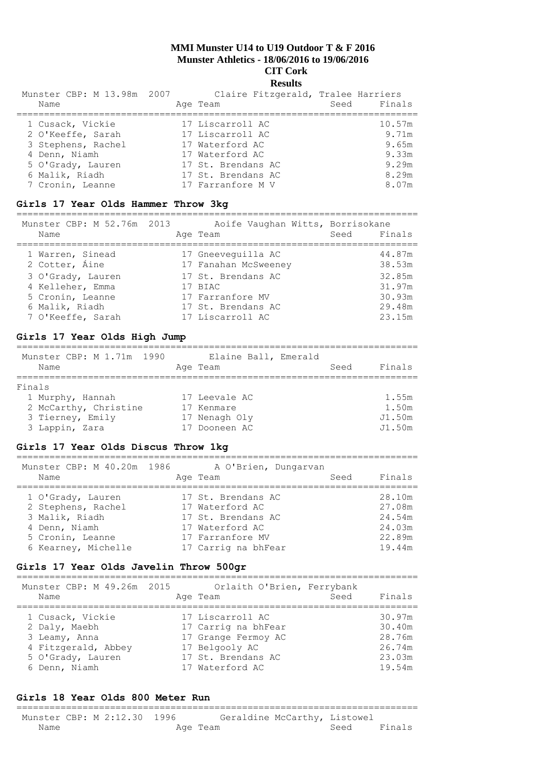| Munster CBP: M 13.98m 2007 | Claire Fitzgerald, Tralee Harriers |             |
|----------------------------|------------------------------------|-------------|
| Name                       | Age Team                           | Seed Finals |
| 1 Cusack, Vickie           | 17 Liscarroll AC                   | 10.57m      |
| 2 O'Keeffe, Sarah          | 17 Liscarroll AC                   | 9.71m       |
| 3 Stephens, Rachel         | 17 Waterford AC                    | 9.65m       |
| 4 Denn, Niamh              | 17 Waterford AC                    | 9.33m       |
| 5 O'Grady, Lauren          | 17 St. Brendans AC                 | 9.29m       |
| 6 Malik, Riadh             | 17 St. Brendans AC                 | 8.29m       |
| 7 Cronin, Leanne           | 17 Farranfore M V                  | 8.07m       |

## **Girls 17 Year Olds Hammer Throw 3kg**

=========================================================================  $M$ unster CBP: M 52.76m 2013 Aoife Vaughan Witts, Borrisokan

| MUNSTER CBP: M 52.76M 2013<br>Name | AOIIE Vaughan Witts, Borrisokane<br>Age Team | Finals<br>Seed   |  |
|------------------------------------|----------------------------------------------|------------------|--|
| 1 Warren, Sinead<br>2 Cotter, Áine | 17 Gneeveguilla AC<br>17 Fanahan McSweeney   | 44.87m<br>38.53m |  |
| 3 O'Grady, Lauren                  | 17 St. Brendans AC                           | 32.85m           |  |
| 4 Kelleher, Emma                   | 17 BIAC                                      | 31.97m           |  |
| 5 Cronin, Leanne                   | 17 Farranfore MV                             | 30.93m           |  |
| 6 Malik, Riadh                     | 17 St. Brendans AC                           | 29.48m           |  |
| 7 O'Keeffe, Sarah                  | 17 Liscarroll AC                             | 23.15m           |  |

## **Girls 17 Year Olds High Jump**

| Munster CBP: M 1.71m 1990<br>Name | Elaine Ball, Emerald<br>Age Team | Finals<br>Seed |
|-----------------------------------|----------------------------------|----------------|
| Finals                            |                                  |                |
| 1 Murphy, Hannah                  | 17 Leevale AC                    | 1.55m          |
| 2 McCarthy, Christine             | 17 Kenmare                       | 1.50m          |
| 3 Tierney, Emily                  | 17 Nenagh Oly                    | J1.50m         |
| 3 Lappin, Zara                    | Dooneen AC                       | J1.50m         |

## **Girls 17 Year Olds Discus Throw 1kg**

| Munster CBP: M 40.20m 1986 |                    |                      |
|----------------------------|--------------------|----------------------|
| Age Team                   | Seed               | Finals               |
|                            |                    |                      |
|                            |                    | 28.10m               |
| 17 Waterford AC            |                    | 27.08m               |
| 17 St. Brendans AC         |                    | 24.54m               |
| 17 Waterford AC            |                    | 24.03m               |
| 17 Farranfore MV           |                    | 22.89m               |
| 17 Carrig na bhFear        |                    | 19.44m               |
|                            | 17 St. Brendans AC | A O'Brien, Dungarvan |

#### **Girls 17 Year Olds Javelin Throw 500gr**

| Munster CBP: M 49.26m 2015<br>Name | Orlaith O'Brien, Ferrybank<br>Age Team  | Finals<br>Seed   |
|------------------------------------|-----------------------------------------|------------------|
| 1 Cusack, Vickie<br>2 Daly, Maebh  | 17 Liscarroll AC<br>17 Carrig na bhFear | 30.97m<br>30.40m |
| 3 Leamy, Anna                      | 17 Grange Fermoy AC                     | 28.76m           |
| 4 Fitzgerald, Abbey                | 17 Belgooly AC                          | 26.74m           |
| 5 O'Grady, Lauren                  | 17 St. Brendans AC                      | 23.03m           |
| 6 Denn, Niamh                      | 17 Waterford AC                         | 19.54m           |

## **Girls 18 Year Olds 800 Meter Run**

=========================================================================

|      | Munster CBP: M 2:12.30 1996 | Geraldine McCarthy, Listowel |      |        |
|------|-----------------------------|------------------------------|------|--------|
| Name |                             | Age Team                     | Seed | Finals |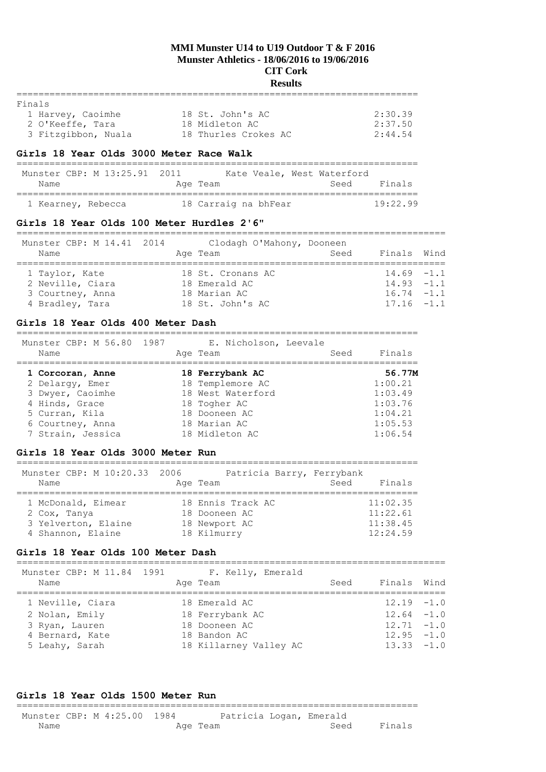# **Results**

| Finals              |                      |         |
|---------------------|----------------------|---------|
| 1 Harvey, Caoimhe   | 18 St. John's AC     | 2:30.39 |
| 2 O'Keeffe, Tara    | 18 Midleton AC       | 2:37.50 |
| 3 Fitzgibbon, Nuala | 18 Thurles Crokes AC | 2:44.54 |

#### **Girls 18 Year Olds 3000 Meter Race Walk**

| Munster CBP: M 13:25.91 2011 | Kate Veale, West Waterford |                |
|------------------------------|----------------------------|----------------|
| Name                         | Age Team                   | Finals<br>Seed |
| 1 Kearney, Rebecca           | 18 Carraig na bhFear       | 19.2299        |

#### **Girls 18 Year Olds 100 Meter Hurdles 2'6"**

| Munster CBP: M 14.41 2014<br>Name | Clodagh O'Mahony, Dooneen<br>Seed<br>Age Team | Finals Wind   |  |
|-----------------------------------|-----------------------------------------------|---------------|--|
| 1 Taylor, Kate                    | 18 St. Cronans AC                             | $14.69 - 1.1$ |  |
| 2 Neville, Ciara                  | 18 Emerald AC                                 | $14.93 - 1.1$ |  |
| 3 Courtney, Anna                  | 18 Marian AC                                  | $16.74 - 1.1$ |  |
| 4 Bradley, Tara                   | 18 St. John's AC                              | $17.16 - 1.1$ |  |

#### **Girls 18 Year Olds 400 Meter Dash**

========================================================================= Munster CBB: M 56.80 1987 E. Nicholson, Leeval

| Seed<br>Age Team<br>Name              | Finals  |
|---------------------------------------|---------|
| 18 Ferrybank AC<br>1 Corcoran, Anne   | 56.77M  |
| 18 Templemore AC<br>2 Delargy, Emer   | 1:00.21 |
| 18 West Waterford<br>3 Dwyer, Caoimhe | 1:03.49 |
| 4 Hinds, Grace<br>18 Togher AC        | 1:03.76 |
| 18 Dooneen AC<br>5 Curran, Kila       | 1:04.21 |
| 18 Marian AC<br>6 Courtney, Anna      | 1:05.53 |
| 7 Strain, Jessica<br>18 Midleton AC   | 1:06.54 |

#### **Girls 18 Year Olds 3000 Meter Run**

| Munster CBP: M 10:20.33 2006 | Patricia Barry, Ferrybank |                |
|------------------------------|---------------------------|----------------|
| Name                         | Age Team                  | Finals<br>Seed |
|                              |                           |                |
| 1 McDonald, Eimear           | 18 Ennis Track AC         | 11:02.35       |
| 2 Cox, Tanya                 | 18 Dooneen AC             | 11:22.61       |
| 3 Yelverton, Elaine          | 18 Newport AC             | 11:38.45       |
| 4 Shannon, Elaine            | 18 Kilmurry               | 12:24.59       |

#### **Girls 18 Year Olds 100 Meter Dash**

| Munster CBP: M 11.84 1991<br>Name | F. Kelly, Emerald<br>Age Team | Seed | Finals Wind   |  |
|-----------------------------------|-------------------------------|------|---------------|--|
| 1 Neville, Ciara                  | 18 Emerald AC                 |      | $12.19 - 1.0$ |  |
| 2 Nolan, Emily                    | 18 Ferrybank AC               |      | $12.64 - 1.0$ |  |
| 3 Ryan, Lauren                    | 18 Dooneen AC                 |      | $12.71 - 1.0$ |  |
| 4 Bernard, Kate                   | 18 Bandon AC                  |      | $12.95 - 1.0$ |  |
| 5 Leahy, Sarah                    | 18 Killarney Valley AC        |      | $13.33 - 1.0$ |  |
|                                   |                               |      |               |  |

#### **Girls 18 Year Olds 1500 Meter Run** =========================================================================

Munster CBP: M 4:25.00 1984 Patricia Logan, Emerald Name Age Team Age Team Seed Finals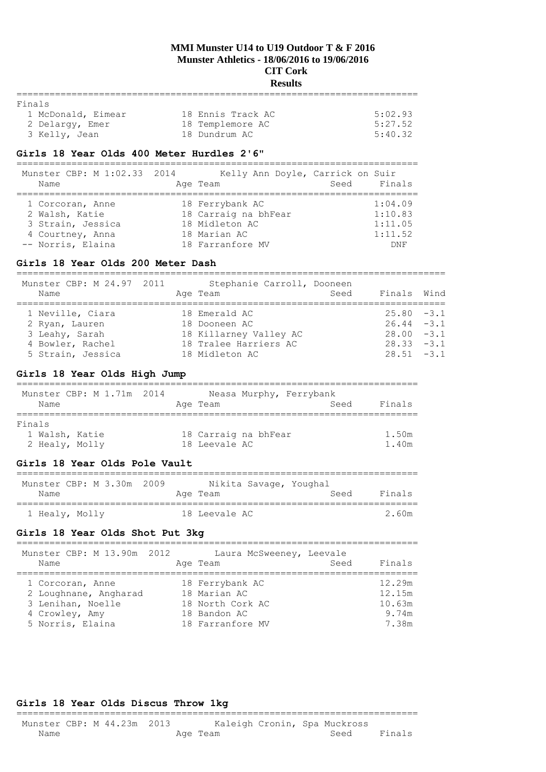# **Results**

| Finals             |                   |         |
|--------------------|-------------------|---------|
| 1 McDonald, Eimear | 18 Ennis Track AC | 5:02.93 |
| 2 Delargy, Emer    | 18 Templemore AC  | 5:27.52 |
| 3 Kelly, Jean      | 18 Dundrum AC     | 5:40.32 |

#### **Girls 18 Year Olds 400 Meter Hurdles 2'6"**

========================================================================= Kelly Ann Doyle, Carrick on Suir

| MUNSLEL CBP; M I; 02.33 ZUI4<br>Name                                                             | REITA WHILE DOATE, CATTICK ON SUIT<br>Age Team                                                | Seed | Finals                                          |
|--------------------------------------------------------------------------------------------------|-----------------------------------------------------------------------------------------------|------|-------------------------------------------------|
| 1 Corcoran, Anne<br>2 Walsh, Katie<br>3 Strain, Jessica<br>4 Courtney, Anna<br>-- Norris, Elaina | 18 Ferrybank AC<br>18 Carraig na bhFear<br>18 Midleton AC<br>18 Marian AC<br>18 Farranfore MV |      | 1:04.09<br>1:10.83<br>1:11.05<br>1:11.52<br>DNF |

## **Girls 18 Year Olds 200 Meter Dash**

| Munster CBP: M 24.97 2011<br>Name | Stephanie Carroll, Dooneen<br>Age Team | Seed | Finals Wind   |  |
|-----------------------------------|----------------------------------------|------|---------------|--|
| 1 Neville, Ciara                  | 18 Emerald AC                          |      | $25.80 - 3.1$ |  |
| 2 Ryan, Lauren                    | 18 Dooneen AC                          |      | $26.44 - 3.1$ |  |
| 3 Leahy, Sarah                    | 18 Killarney Valley AC                 |      | $28.00 - 3.1$ |  |
| 4 Bowler, Rachel                  | 18 Tralee Harriers AC                  |      | $28.33 - 3.1$ |  |
| 5 Strain, Jessica                 | 18 Midleton AC                         |      | $28.51 - 3.1$ |  |

## **Girls 18 Year Olds High Jump**

|        | Name           |  | Munster CBP: M 1.71m 2014 | Age Team             |  | Neasa Murphy, Ferrybank<br>Seed | Finals |
|--------|----------------|--|---------------------------|----------------------|--|---------------------------------|--------|
| Finals |                |  |                           |                      |  |                                 |        |
|        | 1 Walsh, Katie |  |                           | 18 Carraig na bhFear |  |                                 | 1.50m  |
|        | 2 Healy, Molly |  |                           | 18 Leevale AC        |  |                                 | 1.40m  |

#### **Girls 18 Year Olds Pole Vault**

| Munster CBP: M 3.30m 2009 | Nikita Savage, Youghal |                |
|---------------------------|------------------------|----------------|
| Name                      | Age Team               | Finals<br>Seed |
| 1 Healy, Molly            | 18 Leevale AC          | 2 60m          |

## **Girls 18 Year Olds Shot Put 3kg**

=========================================================================

| Munster CBP: M 13.90m 2012 | Laura McSweeney, Leevale |      |        |
|----------------------------|--------------------------|------|--------|
| Name                       | Age Team                 | Seed | Finals |
|                            |                          |      |        |
| 1 Corcoran, Anne           | 18 Ferrybank AC          |      | 12.29m |
| 2 Loughnane, Angharad      | 18 Marian AC             |      | 12.15m |
| 3 Lenihan, Noelle          | 18 North Cork AC         |      | 10.63m |
| 4 Crowley, Amy             | 18 Bandon AC             |      | 9.74m  |
| 5 Norris, Elaina           | 18 Farranfore MV         |      | 7.38m  |

## **Girls 18 Year Olds Discus Throw 1kg**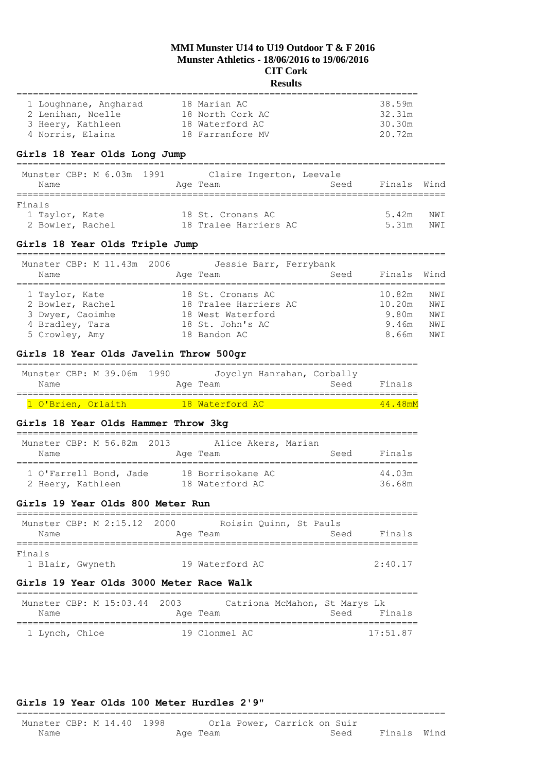# **Results**

| 1 Loughnane, Angharad | 18 Marian AC     | 38.59m             |
|-----------------------|------------------|--------------------|
| 2 Lenihan, Noelle     | 18 North Cork AC | 32.31m             |
| 3 Heery, Kathleen     | 18 Waterford AC  | 30.30 <sub>m</sub> |
| 4 Norris, Elaina      | 18 Farranfore MV | 20.72m             |
|                       |                  |                    |

## **Girls 18 Year Olds Long Jump**

==============================================================================

|                  | Munster CBP: M 6.03m 1991 | Claire Ingerton, Leevale |      |             |      |
|------------------|---------------------------|--------------------------|------|-------------|------|
| Name             |                           | Age Team                 | Seed | Finals Wind |      |
| Finals           |                           |                          |      |             |      |
| 1 Taylor, Kate   |                           | 18 St. Cronans AC        |      | 5.42m       | NWI  |
| 2 Bowler, Rachel |                           | 18 Tralee Harriers AC    |      | 5.31m       | NW T |

#### **Girls 18 Year Olds Triple Jump**

| Munster CBP: M 11.43m 2006 | Jessie Barr, Ferrybank |      |             |      |
|----------------------------|------------------------|------|-------------|------|
| Name                       | Age Team               | Seed | Finals Wind |      |
| 1 Taylor, Kate             | 18 St. Cronans AC      |      | 10.82m      | NW T |
| 2 Bowler, Rachel           | 18 Tralee Harriers AC  |      | 10.20m      | NW T |
| 3 Dwyer, Caoimhe           | 18 West Waterford      |      | 9.80m       | NW T |
| 4 Bradley, Tara            | 18 St. John's AC       |      | 9.46m       | NW T |
| 5 Crowley, Amy             | 18 Bandon AC           |      | 8.66m       | NW T |

## **Girls 18 Year Olds Javelin Throw 500gr**

| Munster CBP: M 39.06m 1990 |  |  |          | Joyclyn Hanrahan, Corbally |      |        |
|----------------------------|--|--|----------|----------------------------|------|--------|
| Name                       |  |  | Age Team |                            | Seed | Finals |
|                            |  |  |          |                            |      |        |

| 1 O'Brien, Orlaith |  | 18 Waterford AC . | 44 48mM |
|--------------------|--|-------------------|---------|
|                    |  |                   |         |

## **Girls 18 Year Olds Hammer Throw 3kg**

| Munster CBP: M 56.82m 2013<br>Name          |  | Alice Akers, Marian<br>Age Team      | Seed | Finals           |
|---------------------------------------------|--|--------------------------------------|------|------------------|
| 1 O'Farrell Bond, Jade<br>2 Heery, Kathleen |  | 18 Borrisokane AC<br>18 Waterford AC |      | 44.03m<br>36.68m |

# **Girls 19 Year Olds 800 Meter Run**

| Munster CBP: M 2:15.12 2000<br>Name | Roisin Quinn, St Pauls<br>Age Team | Seed | Finals  |
|-------------------------------------|------------------------------------|------|---------|
| Finals<br>1 Blair, Gwyneth          | 19 Waterford AC                    |      | 2:40.17 |

## **Girls 19 Year Olds 3000 Meter Race Walk**

| Munster CBP: M 15:03.44 2003 | Catriona McMahon, St Marys Lk | Finals     |
|------------------------------|-------------------------------|------------|
| Name                         | Age Team                      | Seed       |
| 1 Lynch, Chloe               | 19 Clonmel AC                 | $17.51$ 87 |

#### **Girls 19 Year Olds 100 Meter Hurdles 2'9"**

#### ============================================================================== Munster CBP: M 14.40 1998 Orla Power, Carrick on Suir Name **Age Team** Age Team Seed Finals Wind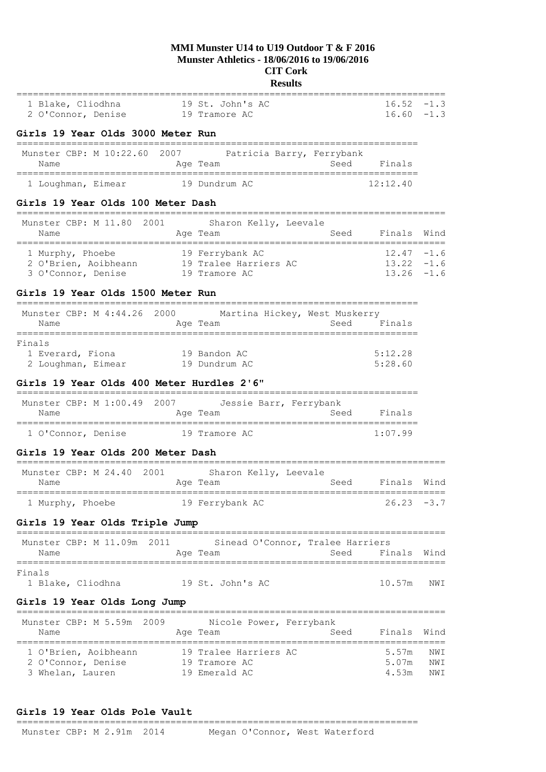# **Results**

| 1 Blake, Cliodhna<br>2 O'Connor, Denise                                                              |                                                                                                                                                                                                                                 | 19 St. John's AC<br>19 Tramore AC                                        |      | $16.52 - 1.3$<br>$16.60 - 1.3$                  |                   |
|------------------------------------------------------------------------------------------------------|---------------------------------------------------------------------------------------------------------------------------------------------------------------------------------------------------------------------------------|--------------------------------------------------------------------------|------|-------------------------------------------------|-------------------|
| Girls 19 Year Olds 3000 Meter Run                                                                    |                                                                                                                                                                                                                                 |                                                                          |      |                                                 |                   |
| ------------------------------------<br>Munster CBP: M 10:22.60 2007<br>Name                         |                                                                                                                                                                                                                                 | Patricia Barry, Ferrybank<br>Age Team                                    |      | Seed Finals                                     |                   |
| 1 Loughman, Eimear                                                                                   |                                                                                                                                                                                                                                 | 19 Dundrum AC                                                            |      | 12:12.40                                        |                   |
| Girls 19 Year Olds 100 Meter Dash                                                                    |                                                                                                                                                                                                                                 |                                                                          |      |                                                 |                   |
| Munster CBP: M 11.80 2001 Sharon Kelly, Leevale<br>Name                                              |                                                                                                                                                                                                                                 | Age Team                                                                 | Seed | Finals                                          | Wind              |
| 1 Murphy, Phoebe 19 Ferrybank AC<br>2 O'Brien, Aoibheann 19 Tralee Harriers AC<br>3 O'Connor, Denise |                                                                                                                                                                                                                                 | 19 Tramore AC                                                            |      | $12.47 - 1.6$<br>$13.22 - 1.6$<br>$13.26 - 1.6$ |                   |
| Girls 19 Year Olds 1500 Meter Run                                                                    |                                                                                                                                                                                                                                 |                                                                          |      |                                                 |                   |
| Munster CBP: M 4:44.26 2000 Martina Hickey, West Muskerry<br>Name                                    |                                                                                                                                                                                                                                 | Age Team                                                                 | Seed | Finals                                          |                   |
| Finals<br>1 Everard, Fiona<br>2 Loughman, Eimear                                                     |                                                                                                                                                                                                                                 | 19 Bandon AC<br>19 Dundrum AC                                            |      | 5:12.28<br>5:28.60                              |                   |
| Girls 19 Year Olds 400 Meter Hurdles 2'6"                                                            |                                                                                                                                                                                                                                 |                                                                          |      |                                                 |                   |
| Munster CBP: M 1:00.49<br>Name                                                                       | 2007 — 2007 — 2007 — 2008 — 2007 — 2007 — 2008 — 2008 — 2008 — 2008 — 2008 — 2008 — 2008 — 2008 — 2008 — 2008 — 2008 — 2008 — 2008 — 2008 — 2008 — 2008 — 2008 — 2008 — 2008 — 2008 — 2008 — 2008 — 2008 — 2008 — 2008 — 2008 — | Jessie Barr, Ferrybank<br>Age Team                                       |      | Seed Finals                                     |                   |
| 1 O'Connor, Denise                                                                                   |                                                                                                                                                                                                                                 | 19 Tramore AC                                                            |      | 1:07.99                                         |                   |
| Girls 19 Year Olds 200 Meter Dash                                                                    |                                                                                                                                                                                                                                 |                                                                          |      |                                                 |                   |
| Munster CBP: M 24.40 2001 Sharon Kelly, Leevale<br>Name                                              |                                                                                                                                                                                                                                 | Age Team                                                                 | Seed | Finals                                          | Wind              |
| 1 Murphy, Phoebe                                                                                     |                                                                                                                                                                                                                                 | 19 Ferrybank AC                                                          |      | $26.23 - 3.7$                                   |                   |
| Girls 19 Year Olds Triple Jump                                                                       |                                                                                                                                                                                                                                 |                                                                          |      |                                                 |                   |
| 2011<br>Munster CBP: M 11.09m<br>Name<br>====================                                        |                                                                                                                                                                                                                                 | Sinead O'Connor, Tralee Harriers<br>Age Team<br>.======================= | Seed | Finals                                          | Wind              |
| Finals<br>1 Blake, Cliodhna                                                                          |                                                                                                                                                                                                                                 | 19 St. John's AC                                                         |      | 10.57m                                          | NWI               |
| Girls 19 Year Olds Long Jump                                                                         |                                                                                                                                                                                                                                 |                                                                          |      |                                                 |                   |
| Munster CBP: M 5.59m 2009<br>Name                                                                    |                                                                                                                                                                                                                                 | Nicole Power, Ferrybank<br>Age Team                                      | Seed | ---------------------------------<br>Finals     | Wind              |
| 1 O'Brien, Aoibheann<br>2 O'Connor, Denise<br>3 Whelan, Lauren                                       |                                                                                                                                                                                                                                 | 19 Tralee Harriers AC<br>19 Tramore AC<br>19 Emerald AC                  |      | 5.57m<br>5.07m<br>4.53m                         | NWI<br>NWI<br>NWI |

#### **Girls 19 Year Olds Pole Vault** =========================================================================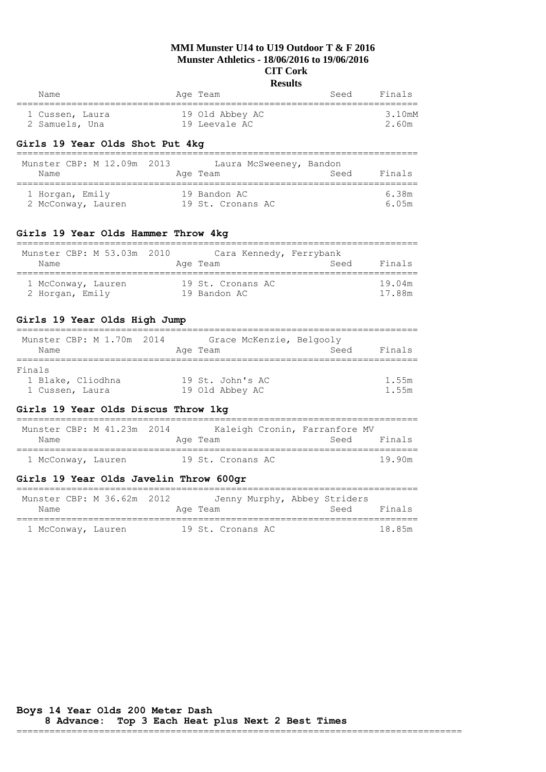| Name            | Age Team        | Finals<br>Seed |
|-----------------|-----------------|----------------|
|                 |                 |                |
| 1 Cussen, Laura | 19 Old Abbey AC | 3.10mM         |
| 2 Samuels, Una  | 19 Leevale AC   | 2.60m          |

## **Girls 19 Year Olds Shot Put 4kg**

| Munster CBP: M 12.09m 2013<br>Name    | Laura McSweeney, Bandon<br>Age Team | Seed | Finals         |
|---------------------------------------|-------------------------------------|------|----------------|
| 1 Horgan, Emily<br>2 McConway, Lauren | 19 Bandon AC<br>19 St. Cronans AC   |      | 6.38m<br>6.05m |

## **Girls 19 Year Olds Hammer Throw 4kg**

| Munster CBP: M 53.03m 2010 | Cara Kennedy, Ferrybank | Finals |
|----------------------------|-------------------------|--------|
| Name                       | Age Team                | Seed   |
| 1 McConway, Lauren         | 19 St. Cronans AC       | 19.04m |
| 2 Horgan, Emily            | 19 Bandon AC            | 17 88m |

## **Girls 19 Year Olds High Jump**

| Munster CBP: M 1.70m 2014 | Grace McKenzie, Belgooly |      |        |
|---------------------------|--------------------------|------|--------|
| Name                      | Age Team                 | Seed | Finals |
|                           |                          |      |        |
| Finals                    |                          |      |        |
| 1 Blake, Cliodhna         | 19 St. John's AC         |      | 1.55m  |
| 1 Cussen, Laura           | 19 Old Abbey AC          |      | 1.55m  |

## **Girls 19 Year Olds Discus Throw 1kg**

| Munster CBP: M 41.23m 2014 |  |                   | Kaleigh Cronin, Farranfore MV |        |
|----------------------------|--|-------------------|-------------------------------|--------|
| Name                       |  | Age Team          | Seed                          | Finals |
|                            |  |                   |                               |        |
| 1 McConway, Lauren         |  | 19 St. Cronans AC |                               | 19 90m |

## **Girls 19 Year Olds Javelin Throw 600gr**

| Munster CBP: M 36.62m 2012 | Jenny Murphy, Abbey Striders | Finals |
|----------------------------|------------------------------|--------|
| Name                       | Age Team                     | Seed   |
| 1 McConway, Lauren         | 19 St. Cronans AC            | 18 85m |

=================================================================================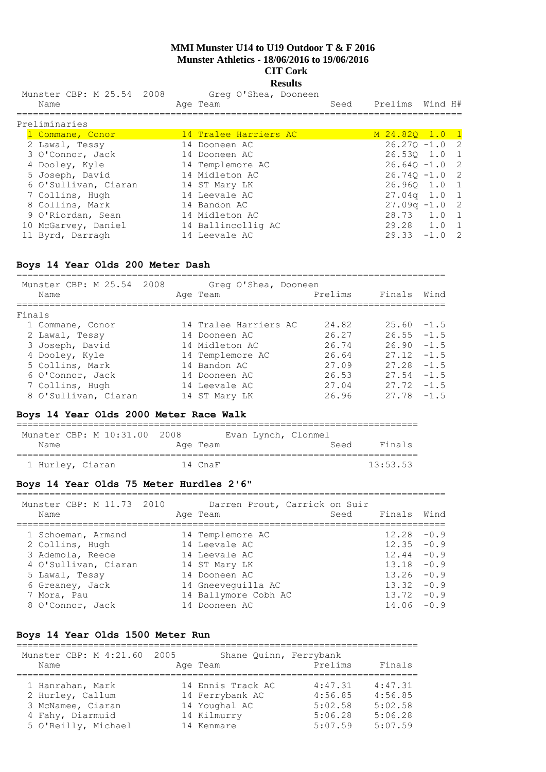# **Results**

| Munster CBP: M 25.54 2008 |  | Greg O'Shea, Dooneen |      |                 |  |
|---------------------------|--|----------------------|------|-----------------|--|
| Name                      |  | Age Team             | Seed | Prelims Wind H# |  |
| Preliminaries             |  |                      |      |                 |  |

| M 24.820 1.0 1 |                                                                                                                                                                                |
|----------------|--------------------------------------------------------------------------------------------------------------------------------------------------------------------------------|
|                |                                                                                                                                                                                |
|                |                                                                                                                                                                                |
|                |                                                                                                                                                                                |
|                |                                                                                                                                                                                |
|                |                                                                                                                                                                                |
|                |                                                                                                                                                                                |
|                |                                                                                                                                                                                |
|                |                                                                                                                                                                                |
|                |                                                                                                                                                                                |
|                |                                                                                                                                                                                |
|                | $26.270 - 1.0$ 2<br>26.530 1.0 1<br>$26.640 - 1.0$ 2<br>$26.740 - 1.0$ 2<br>26.960 1.0 1<br>$27.04q$ 1.0 1<br>$27.09q - 1.0$ 2<br>28.73 1.0 1<br>29.28 1.0 1<br>$29.33 -1.0$ 2 |

#### **Boys 14 Year Olds 200 Meter Dash**

============================================================================== Munster CBP: M 25.54 2008 Greg O'Shea, Dooneen

| MUNSLEI CDP: M ZJ.J4 ZUU0 | ared o plied, poolleell |         |               |  |
|---------------------------|-------------------------|---------|---------------|--|
| Name                      | Age Team                | Prelims | Finals Wind   |  |
|                           |                         |         |               |  |
| Finals                    |                         |         |               |  |
| 1 Commane, Conor          | 14 Tralee Harriers AC   | 24.82   | $25.60 - 1.5$ |  |
| 2 Lawal, Tessy            | 14 Dooneen AC           | 26.27   | $26.55 - 1.5$ |  |
| 3 Joseph, David           | 14 Midleton AC          | 26.74   | $26.90 - 1.5$ |  |
| 4 Dooley, Kyle            | 14 Templemore AC        | 26.64   | $27.12 - 1.5$ |  |
| 5 Collins, Mark           | 14 Bandon AC            | 27.09   | $27.28 - 1.5$ |  |
| 6 O'Connor, Jack          | 14 Dooneen AC           | 26.53   | $27.54 - 1.5$ |  |
| 7 Collins, Hugh           | 14 Leevale AC           | 27.04   | $27.72 - 1.5$ |  |
| 8 O'Sullivan, Ciaran      | 14 ST Mary LK           | 26.96   | $27.78 - 1.5$ |  |
|                           |                         |         |               |  |

## **Boys 14 Year Olds 2000 Meter Race Walk**

|                  | Munster CBP: M 10:31.00 2008 |          | Evan Lynch, Clonmel |      |          |
|------------------|------------------------------|----------|---------------------|------|----------|
| Name             |                              | Age Team |                     | Seed | Finals   |
| 1 Hurley, Ciaran |                              | 14 CnaF  |                     |      | 13:53.53 |

## **Boys 14 Year Olds 75 Meter Hurdles 2'6"**

| Munster CBP: M 11.73 2010<br>Name | Darren Prout, Carrick on Suir<br>Age Team | Seed | Finals Wind   |  |
|-----------------------------------|-------------------------------------------|------|---------------|--|
| 1 Schoeman, Armand                | 14 Templemore AC                          |      | $12.28 - 0.9$ |  |
| 2 Collins, Hugh                   | 14 Leevale AC                             |      | $12.35 - 0.9$ |  |
| 3 Ademola, Reece                  | 14 Leevale AC                             |      | $12.44 - 0.9$ |  |
| 4 O'Sullivan, Ciaran              | 14 ST Mary LK                             |      | $13.18 - 0.9$ |  |
| 5 Lawal, Tessy                    | 14 Dooneen AC                             |      | $13.26 - 0.9$ |  |
| 6 Greaney, Jack                   | 14 Gneeveguilla AC                        |      | $13.32 - 0.9$ |  |
| 7 Mora, Pau                       | 14 Ballymore Cobh AC                      |      | $13.72 - 0.9$ |  |
| 8 O'Connor, Jack                  | 14 Dooneen AC                             |      | $14.06 - 0.9$ |  |

## **Boys 14 Year Olds 1500 Meter Run**

| Munster CBP: M 4:21.60 2005<br>Name | Shane Ouinn, Ferrybank<br>Age Team | Prelims | Finals  |
|-------------------------------------|------------------------------------|---------|---------|
|                                     |                                    |         |         |
| 1 Hanrahan, Mark                    | 14 Ennis Track AC                  | 4:47.31 | 4:47.31 |
| 2 Hurley, Callum                    | 14 Ferrybank AC                    | 4:56.85 | 4:56.85 |
| 3 McNamee, Ciaran                   | 14 Youghal AC                      | 5:02.58 | 5:02.58 |
| 4 Fahy, Diarmuid                    | 14 Kilmurry                        | 5:06.28 | 5:06.28 |
| 5 O'Reilly, Michael                 | 14 Kenmare                         | 5:07.59 | 5:07.59 |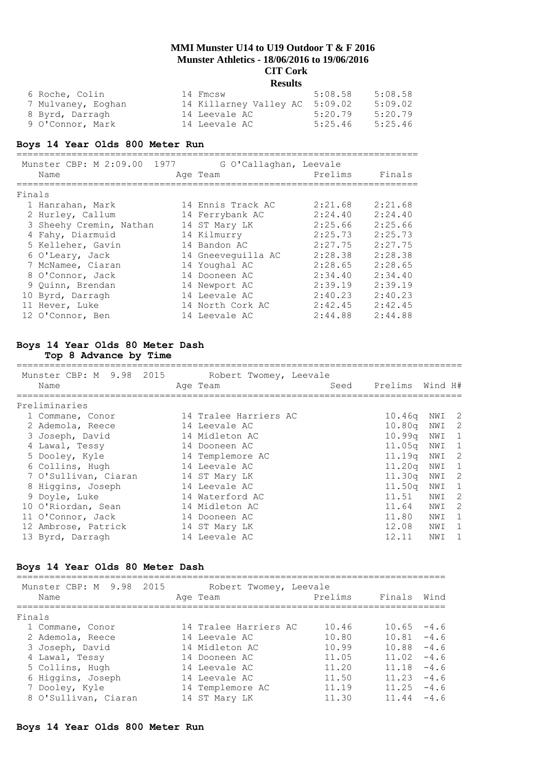| 6 Roche, Colin     | 14 Fmcsw                       | 5:08.58 | 5:08.58 |
|--------------------|--------------------------------|---------|---------|
| 7 Mulvaney, Eoghan | 14 Killarney Valley AC 5:09.02 |         | 5:09.02 |
| 8 Byrd, Darragh    | 14 Leevale AC                  | 5:20.79 | 5:20.79 |
| 9 O'Connor, Mark   | 14 Leevale AC                  | 5:25.46 | 5:25.46 |

#### **Boys 14 Year Olds 800 Meter Run**

========================================================================= Munster CBP: M 2:09.00 1977 G O'Callaghan, Leevale Name **Age Team** Prelims Finals ========================================================================= Finals 1 Hanrahan, Mark 14 Ennis Track AC 2:21.68 2:21.68 2 Hurley, Callum 14 Ferrybank AC 2:24.40 2:24.40 3 Sheehy Cremin, Nathan 14 ST Mary LK 2:25.66 2:25.66 4 Fahy, Diarmuid 14 Kilmurry 2:25.73 2:25.73 5 Kelleher, Gavin 14 Bandon AC 2:27.75 2:27.75 6 O'Leary, Jack 14 Gneeveguilla AC 2:28.38 2:28.38 7 McNamee, Ciaran 14 Youghal AC 2:28.65 2:28.65 8 O'Connor, Jack 14 Dooneen AC 2:34.40 2:34.40 9 Quinn, Brendan 14 Newport AC 2:39.19 2:39.19 10 Byrd, Darragh 14 Leevale AC 2:40.23 2:40.23 11 Hever, Luke 14 North Cork AC 2:42.45 2:42.45 12 O'Connor, Ben 14 Leevale AC 2:44.88 2:44.88

# **Boys 14 Year Olds 80 Meter Dash**

**Top 8 Advance by Time**

| Munster CBP: M 9.98 2015 | Robert Twomey, Leevale |      |                    |         |                            |
|--------------------------|------------------------|------|--------------------|---------|----------------------------|
| Name                     | Age Team               | Seed | Prelims            | Wind H# |                            |
| Preliminaries            |                        |      |                    |         |                            |
| 1 Commane, Conor         | 14 Tralee Harriers AC  |      | 10.46q             | NWI 2   |                            |
| 2 Ademola, Reece         | 14 Leevale AC          |      | 10.80 <sub>q</sub> | NWI     | $\overline{\phantom{0}}^2$ |
| 3 Joseph, David          | 14 Midleton AC         |      | 10.99 <sub>q</sub> | NWI     | $\overline{1}$             |
| 4 Lawal, Tessy           | 14 Dooneen AC          |      | 11.05a             | NWI     | $\overline{1}$             |
| 5 Dooley, Kyle           | 14 Templemore AC       |      | 11.19q             | NWI 2   |                            |
| 6 Collins, Hugh          | 14 Leevale AC          |      | 11.20a             | NWI 1   |                            |
| 7 O'Sullivan, Ciaran     | 14 ST Mary LK          |      | 11.30q             | NWI     | $\overline{\phantom{0}}^2$ |
| 8 Higgins, Joseph        | 14 Leevale AC          |      | 11.50 <sub>q</sub> | NWI     | $\overline{1}$             |
| 9 Doyle, Luke            | 14 Waterford AC        |      | 11.51              | NWI     | -2                         |
| 10 O'Riordan, Sean       | 14 Midleton AC         |      | 11.64              | NWI     | - 2                        |
| 11 O'Connor, Jack        | 14 Dooneen AC          |      | 11.80              | NWI     | - 1                        |
| 12 Ambrose, Patrick      | 14 ST Mary LK          |      | 12.08              | NWI     | $\overline{1}$             |
| 13 Byrd, Darragh         | 14 Leevale AC          |      | 12.11              | NWI     | $\overline{1}$             |

#### **Boys 14 Year Olds 80 Meter Dash** ==============================================================================

| Munster CBP: M 9.98 2015<br>Name | Robert Twomey, Leevale<br>Age Team | Prelims | Finals | Wind   |
|----------------------------------|------------------------------------|---------|--------|--------|
| Finals                           |                                    |         |        |        |
| 1 Commane, Conor                 | 14 Tralee Harriers AC              | 10.46   | 10.65  | $-4.6$ |
| 2 Ademola, Reece                 | 14 Leevale AC                      | 10.80   | 10.81  | $-4.6$ |
| 3 Joseph, David                  | 14 Midleton AC                     | 10.99   | 10.88  | $-4.6$ |
| 4 Lawal, Tessy                   | 14 Dooneen AC                      | 11.05   | 11.02  | $-4.6$ |
| 5 Collins, Hugh                  | 14 Leevale AC                      | 11.20   | 11.18  | $-4.6$ |
| 6 Higgins, Joseph                | 14 Leevale AC                      | 11.50   | 11.23  | $-4.6$ |
| 7 Dooley, Kyle                   | 14 Templemore AC                   | 11.19   | 11.25  | $-4.6$ |
| 8 O'Sullivan, Ciaran             | 14 ST Mary LK                      | 11.30   | 11.44  | $-4.6$ |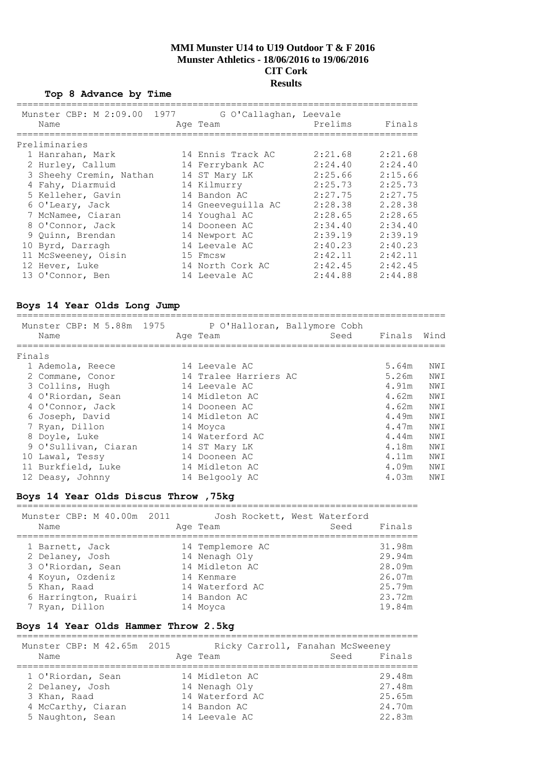## **Top 8 Advance by Time**

| Munster CBP: M 2:09.00 1977<br>Name | G O'Callaghan, Leevale<br>Age Team | Prelims | Finals  |
|-------------------------------------|------------------------------------|---------|---------|
| Preliminaries                       |                                    |         |         |
| 1 Hanrahan, Mark                    | 14 Ennis Track AC                  | 2:21.68 | 2:21.68 |
| 2 Hurley, Callum                    | 14 Ferrybank AC                    | 2:24.40 | 2:24.40 |
| 3 Sheehy Cremin, Nathan             | 14 ST Mary LK                      | 2:25.66 | 2:15.66 |
| 4 Fahy, Diarmuid                    | 14 Kilmurry                        | 2:25.73 | 2:25.73 |
| 5 Kelleher, Gavin                   | 14 Bandon AC                       | 2:27.75 | 2:27.75 |
| 6 O'Leary, Jack                     | 14 Gneeveguilla AC                 | 2:28.38 | 2.28.38 |
| 7 McNamee, Ciaran                   | 14 Youghal AC                      | 2:28.65 | 2:28.65 |
| 8 O'Connor, Jack                    | 14 Dooneen AC                      | 2:34.40 | 2:34.40 |
| 9 Ouinn, Brendan                    | 14 Newport AC                      | 2:39.19 | 2:39.19 |
| 10 Byrd, Darragh                    | 14 Leevale AC                      | 2:40.23 | 2:40.23 |
| 11 McSweeney, Oisin                 | 15 Fmcsw                           | 2:42.11 | 2:42.11 |
| 12 Hever, Luke                      | 14 North Cork AC                   | 2:42.45 | 2:42.45 |
| 13 O'Connor, Ben                    | 14 Leevale AC                      | 2:44.88 | 2:44.88 |

## **Boys 14 Year Olds Long Jump**

| Name |                                                                                                                                                                                                                                                       |                                                                                                                                                                                                      | Finals                                                                          | Wind |
|------|-------------------------------------------------------------------------------------------------------------------------------------------------------------------------------------------------------------------------------------------------------|------------------------------------------------------------------------------------------------------------------------------------------------------------------------------------------------------|---------------------------------------------------------------------------------|------|
|      |                                                                                                                                                                                                                                                       |                                                                                                                                                                                                      |                                                                                 |      |
|      |                                                                                                                                                                                                                                                       |                                                                                                                                                                                                      | 5.64m                                                                           | NWI  |
|      |                                                                                                                                                                                                                                                       |                                                                                                                                                                                                      | 5.26m                                                                           | NWI  |
|      |                                                                                                                                                                                                                                                       |                                                                                                                                                                                                      | 4.91m                                                                           | NWI  |
|      |                                                                                                                                                                                                                                                       |                                                                                                                                                                                                      | 4.62m                                                                           | NWI  |
|      |                                                                                                                                                                                                                                                       |                                                                                                                                                                                                      | 4.62m                                                                           | NWI  |
|      |                                                                                                                                                                                                                                                       |                                                                                                                                                                                                      | 4.49m                                                                           | NWI  |
|      |                                                                                                                                                                                                                                                       |                                                                                                                                                                                                      | 4.47m                                                                           | NWI  |
|      |                                                                                                                                                                                                                                                       |                                                                                                                                                                                                      | 4.44m                                                                           | NWI  |
|      |                                                                                                                                                                                                                                                       |                                                                                                                                                                                                      | 4.18m                                                                           | NWI  |
|      |                                                                                                                                                                                                                                                       |                                                                                                                                                                                                      | 4.11m                                                                           | NWI  |
|      |                                                                                                                                                                                                                                                       |                                                                                                                                                                                                      | 4.09m                                                                           | NWI  |
|      |                                                                                                                                                                                                                                                       |                                                                                                                                                                                                      | 4.03m                                                                           | NWI  |
|      | Finals<br>1 Ademola, Reece<br>2 Commane, Conor<br>3 Collins, Hugh<br>4 O'Riordan, Sean<br>4 O'Connor, Jack<br>6 Joseph, David<br>7 Ryan, Dillon<br>8 Doyle, Luke<br>9 O'Sullivan, Ciaran<br>10 Lawal, Tessy<br>11 Burkfield, Luke<br>12 Deasy, Johnny | Age Team<br>14 Leevale AC<br>14 Leevale AC<br>14 Midleton AC<br>14 Dooneen AC<br>14 Midleton AC<br>14 Moyca<br>14 Waterford AC<br>14 ST Mary LK<br>14 Dooneen AC<br>14 Midleton AC<br>14 Belgooly AC | Munster CBP: M 5.88m 1975 P O'Halloran, Ballymore Cobh<br>14 Tralee Harriers AC | Seed |

## **Boys 14 Year Olds Discus Throw ,75kg**

=========================================================================

| Munster CBP: M 40.00m 2011<br>Name | Age Team         | Josh Rockett, West Waterford<br>Seed | Finals |
|------------------------------------|------------------|--------------------------------------|--------|
|                                    |                  |                                      |        |
| 1 Barnett, Jack                    | 14 Templemore AC |                                      | 31.98m |
| 2 Delaney, Josh                    | 14 Nenagh Oly    |                                      | 29.94m |
| 3 O'Riordan, Sean                  | 14 Midleton AC   |                                      | 28.09m |
| 4 Koyun, Ozdeniz                   | 14 Kenmare       |                                      | 26.07m |
| 5 Khan, Raad                       | 14 Waterford AC  |                                      | 25.79m |
| 6 Harrington, Ruairi               | 14 Bandon AC     |                                      | 23.72m |
| 7 Ryan, Dillon                     | 14 Moyca         |                                      | 19.84m |

## **Boys 14 Year Olds Hammer Throw 2.5kg**

=========================================================================

| Munster CBP: M 42.65m 2015<br>Name | Age Team        | Ricky Carroll, Fanahan McSweeney<br>Finals<br>Seed |
|------------------------------------|-----------------|----------------------------------------------------|
| 1 O'Riordan, Sean                  | 14 Midleton AC  | 29.48m                                             |
| 2 Delaney, Josh                    | 14 Nenagh Oly   | 27.48m                                             |
| 3 Khan, Raad                       | 14 Waterford AC | 25.65m                                             |
| 4 McCarthy, Ciaran                 | 14 Bandon AC    | 24.70m                                             |
| 5 Naughton, Sean                   | 14 Leevale AC   | 22.83m                                             |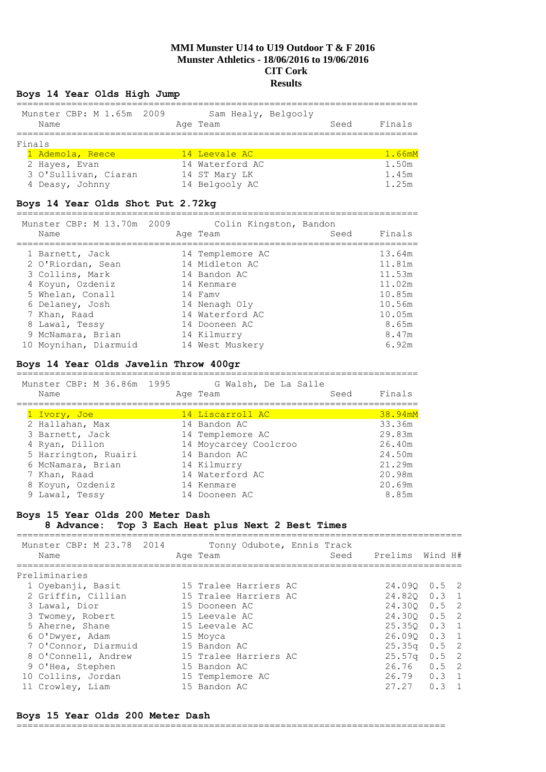## **Boys 14 Year Olds High Jump**

| Name             | Munster CBP: M 1.65m 2009 |  | Age Team      | Sam Healy, Belgooly | Seed | Finals       |
|------------------|---------------------------|--|---------------|---------------------|------|--------------|
| Finals           |                           |  |               |                     |      |              |
| 1 Ademola, Reece |                           |  | 14 Leevale AC |                     |      | $1.66$ m $M$ |

| <u>I AUCHULIA, NEECE </u> | TA PEEVATE WA   | $\perp$ . O OHIT |
|---------------------------|-----------------|------------------|
| 2 Hayes, Evan             | 14 Waterford AC | 1.50m            |
| 3 O'Sullivan, Ciaran      | 14 ST Mary LK   | 1.45m            |
| 4 Deasy, Johnny           | 14 Belgooly AC  | 1.25m            |
|                           |                 |                  |

## **Boys 14 Year Olds Shot Put 2.72kg**

========================================================================= Munster CBP: M 13.70m 2009 Colin Kingston, Bandon

| MUNSLEL CBP; M IS./UM 2009<br>Name | COIIN RINGSCON, Bandon<br>Age Team | Seed | Finals |
|------------------------------------|------------------------------------|------|--------|
| 1 Barnett, Jack                    | 14 Templemore AC                   |      | 13.64m |
| 2 O'Riordan, Sean                  | 14 Midleton AC                     |      | 11.81m |
| 3 Collins, Mark                    | 14 Bandon AC                       |      | 11.53m |
| 4 Koyun, Ozdeniz                   | 14 Kenmare                         |      | 11.02m |
| 5 Whelan, Conall                   | 14 Famv                            |      | 10.85m |
| 6 Delaney, Josh                    | 14 Nenagh Oly                      |      | 10.56m |
| 7 Khan, Raad                       | 14 Waterford AC                    |      | 10.05m |
| 8 Lawal, Tessy                     | 14 Dooneen AC                      |      | 8.65m  |
| 9 McNamara, Brian                  | 14 Kilmurry                        |      | 8.47m  |
| 10 Moynihan, Diarmuid              | 14 West Muskery                    |      | 6.92m  |

## **Boys 14 Year Olds Javelin Throw 400gr**

=========================================================================

| Munster CBP: M 36.86m 1995 | G Walsh, De La Salle  |         |
|----------------------------|-----------------------|---------|
| Name                       | Seed<br>Age Team      | Finals  |
|                            |                       |         |
| 1 Ivory, Joe               | 14 Liscarroll AC      | 38.94mM |
| 2 Hallahan, Max            | 14 Bandon AC          | 33.36m  |
| 3 Barnett, Jack            | 14 Templemore AC      | 29.83m  |
| 4 Ryan, Dillon             | 14 Moycarcey Coolcroo | 26.40m  |
| 5 Harrington, Ruairi       | 14 Bandon AC          | 24.50m  |
| 6 McNamara, Brian          | 14 Kilmurry           | 21.29m  |
| 7 Khan, Raad               | 14 Waterford AC       | 20.98m  |
| 8 Koyun, Ozdeniz           | 14 Kenmare            | 20.69m  |
| 9 Lawal, Tessy             | 14 Dooneen AC         | 8.85m   |

#### **Boys 15 Year Olds 200 Meter Dash**

**8 Advance: Top 3 Each Heat plus Next 2 Best Times** =================================================================================

| Munster CBP: M 23.78 2014<br>Name | Tonny Odubote, Ennis Track<br>Age Team | Seed | Prelims        | Wind H# |  |
|-----------------------------------|----------------------------------------|------|----------------|---------|--|
| Preliminaries                     |                                        |      |                |         |  |
| 1 Oyebanji, Basit                 | 15 Tralee Harriers AC                  |      | $24.090$ 0.5 2 |         |  |
| 2 Griffin, Cillian                | 15 Tralee Harriers AC                  |      | 24.820 0.3 1   |         |  |
| 3 Lawal, Dior                     | 15 Dooneen AC                          |      | 24.300 0.5 2   |         |  |
| 3 Twomey, Robert                  | 15 Leevale AC                          |      | 24.300 0.5 2   |         |  |
| 5 Aherne, Shane                   | 15 Leevale AC                          |      | $25.350$ 0.3 1 |         |  |
| 6 O'Dwyer, Adam                   | 15 Moyca                               |      | 26.090 0.3 1   |         |  |
| 7 O'Connor, Diarmuid              | 15 Bandon AC                           |      | $25.35q$ 0.5 2 |         |  |
| 8 O'Connell, Andrew               | 15 Tralee Harriers AC                  |      | $25.57q$ 0.5 2 |         |  |
| 9 O'Hea, Stephen                  | 15 Bandon AC                           |      | $26.76$ 0.5 2  |         |  |
| 10 Collins, Jordan                | 15 Templemore AC                       |      | 26.79 0.3 1    |         |  |
| 11 Crowley, Liam                  | 15 Bandon AC                           |      | $27.27$ 0.3 1  |         |  |

## **Boys 15 Year Olds 200 Meter Dash**

==============================================================================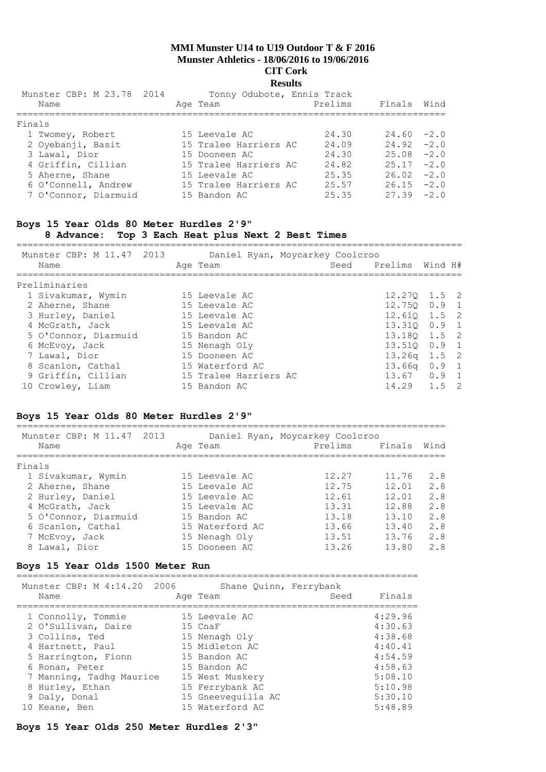# **Results**

| Munster CBP: M 23.78 2014<br>Name | Tonny Odubote, Ennis Track<br>Age Team | Prelims | Finals        | Wind |
|-----------------------------------|----------------------------------------|---------|---------------|------|
| Finals                            |                                        |         |               |      |
| 1 Twomey, Robert                  | 15 Leevale AC                          | 24.30   | $24.60 - 2.0$ |      |
| 2 Oyebanji, Basit                 | 15 Tralee Harriers AC                  | 24.09   | $24.92 - 2.0$ |      |
| 3 Lawal, Dior                     | 15 Dooneen AC                          | 24.30   | $25.08 - 2.0$ |      |
| 4 Griffin, Cillian                | 15 Tralee Harriers AC                  | 24.82   | $25.17 -2.0$  |      |
| 5 Aherne, Shane                   | 15 Leevale AC                          | 25.35   | $26.02 -2.0$  |      |
| 6 O'Connell, Andrew               | 15 Tralee Harriers AC                  | 25.57   | $26.15 -2.0$  |      |
| 7 O'Connor, Diarmuid              | 15 Bandon AC                           | 25.35   | $27.39 - 2.0$ |      |
|                                   |                                        |         |               |      |

## **Boys 15 Year Olds 80 Meter Hurdles 2'9"**

## **8 Advance: Top 3 Each Heat plus Next 2 Best Times**

=================================================================================

| Munster CBP: M 11.47 2013<br>Name | Age Team              | Daniel Ryan, Moycarkey Coolcroo | Seed Prelims Wind H# |               |  |
|-----------------------------------|-----------------------|---------------------------------|----------------------|---------------|--|
| Preliminaries                     |                       |                                 |                      |               |  |
| 1 Sivakumar, Wymin                | 15 Leevale AC         |                                 | $12.270$ $1.5$ 2     |               |  |
| 2 Aherne, Shane                   | 15 Leevale AC         |                                 | 12.750 0.9 1         |               |  |
| 3 Hurley, Daniel                  | 15 Leevale AC         |                                 | 12.610 1.5 2         |               |  |
| 4 McGrath, Jack                   | 15 Leevale AC         |                                 | 13.310 0.9 1         |               |  |
| 5 O'Connor, Diarmuid              | 15 Bandon AC          |                                 | 13.180 1.5 2         |               |  |
| 6 McEvoy, Jack                    | 15 Nenagh Oly         |                                 | 13.510 0.9 1         |               |  |
| 7 Lawal, Dior                     | 15 Dooneen AC         |                                 | $13.26q$ $1.5$ 2     |               |  |
| 8 Scanlon, Cathal                 | 15 Waterford AC       |                                 | 13.66a               | $0.9 \quad 1$ |  |
| 9 Griffin, Cillian                | 15 Tralee Harriers AC |                                 | $13.67$ 0.9 1        |               |  |
| 10 Crowley, Liam                  | 15 Bandon AC          |                                 | $14.29$ 1.5 2        |               |  |

## **Boys 15 Year Olds 80 Meter Hurdles 2'9"**

| Munster CBP: M 11.47<br>2013<br>Name | Age Team        | Daniel Ryan, Moycarkey Coolcroo<br>Prelims | Finals | Wind |
|--------------------------------------|-----------------|--------------------------------------------|--------|------|
| Finals                               |                 |                                            |        |      |
| 1 Sivakumar, Wymin                   | 15 Leevale AC   | 12.27                                      | 11.76  | 2.8  |
| 2 Aherne, Shane                      | 15 Leevale AC   | 12.75                                      | 12.01  | 2.8  |
| 2 Hurley, Daniel                     | 15 Leevale AC   | 12.61                                      | 12.01  | 2.8  |
| 4 McGrath, Jack                      | 15 Leevale AC   | 13.31                                      | 12.88  | 2.8  |
| 5 O'Connor, Diarmuid                 | 15 Bandon AC    | 13.18                                      | 13.10  | 2.8  |
| 6 Scanlon, Cathal                    | 15 Waterford AC | 13.66                                      | 13.40  | 2.8  |
| 7 McEvoy, Jack                       | 15 Nenagh Oly   | 13.51                                      | 13.76  | 2.8  |
| 8 Lawal, Dior                        | 15 Dooneen AC   | 13.26                                      | 13.80  | 2.8  |
|                                      |                 |                                            |        |      |

## **Boys 15 Year Olds 1500 Meter Run**

=========================================================================

| Munster CBP: M 4:14.20 2006 | Shane Quinn, Ferrybank |      |         |
|-----------------------------|------------------------|------|---------|
| Name                        | Age Team               | Seed | Finals  |
|                             |                        |      | 4:29.96 |
| 1 Connolly, Tommie          | 15 Leevale AC          |      |         |
| 2 O'Sullivan, Daire         | 15 CnaF                |      | 4:30.63 |
| 3 Collins, Ted              | 15 Nenagh Oly          |      | 4:38.68 |
| 4 Hartnett, Paul            | 15 Midleton AC         |      | 4:40.41 |
| 5 Harrington, Fionn         | 15 Bandon AC           |      | 4:54.59 |
| 6 Ronan, Peter              | 15 Bandon AC           |      | 4:58.63 |
| 7 Manning, Tadhq Maurice    | 15 West Muskery        |      | 5:08.10 |
| 8 Hurley, Ethan             | 15 Ferrybank AC        |      | 5:10.98 |
| 9 Daly, Donal               | 15 Gneeveguilla AC     |      | 5:30.10 |
| 10 Keane, Ben               | 15 Waterford AC        |      | 5:48.89 |

## **Boys 15 Year Olds 250 Meter Hurdles 2'3"**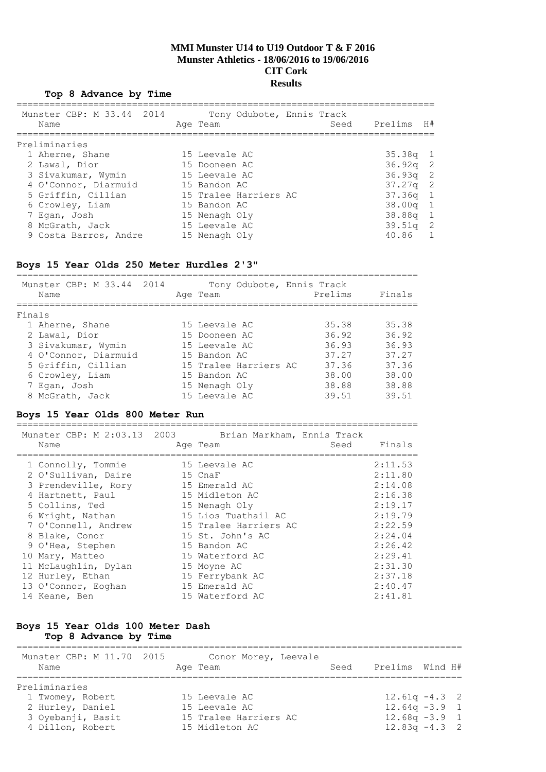#### **Top 8 Advance by Time**

| Munster CBP: M 33.44 2014<br>Name | Tony Odubote, Ennis Track<br>Seed<br>Age Team | Prelims    | H# |
|-----------------------------------|-----------------------------------------------|------------|----|
| Preliminaries                     |                                               |            |    |
| 1 Aherne, Shane                   | 15 Leevale AC                                 | $35.38q$ 1 |    |
| 2 Lawal, Dior                     | 15 Dooneen AC                                 | $36.92q$ 2 |    |
| 3 Sivakumar, Wymin                | 15 Leevale AC                                 | $36.93q$ 2 |    |
| 4 O'Connor, Diarmuid              | 15 Bandon AC                                  | $37.27q$ 2 |    |
| 5 Griffin, Cillian                | 15 Tralee Harriers AC                         | $37.36q$ 1 |    |
| 6 Crowley, Liam                   | 15 Bandon AC                                  | $38.00q$ 1 |    |
| 7 Egan, Josh                      | 15 Nenagh Oly                                 | 38.88a 1   |    |
| 8 McGrath, Jack                   | 15 Leevale AC                                 | $39.51q$ 2 |    |
| 9 Costa Barros, Andre             | 15 Nenagh Oly                                 | 40.86 1    |    |
|                                   |                                               |            |    |

#### **Boys 15 Year Olds 250 Meter Hurdles 2'3"**

| Munster CBP: M 33.44 2014<br>Name | Tony Odubote, Ennis Track<br>Age Team | Prelims | Finals |
|-----------------------------------|---------------------------------------|---------|--------|
| Finals                            |                                       |         |        |
| 1 Aherne, Shane                   | 15 Leevale AC                         | 35.38   | 35.38  |
| 2 Lawal, Dior                     | 15 Dooneen AC                         | 36.92   | 36.92  |
| 3 Sivakumar, Wymin                | 15 Leevale AC                         | 36.93   | 36.93  |
| 4 O'Connor, Diarmuid              | 15 Bandon AC                          | 37.27   | 37.27  |
| 5 Griffin, Cillian                | 15 Tralee Harriers AC                 | 37.36   | 37.36  |
| 6 Crowley, Liam                   | 15 Bandon AC                          | 38.00   | 38.00  |
| 7 Egan, Josh                      | 15 Nenagh Oly                         | 38.88   | 38.88  |
| 8 McGrath, Jack                   | 15 Leevale AC                         | 39.51   | 39.51  |

## **Boys 15 Year Olds 800 Meter Run**

========================================================================= Rrian Markham, Ennis Tra

| Name                 | Age Team              | Seed | Finals  |
|----------------------|-----------------------|------|---------|
|                      |                       |      |         |
| 1 Connolly, Tommie   | 15 Leevale AC         |      | 2:11.53 |
| 2 O'Sullivan, Daire  | 15 CnaF               |      | 2:11.80 |
| 3 Prendeville, Rory  | 15 Emerald AC         |      | 2:14.08 |
| 4 Hartnett, Paul     | 15 Midleton AC        |      | 2:16.38 |
| 5 Collins, Ted       | 15 Nenagh Oly         |      | 2:19.17 |
| 6 Wright, Nathan     | 15 Lios Tuathail AC   |      | 2:19.79 |
| 7 O'Connell, Andrew  | 15 Tralee Harriers AC |      | 2:22.59 |
| 8 Blake, Conor       | 15 St. John's AC      |      | 2:24.04 |
| 9 O'Hea, Stephen     | 15 Bandon AC          |      | 2:26.42 |
| 10 Mary, Matteo      | 15 Waterford AC       |      | 2:29.41 |
| 11 McLaughlin, Dylan | 15 Moyne AC           |      | 2:31.30 |
| 12 Hurley, Ethan     | 15 Ferrybank AC       |      | 2:37.18 |
| 13 O'Connor, Eoghan  | 15 Emerald AC         |      | 2:40.47 |
| 14 Keane, Ben        | 15 Waterford AC       |      | 2:41.81 |
|                      |                       |      |         |

## **Boys 15 Year Olds 100 Meter Dash Top 8 Advance by Time**

#### ================================================================================= ----------------<br>Munster CBP: M 11.70 2015 Conor Morey, Leevale Name Manne Age Team Charles Seed Prelims Wind H# ================================================================================= Preliminaries 1 Twomey, Robert 15 Leevale AC 12.61q -4.3 2 2 Hurley, Daniel 15 Leevale AC 12.64q -3.9 1 3 Oyebanji, Basit 15 Tralee Harriers AC 12.68q -3.9 1 4 Dillon, Robert 15 Midleton AC 12.83q -4.3 2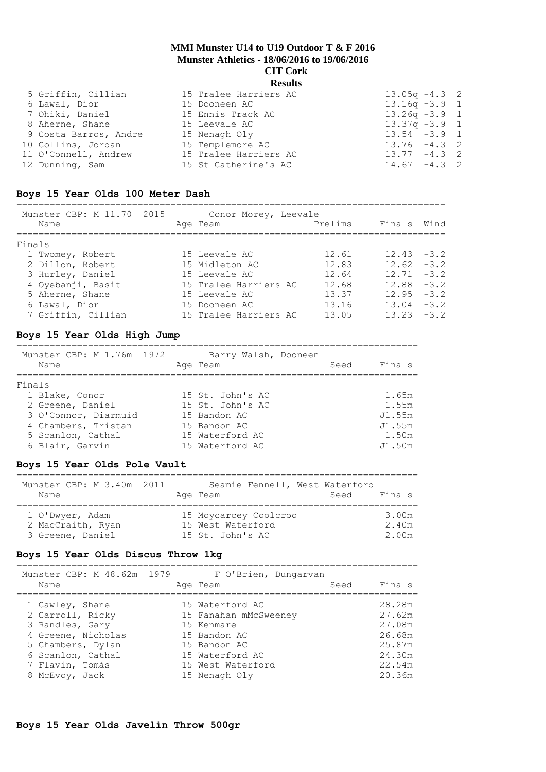| 5 Griffin, Cillian    | 15 Tralee Harriers AC | $13.05q - 4.3$ 2 |  |
|-----------------------|-----------------------|------------------|--|
| 6 Lawal, Dior         | 15 Dooneen AC         | $13.16q - 3.9$ 1 |  |
| 7 Ohiki, Daniel       | 15 Ennis Track AC     | $13.26q - 3.9$ 1 |  |
| 8 Aherne, Shane       | 15 Leevale AC         | $13.37q - 3.9$ 1 |  |
| 9 Costa Barros, Andre | 15 Nenagh Oly         | $13.54 - 3.9$ 1  |  |
| 10 Collins, Jordan    | 15 Templemore AC      | $13.76 - 4.3$ 2  |  |
| 11 O'Connell, Andrew  | 15 Tralee Harriers AC | $13.77 - 4.3$ 2  |  |
| 12 Dunning, Sam       | 15 St Catherine's AC  | $14.67 - 4.3$ 2  |  |
|                       |                       |                  |  |

#### **Boys 15 Year Olds 100 Meter Dash**

| Munster CBP: M 11.70 2015<br>Name | Conor Morey, Leevale<br>Age Team | Prelims | Finals        | Wind   |
|-----------------------------------|----------------------------------|---------|---------------|--------|
| Finals                            |                                  |         |               |        |
| 1 Twomey, Robert                  | 15 Leevale AC                    | 12.61   | $12.43 - 3.2$ |        |
| 2 Dillon, Robert                  | 15 Midleton AC                   | 12.83   | $12.62 - 3.2$ |        |
| 3 Hurley, Daniel                  | 15 Leevale AC                    | 12.64   | $12.71 - 3.2$ |        |
| 4 Oyebanji, Basit                 | 15 Tralee Harriers AC            | 12.68   | $12.88 - 3.2$ |        |
| 5 Aherne, Shane                   | 15 Leevale AC                    | 13.37   | $12.95 - 3.2$ |        |
| 6 Lawal, Dior                     | 15 Dooneen AC                    | 13.16   | 13.04         | $-3.2$ |
| 7 Griffin, Cillian                | 15 Tralee Harriers AC            | 13.05   | $13.23 - 3.2$ |        |

#### **Boys 15 Year Olds High Jump**

========================================================================= Munster CBP: M 1.76m 1972 Barry Walsh, Dooneen Name Age Team Seed Finals ========================================================================= Finals 1 Blake, Conor 15 St. John's AC 1.65m 2 Greene, Daniel 15 St. John's AC 1.55m 3 O'Connor, Diarmuid 15 Bandon AC J1.55m 4 Chambers, Tristan 15 Bandon AC 31.55m 5 Scanlon, Cathal 15 Waterford AC 1.50m 6 Blair, Garvin 15 Waterford AC J1.50m

#### **Boys 15 Year Olds Pole Vault**

| Munster CBP: M 3.40m 2011 | Seamie Fennell, West Waterford | Finals |
|---------------------------|--------------------------------|--------|
| Name                      | Age Team                       | Seed   |
| 1 O'Dwyer, Adam           | 15 Moycarcey Coolcroo          | 3.00m  |
| 2 MacCraith, Ryan         | 15 West Waterford              | 2.40m  |
| 3 Greene, Daniel          | 15 St. John's AC               | 2.00m  |

#### **Boys 15 Year Olds Discus Throw 1kg**

========================================================================= Munster CBP: M 48.62m 1979 F O'Brien, Dungarvan

|                    | MUNSTEL CDP; M 40.02M 1979 FULLEN, DUNGALVAN |      |        |  |  |  |
|--------------------|----------------------------------------------|------|--------|--|--|--|
| Name               | Age Team                                     | Seed | Finals |  |  |  |
| 1 Cawley, Shane    | 15 Waterford AC                              |      | 28.28m |  |  |  |
| 2 Carroll, Ricky   | 15 Fanahan mMcSweeney                        |      | 27.62m |  |  |  |
| 3 Randles, Gary    | 15 Kenmare                                   |      | 27.08m |  |  |  |
| 4 Greene, Nicholas | 15 Bandon AC                                 |      | 26.68m |  |  |  |
| 5 Chambers, Dylan  | 15 Bandon AC                                 |      | 25.87m |  |  |  |
| 6 Scanlon, Cathal  | 15 Waterford AC                              |      | 24.30m |  |  |  |
| 7 Flavin, Tomás    | 15 West Waterford                            |      | 22.54m |  |  |  |
| 8 McEvoy, Jack     | 15 Nenagh Oly                                |      | 20.36m |  |  |  |
|                    |                                              |      |        |  |  |  |

#### **Boys 15 Year Olds Javelin Throw 500gr**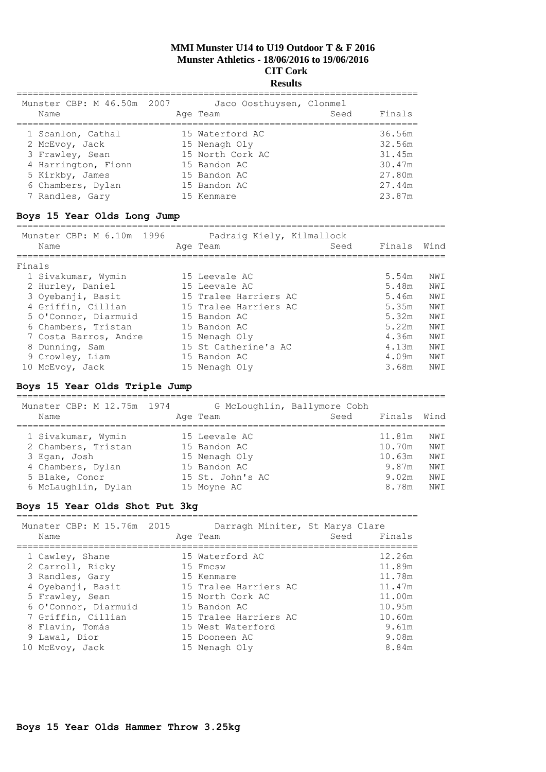## **Results**

| Munster CBP: M 46.50m 2007<br>Name | Jaco Oosthuysen, Clonmel<br>Age Team | Seed | Finals |
|------------------------------------|--------------------------------------|------|--------|
| 1 Scanlon, Cathal                  | 15 Waterford AC                      |      | 36.56m |
| 2 McEvoy, Jack                     | 15 Nenagh Oly                        |      | 32.56m |
| 3 Frawley, Sean                    | 15 North Cork AC                     |      | 31.45m |
| 4 Harrington, Fionn                | 15 Bandon AC                         |      | 30.47m |
| 5 Kirkby, James                    | 15 Bandon AC                         |      | 27.80m |
| 6 Chambers, Dylan                  | 15 Bandon AC                         |      | 27.44m |
| 7 Randles, Gary                    | 15 Kenmare                           |      | 23.87m |

# **Boys 15 Year Olds Long Jump**

|        | Munster CBP: M 6.10m 1996<br>Name | Padraig Kiely, Kilmallock<br>Age Team | Seed | Finals | Wind |
|--------|-----------------------------------|---------------------------------------|------|--------|------|
| Finals |                                   |                                       |      |        |      |
|        | 1 Sivakumar, Wymin                | 15 Leevale AC                         |      | 5.54m  | NWI  |
|        | 2 Hurley, Daniel                  | 15 Leevale AC                         |      | 5.48m  | NWI  |
|        | 3 Oyebanji, Basit                 | 15 Tralee Harriers AC                 |      | 5.46m  | NWI  |
|        | 4 Griffin, Cillian                | 15 Tralee Harriers AC                 |      | 5.35m  | NWI  |
|        | 5 O'Connor, Diarmuid              | 15 Bandon AC                          |      | 5.32m  | NWI  |
|        | 6 Chambers, Tristan               | 15 Bandon AC                          |      | 5.22m  | NWI  |
|        | 7 Costa Barros, Andre             | 15 Nenagh Oly                         |      | 4.36m  | NWI  |
|        | 8 Dunning, Sam                    | 15 St Catherine's AC                  |      | 4.13m  | NWI  |
|        | 9 Crowley, Liam                   | 15 Bandon AC                          |      | 4.09m  | NWI  |
|        | 10 McEvoy, Jack                   | 15 Nenagh Oly                         |      | 3.68m  | NWI  |

## **Boys 15 Year Olds Triple Jump**

| Munster CBP: M 12.75m 1974<br>Name | Age Team         | G McLoughlin, Ballymore Cobh<br>Seed | Finals | Wind |
|------------------------------------|------------------|--------------------------------------|--------|------|
| 1 Sivakumar, Wymin                 | 15 Leevale AC    |                                      | 11.81m | NWI  |
| 2 Chambers, Tristan                | 15 Bandon AC     |                                      | 10.70m | NWI  |
| 3 Egan, Josh                       | 15 Nenagh Oly    |                                      | 10.63m | NWI  |
| 4 Chambers, Dylan                  | 15 Bandon AC     |                                      | 9.87m  | NWI  |
| 5 Blake, Conor                     | 15 St. John's AC |                                      | 9.02m  | NWI  |
| 6 McLaughlin, Dylan                | 15 Moyne AC      |                                      | 8.78m  | NWI  |

## **Boys 15 Year Olds Shot Put 3kg**

| Munster CBP: M 15.76m 2015 | Darragh Miniter, St Marys Clare | Finals |
|----------------------------|---------------------------------|--------|
| Name                       | Age Team                        | Seed   |
| 1 Cawley, Shane            | 15 Waterford AC                 | 12.26m |
| 2 Carroll, Ricky           | 15 Fmcsw                        | 11.89m |
| 3 Randles, Gary            | 15 Kenmare                      | 11.78m |
| 4 Oyebanji, Basit          | 15 Tralee Harriers AC           | 11.47m |
| 5 Frawley, Sean            | 15 North Cork AC                | 11.00m |
| 6 O'Connor, Diarmuid       | 15 Bandon AC                    | 10.95m |
| 7 Griffin, Cillian         | 15 Tralee Harriers AC           | 10.60m |
| 8 Flavin, Tomás            | 15 West Waterford               | 9.61m  |
| 9 Lawal, Dior              | 15 Dooneen AC                   | 9.08m  |
| 10 McEvoy, Jack            | 15 Nenagh Oly                   | 8.84m  |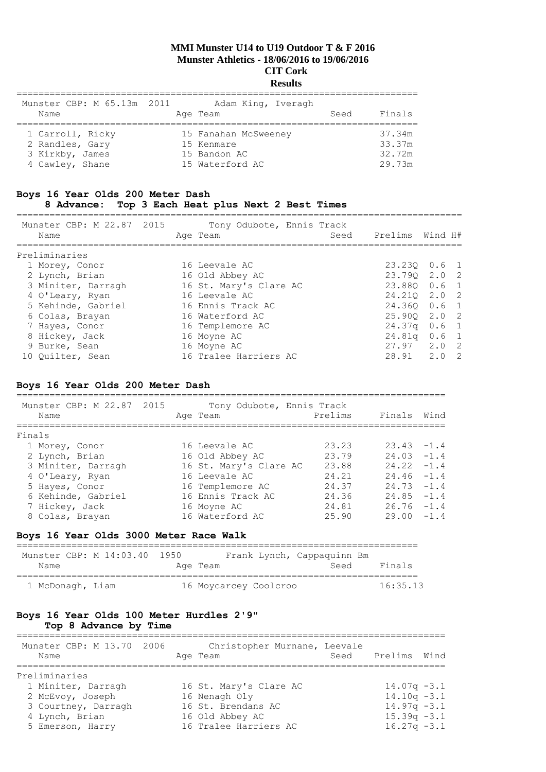## **Results**

| Munster CBP: M 65.13m 2011 | Adam King, Iveragh   |                |
|----------------------------|----------------------|----------------|
| Name                       | Age Team             | Finals<br>Seed |
| 1 Carroll, Ricky           | 15 Fanahan McSweeney | 37.34m         |
| 2 Randles, Gary            | 15 Kenmare           | 33.37m         |
| 3 Kirkby, James            | 15 Bandon AC         | 32.72m         |
| 4 Cawley, Shane            | 15 Waterford AC      | 29.73m         |

# **Boys 16 Year Olds 200 Meter Dash**

# **8 Advance: Top 3 Each Heat plus Next 2 Best Times**

| Munster CBP: M 22.87 2015<br>Name | Tony Odubote, Ennis Track<br>Seed<br>Age Team | Prelims | Wind H#                    |
|-----------------------------------|-----------------------------------------------|---------|----------------------------|
| Preliminaries                     |                                               |         |                            |
| 1 Morey, Conor                    | 16 Leevale AC                                 |         | 23.230 0.6 1               |
| 2 Lynch, Brian                    | 16 Old Abbey AC                               | 23.790  | 2.0 2                      |
| 3 Miniter, Darragh                | 16 St. Mary's Clare AC                        |         | 23.880 0.6 1               |
| 4 O'Leary, Ryan                   | 16 Leevale AC                                 | 24.210  | 2.0 2                      |
| 5 Kehinde, Gabriel                | 16 Ennis Track AC                             |         | 24.360 0.6 1               |
| 6 Colas, Brayan                   | 16 Waterford AC                               |         | $25.900 \quad 2.0 \quad 2$ |
| 7 Hayes, Conor                    | 16 Templemore AC                              | 24.37q  | $0.6 \quad 1$              |
| 8 Hickey, Jack                    | 16 Moyne AC                                   | 24.81q  | $0.6-1$                    |
| 9 Burke, Sean                     | 16 Moyne AC                                   |         | $27.97$ $2.0$ 2            |
| 10 Quilter, Sean                  | 16 Tralee Harriers AC                         | 28.91   | 2.0<br>$\overline{2}$      |

## **Boys 16 Year Olds 200 Meter Dash**

| Munster CBP: M 22.87 2015<br>Name | Tony Odubote, Ennis Track<br>Age Team | Prelims | Finals        | Wind |
|-----------------------------------|---------------------------------------|---------|---------------|------|
| Finals                            |                                       |         |               |      |
| 1 Morey, Conor                    | 16 Leevale AC                         | 23.23   | $23.43 - 1.4$ |      |
| 2 Lynch, Brian                    | 16 Old Abbey AC                       | 23.79   | $24.03 - 1.4$ |      |
| 3 Miniter, Darragh                | 16 St. Mary's Clare AC                | 23.88   | $24.22 - 1.4$ |      |
| 4 O'Leary, Ryan                   | 16 Leevale AC                         | 24.21   | $24.46 - 1.4$ |      |
| 5 Hayes, Conor                    | 16 Templemore AC                      | 24.37   | $24.73 - 1.4$ |      |
| 6 Kehinde, Gabriel                | 16 Ennis Track AC                     | 24.36   | $24.85 - 1.4$ |      |
| 7 Hickey, Jack                    | 16 Moyne AC                           | 24.81   | $26.76 - 1.4$ |      |
| 8 Colas, Brayan                   | 16 Waterford AC                       | 25.90   | $29.00 - 1.4$ |      |
|                                   |                                       |         |               |      |

## **Boys 16 Year Olds 3000 Meter Race Walk**

| Munster CBP: M 14:03.40 1950 |          | Frank Lynch, Cappaquinn Bm |      |          |
|------------------------------|----------|----------------------------|------|----------|
| Name                         | Age Team |                            | Seed | Finals   |
| 1 McDonagh, Liam             |          | 16 Moycarcey Coolcroo      |      | 16:35.13 |

## **Boys 16 Year Olds 100 Meter Hurdles 2'9" Top 8 Advance by Time**

| Name          | Munster CBP: M 13.70 2006 |  | Christopher Murnane, Leevale<br>Age Team | Seed Prelims Wind |  |
|---------------|---------------------------|--|------------------------------------------|-------------------|--|
| Preliminaries |                           |  |                                          |                   |  |
|               | 1 Miniter, Darragh        |  | 16 St. Mary's Clare AC                   | $14.07q - 3.1$    |  |
|               | 2 McEvoy, Joseph          |  | 16 Nenagh Oly                            | $14.10q - 3.1$    |  |
|               | 3 Courtney, Darragh       |  | 16 St. Brendans AC                       | $14.97q - 3.1$    |  |
|               | 4 Lynch, Brian            |  | 16 Old Abbey AC                          | $15.39q - 3.1$    |  |
|               | 5 Emerson, Harry          |  | 16 Tralee Harriers AC                    | $16.27q - 3.1$    |  |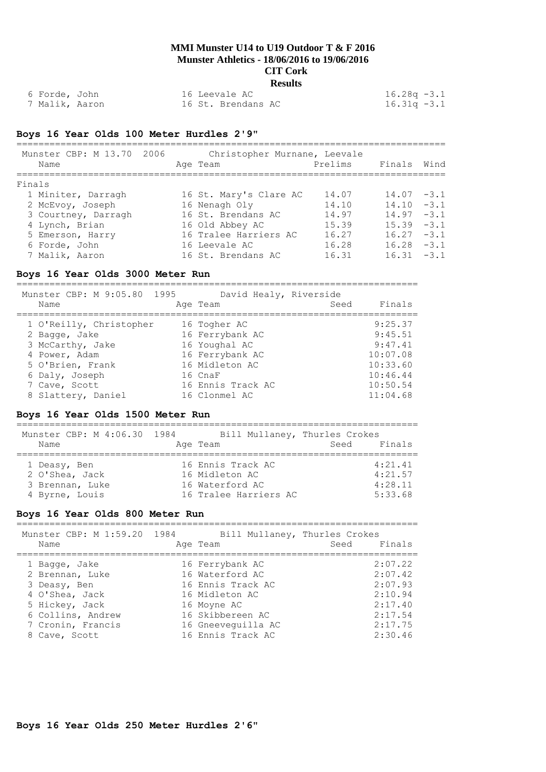| 6 Forde, John             | 16 Leevale AC      | $16.28q - 3.1$ |  |
|---------------------------|--------------------|----------------|--|
| <sup>7</sup> Malik, Aaron | 16 St. Brendans AC | $16.31q - 3.1$ |  |

## **Boys 16 Year Olds 100 Meter Hurdles 2'9"**

| Munster CBP: M 13.70 2006<br>Name | Christopher Murnane, Leevale<br>Age Team | Prelims Finals Wind |               |  |
|-----------------------------------|------------------------------------------|---------------------|---------------|--|
| Finals                            |                                          |                     |               |  |
| 1 Miniter, Darragh                | 16 St. Mary's Clare AC                   | 14.07               | $14.07 - 3.1$ |  |
| 2 McEvoy, Joseph                  | 16 Nenagh Oly                            | 14.10               | $14.10 - 3.1$ |  |
| 3 Courtney, Darragh               | 16 St. Brendans AC                       | 14.97               | $14.97 - 3.1$ |  |
| 4 Lynch, Brian                    | 16 Old Abbey AC                          | 15.39               | $15.39 - 3.1$ |  |
| 5 Emerson, Harry                  | 16 Tralee Harriers AC                    | 16.27               | $16.27 - 3.1$ |  |
| 6 Forde, John                     | 16 Leevale AC                            | 16.28               | $16.28 - 3.1$ |  |
| 7 Malik, Aaron                    | 16 St. Brendans AC                       | 16.31               | $16.31 - 3.1$ |  |

## **Boys 16 Year Olds 3000 Meter Run**

=========================================================================

| Munster CBP: M 9:05.80 1995 | David Healy, Riverside |      |          |
|-----------------------------|------------------------|------|----------|
| Name                        | Age Team               | Seed | Finals   |
| 1 O'Reilly, Christopher     | 16 Togher AC           |      | 9:25.37  |
| 2 Bagge, Jake               | 16 Ferrybank AC        |      | 9:45.51  |
| 3 McCarthy, Jake            | 16 Youghal AC          |      | 9:47.41  |
| 4 Power, Adam               | 16 Ferrybank AC        |      | 10:07.08 |
| 5 O'Brien, Frank            | 16 Midleton AC         |      | 10:33.60 |
| 6 Daly, Joseph              | 16 CnaF                |      | 10:46.44 |
| 7 Cave, Scott               | 16 Ennis Track AC      |      | 10:50.54 |
| 8 Slattery, Daniel          | 16 Clonmel AC          |      | 11:04.68 |

#### **Boys 16 Year Olds 1500 Meter Run**

=========================================================================

| Munster CBP: M 4:06.30 1984 |                       | Bill Mullaney, Thurles Crokes |
|-----------------------------|-----------------------|-------------------------------|
| Name                        | Age Team              | Finals<br>Seed                |
| 1 Deasy, Ben                | 16 Ennis Track AC     | 4:21.41                       |
| 2 O'Shea, Jack              | 16 Midleton AC        | 4:21.57                       |
| 3 Brennan, Luke             | 16 Waterford AC       | 4:28.11                       |
| 4 Byrne, Louis              | 16 Tralee Harriers AC | 5:33.68                       |

## **Boys 16 Year Olds 800 Meter Run**

| Munster CBP: M 1:59.20 1984<br>Name                                                                                                             | Bill Mullaney, Thurles Crokes<br>Age Team                                                                                                               | Seed Finals |                                                                                      |
|-------------------------------------------------------------------------------------------------------------------------------------------------|---------------------------------------------------------------------------------------------------------------------------------------------------------|-------------|--------------------------------------------------------------------------------------|
| 1 Bagge, Jake<br>2 Brennan, Luke<br>3 Deasy, Ben<br>4 O'Shea, Jack<br>5 Hickey, Jack<br>6 Collins, Andrew<br>7 Cronin, Francis<br>8 Cave, Scott | 16 Ferrybank AC<br>16 Waterford AC<br>16 Ennis Track AC<br>16 Midleton AC<br>16 Moyne AC<br>16 Skibbereen AC<br>16 Gneeveguilla AC<br>16 Ennis Track AC |             | 2:07.22<br>2:07.42<br>2:07.93<br>2:10.94<br>2:17.40<br>2:17.54<br>2:17.75<br>2:30.46 |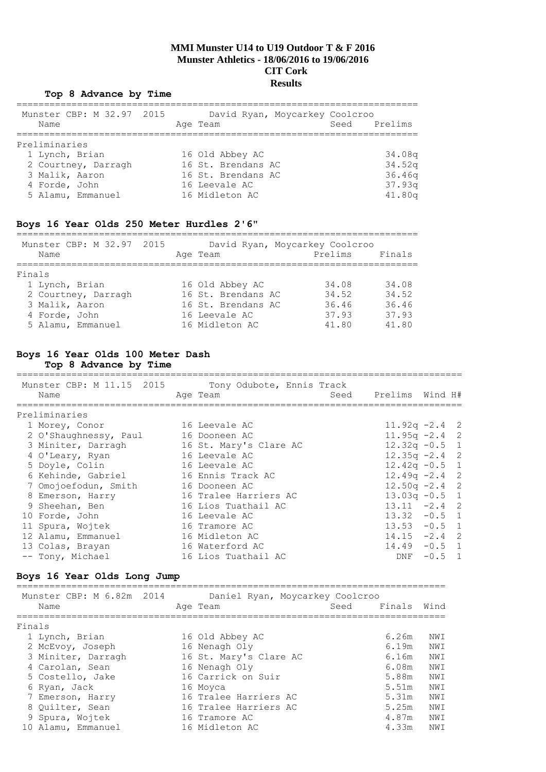#### **Top 8 Advance by Time**

| Name           | Munster CBP: M 32.97 2015 |  | Age Team           | David Ryan, Moycarkey Coolcroo | Seed | Prelims            |
|----------------|---------------------------|--|--------------------|--------------------------------|------|--------------------|
| Preliminaries  |                           |  |                    |                                |      |                    |
| 1 Lynch, Brian |                           |  | 16 Old Abbey AC    |                                |      | 34.08a             |
|                | 2 Courtney, Darragh       |  | 16 St. Brendans AC |                                |      | 34.52 <sub>q</sub> |
| 3 Malik, Aaron |                           |  | 16 St. Brendans AC |                                |      | 36.46q             |
| 4 Forde, John  |                           |  | 16 Leevale AC      |                                |      | 37.93q             |
|                | 5 Alamu, Emmanuel         |  | 16 Midleton AC     |                                |      | 41.80q             |

#### **Boys 16 Year Olds 250 Meter Hurdles 2'6"**

| Munster CBP: M 32.97 2015 |  | David Ryan, Moycarkey Coolcroo |         |        |
|---------------------------|--|--------------------------------|---------|--------|
| Name                      |  | Age Team                       | Prelims | Finals |
|                           |  |                                |         |        |
| Finals                    |  |                                |         |        |
| 1 Lynch, Brian            |  | 16 Old Abbey AC                | 34.08   | 34.08  |
| 2 Courtney, Darragh       |  | 16 St. Brendans AC             | 34.52   | 34.52  |
| 3 Malik, Aaron            |  | 16 St. Brendans AC             | 36.46   | 36.46  |
| 4 Forde, John             |  | 16 Leevale AC                  | 37.93   | 37.93  |
| 5 Alamu, Emmanuel         |  | 16 Midleton AC                 | 41.80   | 41.80  |

#### **Boys 16 Year Olds 100 Meter Dash Top 8 Advance by Time**

#### ================================================================================= Munster CBP: M 11.15 2015 Tony Odubote, Ennis Track Name Age Team Seed Prelims Wind H# ================================================================================= Preliminaries 1 Morey, Conor 16 Leevale AC 11.92q -2.4 2 2 O'Shaughnessy, Paul 16 Dooneen AC 11.95q -2.4 2 3 Miniter, Darragh 16 St. Mary's Clare AC 12.32q -0.5 1 4 O'Leary, Ryan 16 Leevale AC 12.35q -2.4 2 5 Doyle, Colin 16 Leevale AC 12.42q -0.5 1 6 Kehinde, Gabriel 16 Ennis Track AC 12.49q -2.4 2 7 Omojoefodun, Smith 16 Dooneen AC 12.50q -2.4 2 8 Emerson, Harry 16 Tralee Harriers AC 13.03q -0.5 1 9 Sheehan, Ben 16 Lios Tuathail AC 13.11 -2.4 2 10 Forde, John 16 Leevale AC 13.32 -0.5 1 11 Spura, Wojtek 16 Tramore AC 13.53 -0.5 1 12 Alamu, Emmanuel 16 Midleton AC 14.15 -2.4 2 13 Colas, Brayan 16 Waterford AC 14.49 -0.5 1 -- Tony, Michael 16 Lios Tuathail AC 10 DNF -0.5 1

#### **Boys 16 Year Olds Long Jump**

|                                                                                                                                                                                                                   |                           |                                                                                                                                                                                                                |                                         | Wind   |
|-------------------------------------------------------------------------------------------------------------------------------------------------------------------------------------------------------------------|---------------------------|----------------------------------------------------------------------------------------------------------------------------------------------------------------------------------------------------------------|-----------------------------------------|--------|
|                                                                                                                                                                                                                   |                           |                                                                                                                                                                                                                |                                         |        |
|                                                                                                                                                                                                                   |                           |                                                                                                                                                                                                                |                                         |        |
|                                                                                                                                                                                                                   |                           |                                                                                                                                                                                                                | 6.26m                                   | NWI    |
|                                                                                                                                                                                                                   |                           |                                                                                                                                                                                                                | 6.19m                                   | NWI    |
|                                                                                                                                                                                                                   |                           |                                                                                                                                                                                                                | 6.16m                                   | NWI    |
|                                                                                                                                                                                                                   |                           |                                                                                                                                                                                                                | 6.08m                                   | NWI    |
|                                                                                                                                                                                                                   |                           |                                                                                                                                                                                                                | 5.88m                                   | NWI    |
|                                                                                                                                                                                                                   |                           |                                                                                                                                                                                                                | 5.51m                                   | NWI    |
|                                                                                                                                                                                                                   |                           |                                                                                                                                                                                                                | 5.31m                                   | NWI    |
|                                                                                                                                                                                                                   |                           |                                                                                                                                                                                                                | 5.25m                                   | NWI    |
|                                                                                                                                                                                                                   |                           |                                                                                                                                                                                                                | 4.87m                                   | NWI    |
|                                                                                                                                                                                                                   |                           |                                                                                                                                                                                                                | 4.33m                                   | NWI    |
| Name<br>Finals<br>1 Lynch, Brian<br>2 McEvoy, Joseph<br>3 Miniter, Darragh<br>4 Carolan, Sean<br>5 Costello, Jake<br>6 Ryan, Jack<br>7 Emerson, Harry<br>8 Ouilter, Sean<br>9 Spura, Wojtek<br>10 Alamu, Emmanuel | Munster CBP: M 6.82m 2014 | Age Team<br>16 Old Abbey AC<br>16 Nenagh Oly<br>16 St. Mary's Clare AC<br>16 Nenagh Oly<br>16 Carrick on Suir<br>16 Moyca<br>16 Tralee Harriers AC<br>16 Tralee Harriers AC<br>16 Tramore AC<br>16 Midleton AC | Daniel Ryan, Moycarkey Coolcroo<br>Seed | Finals |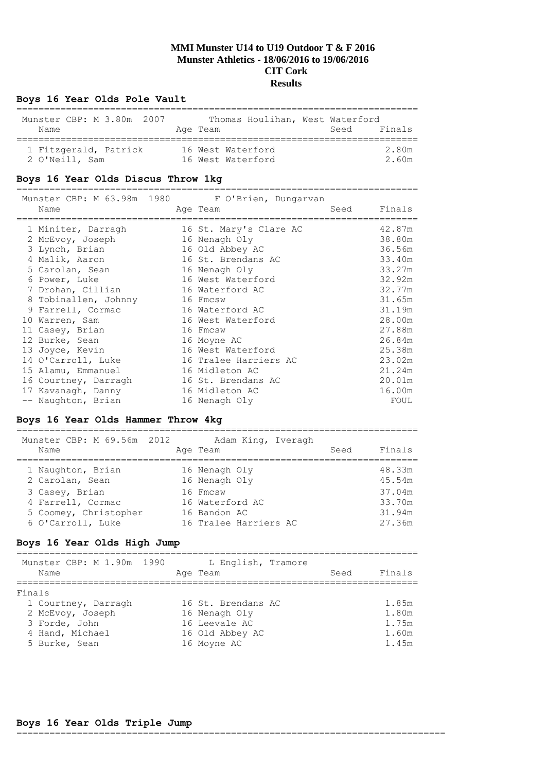## **Boys 16 Year Olds Pole Vault**

| Munster CBP: M 3.80m 2007 | Thomas Houlihan, West Waterford | Finals |
|---------------------------|---------------------------------|--------|
| Name                      | Age Team                        | Seed   |
| 1 Fitzgerald, Patrick     | 16 West Waterford               | 2.80m  |
| 2 O'Neill, Sam            | 16 West Waterford               | 2.60m  |

#### **Boys 16 Year Olds Discus Throw 1kg**

=========================================================================

|                      | Munster CBP: M 63.98m 1980 F O'Brien, Dungarvan |        |
|----------------------|-------------------------------------------------|--------|
| Name                 | Seed<br>Age Team                                | Finals |
| 1 Miniter, Darragh   | 16 St. Mary's Clare AC                          | 42.87m |
| 2 McEvoy, Joseph     | 16 Nenagh Oly                                   | 38.80m |
| 3 Lynch, Brian       | 16 Old Abbey AC                                 | 36.56m |
| 4 Malik, Aaron       | 16 St. Brendans AC                              | 33.40m |
| 5 Carolan, Sean      | 16 Nenagh Oly                                   | 33.27m |
| 6 Power, Luke        | 16 West Waterford                               | 32.92m |
| 7 Drohan, Cillian    | 16 Waterford AC                                 | 32.77m |
| 8 Tobinallen, Johnny | 16 Fmcsw                                        | 31.65m |
| 9 Farrell, Cormac    | 16 Waterford AC                                 | 31.19m |
| 10 Warren, Sam       | 16 West Waterford                               | 28.00m |
| 11 Casey, Brian      | 16 Fmcsw                                        | 27.88m |
| 12 Burke, Sean       | 16 Moyne AC                                     | 26.84m |
| 13 Joyce, Kevin      | 16 West Waterford                               | 25.38m |
| 14 O'Carroll, Luke   | 16 Tralee Harriers AC                           | 23.02m |
| 15 Alamu, Emmanuel   | 16 Midleton AC                                  | 21.24m |
| 16 Courtney, Darragh | 16 St. Brendans AC                              | 20.01m |
| 17 Kavanagh, Danny   | 16 Midleton AC                                  | 16.00m |
| -- Naughton, Brian   | 16 Nenagh Oly                                   | FOUL   |

## **Boys 16 Year Olds Hammer Throw 4kg**

| Munster CBP: M 69.56m 2012<br>Name   | Adam King, Iveragh<br>Age Team | Seed | Finals           |
|--------------------------------------|--------------------------------|------|------------------|
| 1 Naughton, Brian<br>2 Carolan, Sean | 16 Nenagh Oly<br>16 Nenagh Oly |      | 48.33m<br>45.54m |
| 3 Casey, Brian                       | 16 Fmcsw                       |      | 37.04m           |
| 4 Farrell, Cormac                    | 16 Waterford AC                |      | 33.70m           |
| 5 Coomey, Christopher                | 16 Bandon AC                   |      | 31.94m           |
| 6 O'Carroll, Luke                    | 16 Tralee Harriers AC          |      | 27.36m           |

## **Boys 16 Year Olds High Jump**

| Munster CBP: M 1.90m 1990<br>Name                                                                      | L English, Tramore<br>Age Team                                                         | Finals<br>Seed                            |
|--------------------------------------------------------------------------------------------------------|----------------------------------------------------------------------------------------|-------------------------------------------|
| Finals<br>1 Courtney, Darragh<br>2 McEvoy, Joseph<br>3 Forde, John<br>4 Hand, Michael<br>5 Burke, Sean | 16 St. Brendans AC<br>16 Nenagh Oly<br>16 Leevale AC<br>16 Old Abbey AC<br>16 Moyne AC | 1.85m<br>1.80m<br>1.75m<br>1.60m<br>1.45m |

## **Boys 16 Year Olds Triple Jump**

==============================================================================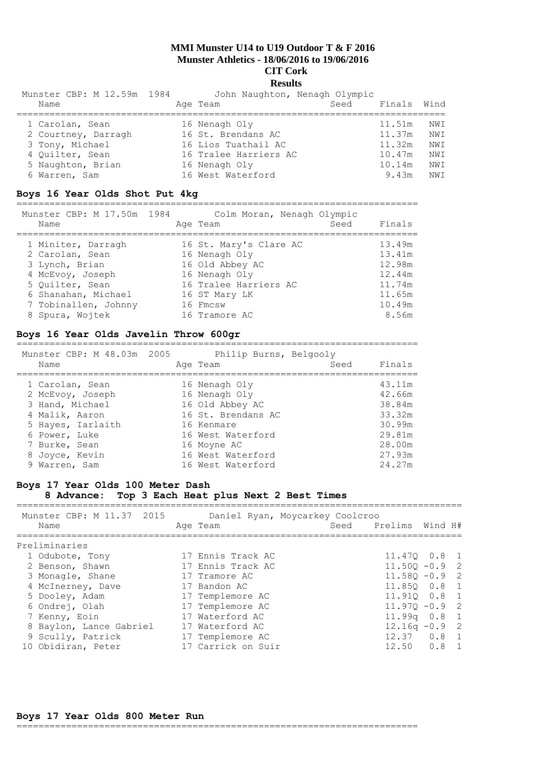## **Results**

| Munster CBP: M 12.59m 1984 | John Naughton, Nenagh Olympic |      |        |      |
|----------------------------|-------------------------------|------|--------|------|
| Name                       | Age Team                      | Seed | Finals | Wind |
|                            |                               |      |        |      |
| 1 Carolan, Sean            | 16 Nenagh Oly                 |      | 11.51m | NWI  |
| 2 Courtney, Darragh        | 16 St. Brendans AC            |      | 11.37m | NWI  |
| 3 Tony, Michael            | 16 Lios Tuathail AC           |      | 11.32m | NWI  |
| 4 Quilter, Sean            | 16 Tralee Harriers AC         |      | 10.47m | NWI  |
| 5 Naughton, Brian          | 16 Nenagh Oly                 |      | 10.14m | NWI  |
| 6 Warren, Sam              | 16 West Waterford             |      | 9.43m  | NW T |

## **Boys 16 Year Olds Shot Put 4kg**

=========================================================================

| Munster CBP: M 17.50m 1984 | Colm Moran, Nenagh Olympic |        |
|----------------------------|----------------------------|--------|
| Name                       | Seed<br>Age Team           | Finals |
| 1 Miniter, Darragh         | 16 St. Mary's Clare AC     | 13.49m |
| 2 Carolan, Sean            | 16 Nenagh Oly              | 13.41m |
| 3 Lynch, Brian             | 16 Old Abbey AC            | 12.98m |
| 4 McEvoy, Joseph           | 16 Nenagh Oly              | 12.44m |
| 5 Ouilter, Sean            | 16 Tralee Harriers AC      | 11.74m |
| 6 Shanahan, Michael        | 16 ST Mary LK              | 11.65m |
| 7 Tobinallen, Johnny       | 16 Fmcsw                   | 10.49m |
| 8 Spura, Woitek            | 16 Tramore AC              | 8.56m  |

#### **Boys 16 Year Olds Javelin Throw 600gr**

| Munster CBP: M 48.03m 2005<br>Name | Philip Burns, Belgooly<br>Age Team | Seed | Finals |
|------------------------------------|------------------------------------|------|--------|
| 1 Carolan, Sean                    | 16 Nenagh Oly                      |      | 43.11m |
| 2 McEvoy, Joseph                   | 16 Nenagh Oly                      |      | 42.66m |
| 3 Hand, Michael                    | 16 Old Abbey AC                    |      | 38.84m |
| 4 Malik, Aaron                     | 16 St. Brendans AC                 |      | 33.32m |
| 5 Hayes, Iarlaith                  | 16 Kenmare                         |      | 30.99m |
| 6 Power, Luke                      | 16 West Waterford                  |      | 29.81m |
| 7 Burke, Sean                      | 16 Moyne AC                        |      | 28.00m |
| 8 Joyce, Kevin                     | 16 West Waterford                  |      | 27.93m |
| 9 Warren, Sam                      | 16 West Waterford                  |      | 24.27m |

## **Boys 17 Year Olds 100 Meter Dash 8 Advance: Top 3 Each Heat plus Next 2 Best Times**

=================================================================================

| Munster CBP: M 11.37 2015<br>Name | Daniel Ryan, Moycarkey Coolcroo<br>Seed<br>Age Team | Prelims Wind H#  |
|-----------------------------------|-----------------------------------------------------|------------------|
| Preliminaries                     |                                                     |                  |
| 1 Odubote, Tony                   | 17 Ennis Track AC                                   | 11.470 0.8 1     |
| 2 Benson, Shawn                   | 17 Ennis Track AC                                   | $11.500 - 0.9$ 2 |
| 3 Monagle, Shane                  | 17 Tramore AC                                       | $11.580 - 0.9$ 2 |
| 4 McInerney, Dave                 | 17 Bandon AC                                        | 11.850 0.8 1     |
| 5 Dooley, Adam                    | 17 Templemore AC                                    | 11.910  0.8  1   |
| 6 Ondrej, Olah                    | 17 Templemore AC                                    | $11.970 - 0.9$ 2 |
| 7 Kenny, Eoin                     | 17 Waterford AC                                     | $11.99q$ 0.8 1   |
| 8 Baylon, Lance Gabriel           | 17 Waterford AC                                     | $12.16q - 0.9$ 2 |
| 9 Scully, Patrick                 | 17 Templemore AC                                    | $12.37$ 0.8 1    |
| 10 Obidiran, Peter                | 17 Carrick on Suir                                  | $12.50$ $0.8$ 1  |

## **Boys 17 Year Olds 800 Meter Run**

=========================================================================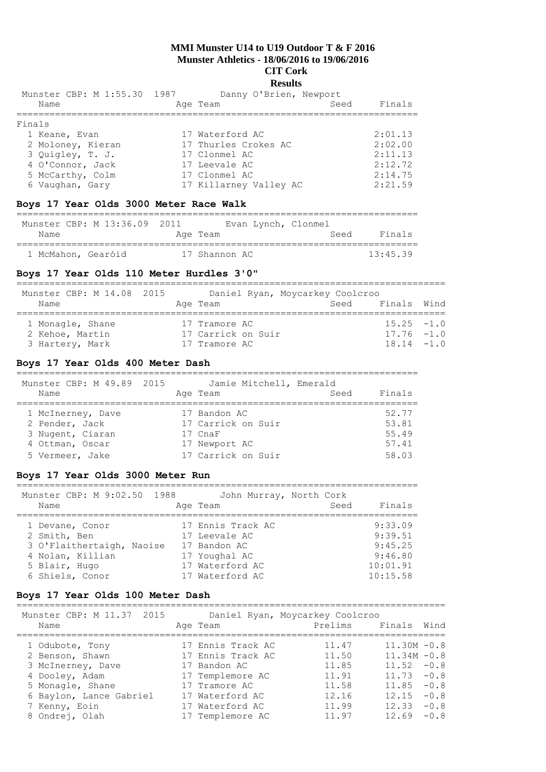## **Results**

|                             | Seed                                                                                                   | Finals                                                       |
|-----------------------------|--------------------------------------------------------------------------------------------------------|--------------------------------------------------------------|
|                             |                                                                                                        |                                                              |
|                             |                                                                                                        |                                                              |
|                             |                                                                                                        | 2:01.13                                                      |
|                             |                                                                                                        | 2:02.00                                                      |
|                             |                                                                                                        | 2:11.13                                                      |
|                             |                                                                                                        | 2:12.72                                                      |
|                             |                                                                                                        | 2:14.75                                                      |
|                             |                                                                                                        | 2:21.59                                                      |
| Munster CBP: M 1:55.30 1987 | Age Team<br>17 Waterford AC<br>17 Thurles Crokes AC<br>17 Clonmel AC<br>17 Leevale AC<br>17 Clonmel AC | --------<br>Danny O'Brien, Newport<br>17 Killarney Valley AC |

## **Boys 17 Year Olds 3000 Meter Race Walk**

|                    | Munster CBP: M 13:36.09 2011 |               | Evan Lynch, Clonmel |      |                  |
|--------------------|------------------------------|---------------|---------------------|------|------------------|
| Name               |                              | Age Team      |                     | Seed | Finals           |
|                    |                              |               |                     |      |                  |
| 1 McMahon, Gearóid |                              | 17 Shannon AC |                     |      | $13 \cdot 45$ 39 |

## **Boys 17 Year Olds 110 Meter Hurdles 3'0"**

| Munster CBP: M 14.08 2015<br>Name                      | Age Team                                             | Daniel Ryan, Moycarkey Coolcroo<br>Seed | Finals Wind                                     |  |
|--------------------------------------------------------|------------------------------------------------------|-----------------------------------------|-------------------------------------------------|--|
| 1 Monagle, Shane<br>2 Kehoe, Martin<br>3 Hartery, Mark | 17 Tramore AC<br>17 Carrick on Suir<br>17 Tramore AC |                                         | $15.25 - 1.0$<br>$17.76 - 1.0$<br>$18.14 - 1.0$ |  |

## **Boys 17 Year Olds 400 Meter Dash**

=========================================================================

| Munster CBP: M 49.89 2015<br>Name                                                             | Jamie Mitchell, Emerald<br>Age Team                                                  | Seed | Finals                                    |
|-----------------------------------------------------------------------------------------------|--------------------------------------------------------------------------------------|------|-------------------------------------------|
| 1 McInerney, Dave<br>2 Pender, Jack<br>3 Nugent, Ciaran<br>4 Ottman, Oscar<br>5 Vermeer, Jake | 17 Bandon AC<br>17 Carrick on Suir<br>17 CnaF<br>17 Newport AC<br>17 Carrick on Suir |      | 52.77<br>53.81<br>55.49<br>57.41<br>58.03 |

## **Boys 17 Year Olds 3000 Meter Run**

| Munster CBP: M 9:02.50 1988<br>Name | John Murray, North Cork<br>Age Team | Finals<br>Seed |
|-------------------------------------|-------------------------------------|----------------|
| 1 Devane, Conor                     | 17 Ennis Track AC                   | 9:33.09        |
| 2 Smith, Ben                        | 17 Leevale AC                       | 9:39.51        |
| 3 O'Flaithertaigh, Naoise           | 17 Bandon AC                        | 9:45.25        |
| 4 Nolan, Killian                    | 17 Youghal AC                       | 9:46.80        |
| 5 Blair, Hugo                       | 17 Waterford AC                     | 10:01.91       |
| 6 Shiels, Conor                     | 17 Waterford AC                     | 10:15.58       |

## **Boys 17 Year Olds 100 Meter Dash**

| Munster CBP: M 11.37 2015 |                   | Daniel Ryan, Moycarkey Coolcroo |                |        |
|---------------------------|-------------------|---------------------------------|----------------|--------|
| Name                      | Age Team          | Prelims                         | Finals         | Wind   |
| 1 Odubote, Tony           | 17 Ennis Track AC | 11.47                           | $11.30M - 0.8$ |        |
| 2 Benson, Shawn           | 17 Ennis Track AC | 11.50                           | $11.34M - 0.8$ |        |
| 3 McInerney, Dave         | 17 Bandon AC      | 11.85                           | 11.52          | $-0.8$ |
| 4 Dooley, Adam            | 17 Templemore AC  | 11.91                           | $11.73 - 0.8$  |        |
| 5 Monagle, Shane          | 17 Tramore AC     | 11.58                           | 11.85          | $-0.8$ |
| 6 Baylon, Lance Gabriel   | 17 Waterford AC   | 12.16                           | 12.15          | $-0.8$ |
| 7 Kenny, Eoin             | 17 Waterford AC   | 11.99                           | 12.33          | $-0.8$ |
| 8 Ondrej, Olah            | 17 Templemore AC  | 11.97                           | 12.69          | $-0.8$ |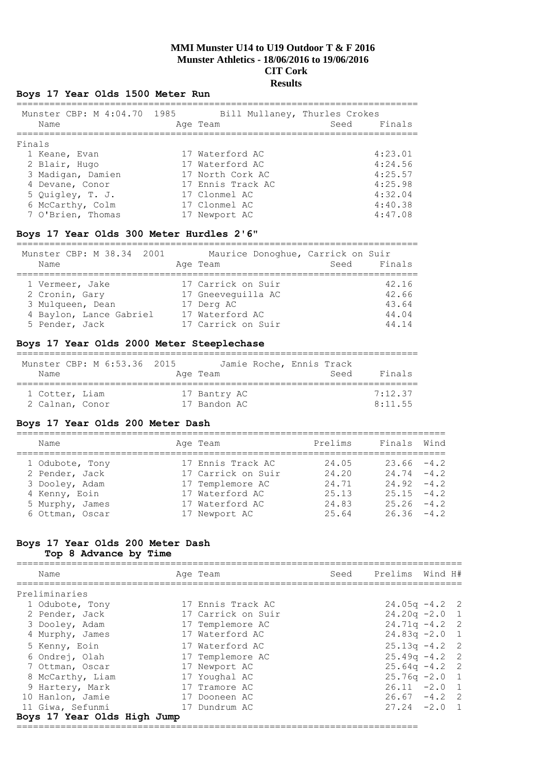## **Boys 17 Year Olds 1500 Meter Run**

| Munster CBP: M 4:04.70 1985 | Bill Mullaney, Thurles Crokes |                |
|-----------------------------|-------------------------------|----------------|
| Name                        | Age Team                      | Finals<br>Seed |
| Finals                      |                               |                |
| 1 Keane, Evan               | 17 Waterford AC               | 4:23.01        |
| 2 Blair, Hugo               | 17 Waterford AC               | 4:24.56        |
| 3 Madigan, Damien           | 17 North Cork AC              | 4:25.57        |
| 4 Devane, Conor             | 17 Ennis Track AC             | 4:25.98        |
| 5 Quigley, T. J.            | 17 Clonmel AC                 | 4:32.04        |
| 6 McCarthy, Colm            | 17 Clonmel AC                 | 4:40.38        |
| 7 O'Brien, Thomas           | 17 Newport AC                 | 4:47.08        |

#### **Boys 17 Year Olds 300 Meter Hurdles 2'6"**

========================================================================= Munster CBP: M 38.34 2001 Maurice Donoghue, Carrick on Suir Name **Age Team** Age Team Seed Finals ========================================================================= 1 Vermeer, Jake 17 Carrick on Suir 42.16 2 Cronin, Gary 17 Gneeveguilla AC 42.66 3 Mulqueen, Dean 17 Derg AC 43.64 4 Baylon, Lance Gabriel 17 Waterford AC 44.04 5 Pender, Jack 17 Carrick on Suir 44.14

## **Boys 17 Year Olds 2000 Meter Steeplechase**

| Munster CBP: M 6:53.36 2015<br>Name | Jamie Roche, Ennis Track<br>Age Team | Seed | Finals  |
|-------------------------------------|--------------------------------------|------|---------|
| 1 Cotter, Liam                      | 17 Bantry AC                         |      | 7:12.37 |
| 2 Calnan, Conor                     | 17 Bandon AC                         |      | 8:11.55 |

## **Boys 17 Year Olds 200 Meter Dash**

| Name                                                                                                       | Age Team                                                                                                           | Prelims                                           | Finals                                                                                             | Wind |
|------------------------------------------------------------------------------------------------------------|--------------------------------------------------------------------------------------------------------------------|---------------------------------------------------|----------------------------------------------------------------------------------------------------|------|
| 1 Odubote, Tony<br>2 Pender, Jack<br>3 Dooley, Adam<br>4 Kenny, Eoin<br>5 Murphy, James<br>6 Ottman, Oscar | 17 Ennis Track AC<br>17 Carrick on Suir<br>17 Templemore AC<br>17 Waterford AC<br>17 Waterford AC<br>17 Newport AC | 24.05<br>24.20<br>24.71<br>25.13<br>24.83<br>2564 | $23.66 - 4.2$<br>$24.74 - 4.2$<br>$24.92 - 4.2$<br>$25.15 - 4.2$<br>$25.26 - 4.2$<br>$26.36 - 4.2$ |      |

# **Boys 17 Year Olds 200 Meter Dash**

**Top 8 Advance by Time**

| Name             |                             | Age Team           | Seed Prelims Wind H# |  |
|------------------|-----------------------------|--------------------|----------------------|--|
| Preliminaries    |                             |                    |                      |  |
|                  | 1 Odubote, Tony             | 17 Ennis Track AC  | $24.05q - 4.2$ 2     |  |
|                  | 2 Pender, Jack              | 17 Carrick on Suir | $24.20q - 2.0$ 1     |  |
|                  | 3 Dooley, Adam              | 17 Templemore AC   | $24.71q - 4.2$ 2     |  |
|                  | 4 Murphy, James             | 17 Waterford AC    | $24.83q - 2.0$ 1     |  |
| 5 Kenny, Eoin    |                             | 17 Waterford AC    | $25.13q - 4.2$ 2     |  |
|                  | 6 Ondrej, Olah              | 17 Templemore AC   | $25.49q - 4.2$ 2     |  |
|                  | 7 Ottman, Oscar             | 17 Newport AC      | $25.64q - 4.2$ 2     |  |
|                  | 8 McCarthy, Liam            | 17 Youghal AC      | $25.76q - 2.0$ 1     |  |
|                  | 9 Hartery, Mark             | 17 Tramore AC      | $26.11 -2.0 1$       |  |
| 10 Hanlon, Jamie |                             | 17 Dooneen AC      | $26.67 - 4.2$ 2      |  |
| 11 Giwa, Sefunmi |                             | 17 Dundrum AC      | $27.24 -2.0$ 1       |  |
|                  | Boys 17 Year Olds High Jump |                    |                      |  |

=========================================================================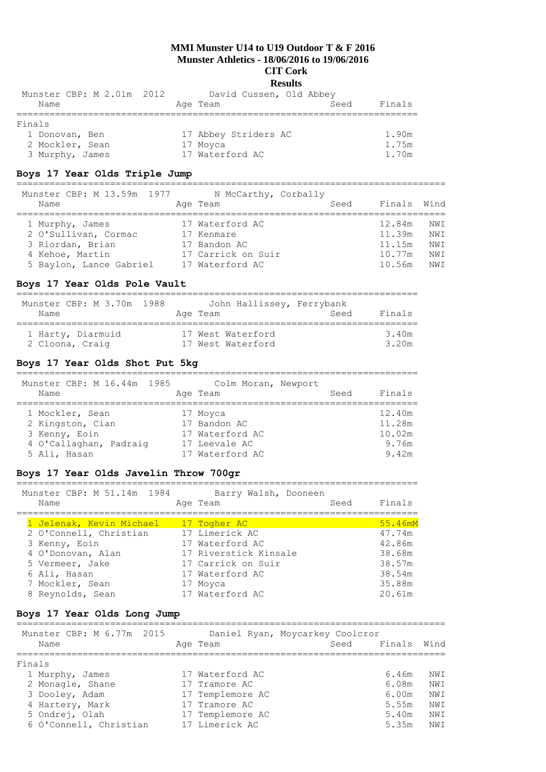## **Results**

| Munster CBP: M 2.01m 2012 | David Cussen, Old Abbey |                |
|---------------------------|-------------------------|----------------|
| Name                      | Age Team                | Finals<br>Seed |
|                           |                         |                |
| Finals                    |                         |                |
| 1 Donovan, Ben            | 17 Abbey Striders AC    | 1.90m          |
| 2 Mockler, Sean           | 17 Moyca                | 1.75m          |
| 3 Murphy, James           | 17 Waterford AC         | 1.70m          |

## **Boys 17 Year Olds Triple Jump**

| Munster CBP: M 13.59m 1977<br>Name                                                                        | N McCarthy, Corbally<br>Age Team                                                       | Seed | Finals                                         | Wind                            |
|-----------------------------------------------------------------------------------------------------------|----------------------------------------------------------------------------------------|------|------------------------------------------------|---------------------------------|
| 1 Murphy, James<br>2 O'Sullivan, Cormac<br>3 Riordan, Brian<br>4 Kehoe, Martin<br>5 Baylon, Lance Gabriel | 17 Waterford AC<br>17 Kenmare<br>17 Bandon AC<br>17 Carrick on Suir<br>17 Waterford AC |      | 12.84m<br>11.39m<br>11.15m<br>10.77m<br>10.56m | NWI<br>NWI<br>NWI<br>NWI<br>NWI |

#### **Boys 17 Year Olds Pole Vault**

=========================================================================

| Munster CBP: M 3.70m 1988 | John Hallissey, Ferrybank |        |
|---------------------------|---------------------------|--------|
| Name                      | Seed<br>Age Team          | Finals |
|                           |                           |        |
| 1 Harty, Diarmuid         | 17 West Waterford         | 3.40m  |
| 2 Cloona, Craig           | 17 West Waterford         | 3.20m  |

#### **Boys 17 Year Olds Shot Put 5kg**

========================================================================= Munster CBP: M 16.44m 1985 Colm Moran, Newport

| MUNISLEI CDF. M TO.44M TAGO<br>Name | Age Team        | COINT MOLAN, NEWPOLL<br>Seed | Finals |
|-------------------------------------|-----------------|------------------------------|--------|
| 1 Mockler, Sean                     | 17 Moyca        |                              | 12.40m |
| 2 Kingston, Cian                    | 17 Bandon AC    |                              | 11.28m |
| 3 Kenny, Eoin                       | 17 Waterford AC |                              | 10.02m |
| 4 O'Callaghan, Padraig              | 17 Leevale AC   |                              | 9.76m  |
| 5 Ali, Hasan                        | 17 Waterford AC |                              | 9.42m  |

#### **Boys 17 Year Olds Javelin Throw 700gr**

========================================================================= Munster CBP: M 51.14m 1984 Barry Walsh, Dooneen Name Reserve Age Team Name Seed Finals ========================================================================= 1 Jelenak, Kevin Michael 17 Togher MC

| I OCICHAR, REVIII MICHAEI | <u>IN TANNET WARD I</u> | $\cup$ . $\pm$ only $\blacksquare$ |
|---------------------------|-------------------------|------------------------------------|
| 2 O'Connell, Christian    | 17 Limerick AC          | 47.74m                             |
| 3 Kenny, Eoin             | 17 Waterford AC         | 42.86m                             |
| 4 O'Donovan, Alan         | 17 Riverstick Kinsale   | 38.68m                             |
| 5 Vermeer, Jake           | 17 Carrick on Suir      | 38.57m                             |
| 6 Ali, Hasan              | 17 Waterford AC         | 38.54m                             |
| 7 Mockler, Sean           | 17 Movca                | 35.88m                             |
| 8 Reynolds, Sean          | 17 Waterford AC         | 20.61m                             |

## **Boys 17 Year Olds Long Jump**

| Munster CBP: M 6.77m 2015<br>Name | Age Team         | Daniel Ryan, Moycarkey Coolcror<br>Seed Finals Wind |       |      |
|-----------------------------------|------------------|-----------------------------------------------------|-------|------|
| Finals                            |                  |                                                     |       |      |
| 1 Murphy, James                   | 17 Waterford AC  |                                                     | 6.46m | NW T |
| 2 Monagle, Shane                  | 17 Tramore AC    |                                                     | 6.08m | NW I |
| 3 Dooley, Adam                    | 17 Templemore AC |                                                     | 6.00m | NW I |
| 4 Hartery, Mark                   | 17 Tramore AC    |                                                     | 5.55m | NW I |
| 5 Ondrej, Olah                    | 17 Templemore AC |                                                     | 5.40m | NW I |
| 6 O'Connell, Christian            | 17 Limerick AC   |                                                     | 5.35m | NWI  |
|                                   |                  |                                                     |       |      |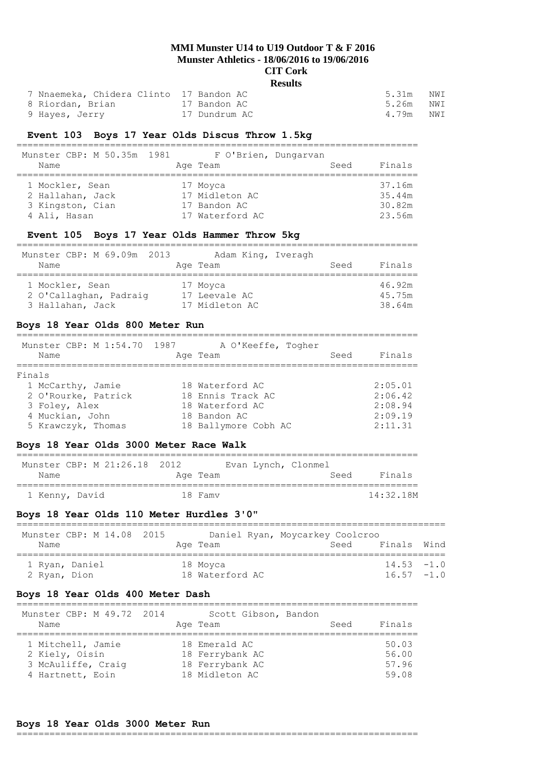#### **Results**

| 7 Nnaemeka, Chidera Clinto 17 Bandon AC |               | 5.31m     | NWI |
|-----------------------------------------|---------------|-----------|-----|
| 8 Riordan, Brian                        | 17 Bandon AC  | 5.26m NWI |     |
| 9 Hayes, Jerry                          | 17 Dundrum AC | 4.79m     | NWI |

## **Event 103 Boys 17 Year Olds Discus Throw 1.5kg**

| Munster CBP: M 50.35m 1981<br>Name                                      | F O'Brien, Dungarvan<br>Age Team                              | Seed | Finals                               |
|-------------------------------------------------------------------------|---------------------------------------------------------------|------|--------------------------------------|
| 1 Mockler, Sean<br>2 Hallahan, Jack<br>3 Kingston, Cian<br>4 Ali, Hasan | 17 Moyca<br>17 Midleton AC<br>17 Bandon AC<br>17 Waterford AC |      | 37.16m<br>35.44m<br>30.82m<br>23.56m |

## **Event 105 Boys 17 Year Olds Hammer Throw 5kg**

=========================================================================

| Munster CBP: M 69.09m 2013<br>Name | Adam King, Iveragh<br>Age Team | Seed | Finals |
|------------------------------------|--------------------------------|------|--------|
| 1 Mockler, Sean                    | 17 Moyca                       |      | 46.92m |
| 2 O'Callaghan, Padraig             | 17 Leevale AC                  |      | 45.75m |
| 3 Hallahan, Jack                   | 17 Midleton AC                 |      | 38.64m |

## **Boys 18 Year Olds 800 Meter Run**

|        | Name                | Munster CBP: M 1:54.70 1987 | A O'Keeffe, Togher<br>Age Team | Seed | Finals  |
|--------|---------------------|-----------------------------|--------------------------------|------|---------|
| Finals |                     |                             |                                |      |         |
|        | 1 McCarthy, Jamie   |                             | 18 Waterford AC                |      | 2:05.01 |
|        | 2 O'Rourke, Patrick |                             | 18 Ennis Track AC              |      | 2:06.42 |
|        | 3 Foley, Alex       |                             | 18 Waterford AC                |      | 2:08.94 |
|        | 4 Muckian, John     |                             | 18 Bandon AC                   |      | 2:09.19 |
|        | 5 Krawczyk, Thomas  |                             | 18 Ballymore Cobh AC           |      | 2:11.31 |

#### **Boys 18 Year Olds 3000 Meter Race Walk**

| Munster CBP: M 21:26.18 2012<br>Name | Age Team | Evan Lynch, Clonmel | Seed | Finals    |
|--------------------------------------|----------|---------------------|------|-----------|
| 1 Kenny, David                       | 18 Famy  |                     |      | 14:32.18M |

#### **Boys 18 Year Olds 110 Meter Hurdles 3'0"**

| Munster CBP: M 14.08 2015<br>Name | Age Team        | Daniel Ryan, Moycarkey Coolcroo<br>Finals Wind<br>Seed |  |
|-----------------------------------|-----------------|--------------------------------------------------------|--|
| 1 Ryan, Daniel                    | 18 Moyca        | $14.53 - 1.0$                                          |  |
| 2 Ryan, Dion                      | 18 Waterford AC | $16.57 - 1.0$                                          |  |

#### **Boys 18 Year Olds 400 Meter Dash**

| Munster CBP: M 49.72 2014<br>Name                                             | Scott Gibson, Bandon<br>Age Team                                      | Seed | Finals                           |
|-------------------------------------------------------------------------------|-----------------------------------------------------------------------|------|----------------------------------|
| 1 Mitchell, Jamie<br>2 Kiely, Oisin<br>3 McAuliffe, Craig<br>4 Hartnett, Eoin | 18 Emerald AC<br>18 Ferrybank AC<br>18 Ferrybank AC<br>18 Midleton AC |      | 50.03<br>56.00<br>57.96<br>59.08 |

## **Boys 18 Year Olds 3000 Meter Run**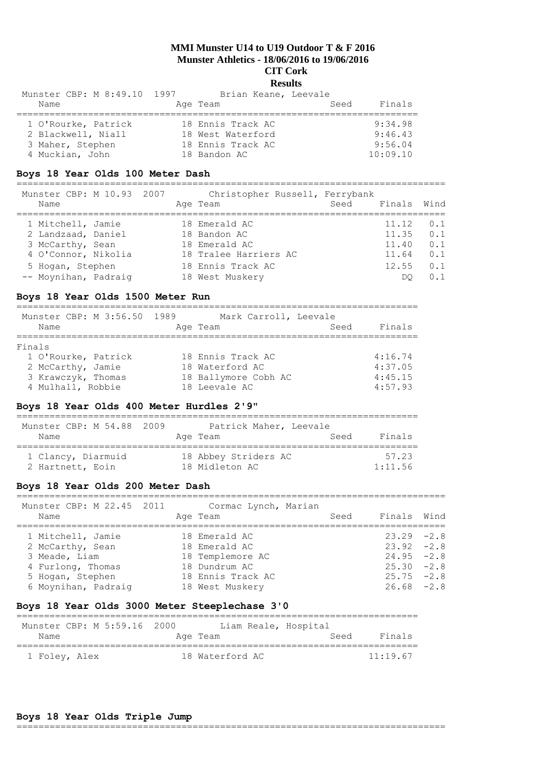## **Results**

=========================================================================

| Munster CBP: M 8:49.10 1997 | Brian Keane, Leevale |                |
|-----------------------------|----------------------|----------------|
| Name                        | Age Team             | Finals<br>Seed |
|                             |                      |                |
| 1 O'Rourke, Patrick         | 18 Ennis Track AC    | 9:34.98        |
| 2 Blackwell, Niall          | 18 West Waterford    | 9:46.43        |
| 3 Maher, Stephen            | 18 Ennis Track AC    | 9:56.04        |
| 4 Muckian, John             | 18 Bandon AC         | 10:09.10       |

## **Boys 18 Year Olds 100 Meter Dash**

============================================================================== Munster CBP: M 10.93 2007 Christopher Russell, Ferrybank

| Name                                     |  | $\text{Cill}$ respectively independently relatively<br>Age Team | Seed | Finals Wind    |            |
|------------------------------------------|--|-----------------------------------------------------------------|------|----------------|------------|
| 1 Mitchell, Jamie<br>2 Landzaad, Daniel  |  | 18 Emerald AC<br>18 Bandon AC                                   |      | 11.12<br>11.35 | 0.1<br>0.1 |
| 3 McCarthy, Sean<br>4 O'Connor, Nikolia  |  | 18 Emerald AC<br>18 Tralee Harriers AC                          |      | 11.40<br>11.64 | 0.1<br>0.1 |
| 5 Hogan, Stephen<br>-- Moynihan, Padraig |  | 18 Ennis Track AC<br>18 West Muskery                            |      | 12.55<br>DΟ    | 0.1<br>0.1 |

## **Boys 18 Year Olds 1500 Meter Run**

| Munster CBP: M 3:56.50 1989 | Mark Carroll, Leevale |      |         |
|-----------------------------|-----------------------|------|---------|
| Name                        | Age Team              | Seed | Finals  |
|                             |                       |      |         |
| Finals                      |                       |      |         |
| 1 O'Rourke, Patrick         | 18 Ennis Track AC     |      | 4:16.74 |
| 2 McCarthy, Jamie           | 18 Waterford AC       |      | 4:37.05 |
| 3 Krawczyk, Thomas          | 18 Ballymore Cobh AC  |      | 4:45.15 |
| 4 Mulhall, Robbie           | 18 Leevale AC         |      | 4:57.93 |

#### **Boys 18 Year Olds 400 Meter Hurdles 2'9"**

| Munster CBP: M 54.88 2009 | Patrick Maher, Leevale |      |         |
|---------------------------|------------------------|------|---------|
| Name                      | Age Team               | Seed | Finals  |
| 1 Clancy, Diarmuid        | 18 Abbey Striders AC   |      | 57.23   |
| 2 Hartnett, Eoin          | 18 Midleton AC         |      | 1:11.56 |

#### **Boys 18 Year Olds 200 Meter Dash**

| Munster CBP: M 22.45 2011<br>Name                            | Age Team | Cormac Lynch, Marian                                  | Seed | Finals Wind                                    |  |
|--------------------------------------------------------------|----------|-------------------------------------------------------|------|------------------------------------------------|--|
| 1 Mitchell, Jamie<br>2 McCarthy, Sean<br>3 Meade, Liam       |          | 18 Emerald AC<br>18 Emerald AC<br>18 Templemore AC    |      | $23.29 -2.8$<br>$23.92 - 2.8$<br>$24.95 -2.8$  |  |
| 4 Furlong, Thomas<br>5 Hogan, Stephen<br>6 Moynihan, Padraig |          | 18 Dundrum AC<br>18 Ennis Track AC<br>18 West Muskery |      | $25.30 -2.8$<br>$25.75 - 2.8$<br>$26.68 - 2.8$ |  |

## **Boys 18 Year Olds 3000 Meter Steeplechase 3'0**

| Munster CBP: M 5:59.16 2000 |  |                 | Liam Reale, Hospital |      |          |
|-----------------------------|--|-----------------|----------------------|------|----------|
| Name                        |  | Age Team        |                      | Seed | Finals   |
| 1 Foley, Alex               |  | 18 Waterford AC |                      |      | 11:19.67 |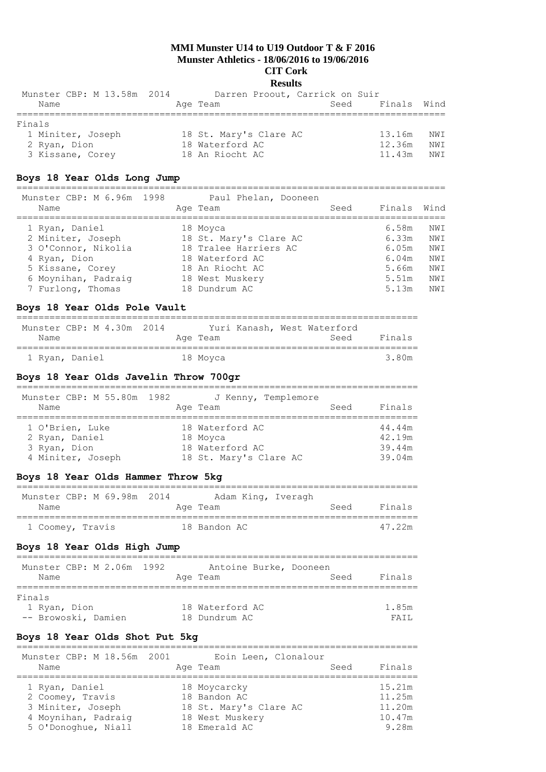| Munster CBP: M 13.58m 2014 | Darren Proout, Carrick on Suir |             |      |
|----------------------------|--------------------------------|-------------|------|
| Name                       | Seed<br>Age Team               | Finals Wind |      |
| Finals                     |                                |             |      |
| 1 Miniter, Joseph          | 18 St. Mary's Clare AC         | 13.16m      | NWI  |
| 2 Ryan, Dion               | 18 Waterford AC                | 12.36m      | NW I |
| 3 Kissane, Corey           | 18 An Riocht AC                | 11.43m      | NW I |

#### **Boys 18 Year Olds Long Jump**

============================================================================== Munster CBP: M 6.96m 1998 Paul Phelan, Dooneen Name **Age Team** Age Team Seed Finals Wind ============================================================================== 1 Ryan, Daniel 18 Moyca 6.58m NWI 2 Miniter, Joseph 18 St. Mary's Clare AC 6.33m NWI 3 O'Connor, Nikolia 18 Tralee Harriers AC 6.05m NWI 4 Ryan, Dion 18 Waterford AC 6.04m NWI 5 Kissane, Corey 18 An Riocht AC 5.66m NWI 6 Moynihan, Padraig 18 West Muskery 5.51m NWI

7 Furlong, Thomas 18 Dundrum AC 5.13m NWI

#### **Boys 18 Year Olds Pole Vault**

| Munster CBP: M 4.30m 2014 |  |  |          |  | Yuri Kanash, West Waterford |        |
|---------------------------|--|--|----------|--|-----------------------------|--------|
| Name                      |  |  | Age Team |  | Seed                        | Finals |
|                           |  |  |          |  |                             |        |
| 1 Ryan, Daniel            |  |  | 18 Moyca |  |                             | 3 80m  |

#### **Boys 18 Year Olds Javelin Throw 700gr**

| Munster CBP: M 55.80m 1982 | J Kenny, Templemore    |        |
|----------------------------|------------------------|--------|
| Name                       | Seed<br>Age Team       | Finals |
| 1 O'Brien, Luke            | 18 Waterford AC        | 44.44m |
| 2 Ryan, Daniel             | 18 Moyca               | 42.19m |
| 3 Ryan, Dion               | 18 Waterford AC        | 39.44m |
| 4 Miniter, Joseph          | 18 St. Mary's Clare AC | 39.04m |

## **Boys 18 Year Olds Hammer Throw 5kg**

#### =========================================================================

| Munster CBP: M 69.98m 2014 |  |  |              | Adam King, Iveragh |      |        |
|----------------------------|--|--|--------------|--------------------|------|--------|
| Name                       |  |  | Age Team     |                    | Seed | Finals |
|                            |  |  |              |                    |      |        |
| 1 Coomey, Travis           |  |  | 18 Bandon AC |                    |      | 47 22m |

#### **Boys 18 Year Olds High Jump**

| Munster CBP: M 2.06m 1992 | Antoine Burke, Dooneen |                |
|---------------------------|------------------------|----------------|
| Name                      | Age Team               | Finals<br>Seed |
| Finals                    |                        |                |
| 1 Ryan, Dion              | 18 Waterford AC        | 1.85m          |
| -- Browoski, Damien       | 18 Dundrum AC          | FATT.          |

#### **Boys 18 Year Olds Shot Put 5kg**

| Munster CBP: M 18.56m 2001<br>Name | Eoin Leen, Clonalour<br>Age Team | Seed | Finals |
|------------------------------------|----------------------------------|------|--------|
| 1 Ryan, Daniel                     | 18 Moycarcky                     |      | 15.21m |
| 2 Coomey, Travis                   | 18 Bandon AC                     |      | 11.25m |
| 3 Miniter, Joseph                  | 18 St. Mary's Clare AC           |      | 11.20m |
| 4 Moynihan, Padraig                | 18 West Muskery                  |      | 10.47m |
| 5 O'Donoghue, Niall                | 18 Emerald AC                    |      | 9.28m  |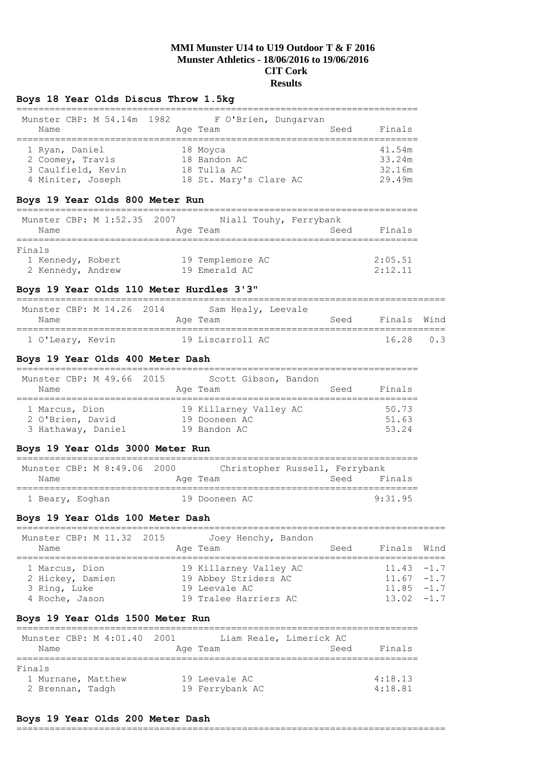## **Boys 18 Year Olds Discus Throw 1.5kg**

| Munster CBP: M 54.14m 1982<br>Name | F O'Brien, Dungarvan<br>Age Team | Finals<br>Seed |  |
|------------------------------------|----------------------------------|----------------|--|
| 1 Ryan, Daniel                     | 18 Moyca                         | 41.54m         |  |
| 2 Coomey, Travis                   | 18 Bandon AC                     | 33.24m         |  |
| 3 Caulfield, Kevin                 | 18 Tulla AC                      | 32.16m         |  |
| 4 Miniter, Joseph                  | 18 St. Mary's Clare AC           | 29.49m         |  |

## **Boys 19 Year Olds 800 Meter Run**

|        |                   | Munster CBP: M 1:52.35 2007 |                  | Niall Touhy, Ferrybank |         |
|--------|-------------------|-----------------------------|------------------|------------------------|---------|
|        | Name              |                             | Age Team         | Seed                   | Finals  |
| Finals |                   |                             |                  |                        |         |
|        | 1 Kennedy, Robert |                             | 19 Templemore AC |                        | 2:05.51 |
|        | 2 Kennedy, Andrew |                             | 19 Emerald AC    |                        | 2:12.11 |

## **Boys 19 Year Olds 110 Meter Hurdles 3'3"**

| Munster CBP: M 14.26 2014 | Sam Healy, Leevale |      |             |  |
|---------------------------|--------------------|------|-------------|--|
| Name                      | Age Team           | Seed | Finals Wind |  |
|                           |                    |      |             |  |
| 1 O'Leary, Kevin          | 19 Liscarroll AC   |      | 1628 03     |  |

## **Boys 19 Year Olds 400 Meter Dash**

| Munster CBP: M 49.66 2015 | Scott Gibson, Bandon   | Finals |
|---------------------------|------------------------|--------|
| Name                      | Age Team               | Seed   |
| 1 Marcus, Dion            | 19 Killarney Valley AC | 50.73  |
| 2 O'Brien, David          | 19 Dooneen AC          | 51.63  |
| 3 Hathaway, Daniel        | 19 Bandon AC           | 53.24  |

## **Boys 19 Year Olds 3000 Meter Run**

| Munster CBP: M 8:49.06 2000 |               | Christopher Russell, Ferrybank |
|-----------------------------|---------------|--------------------------------|
| Name                        | Age Team      | Finals<br>Seed                 |
| 1 Beary, Eoghan             | 19 Dooneen AC | 9.3195                         |

## **Boys 19 Year Olds 100 Meter Dash**

| Munster CBP: M 11.32 2015<br>Name                                    | Joey Henchy, Bandon<br>Age Team                                                          | Seed | Finals Wind                                                    |  |
|----------------------------------------------------------------------|------------------------------------------------------------------------------------------|------|----------------------------------------------------------------|--|
| 1 Marcus, Dion<br>2 Hickey, Damien<br>3 Ring, Luke<br>4 Roche, Jason | 19 Killarney Valley AC<br>19 Abbey Striders AC<br>19 Leevale AC<br>19 Tralee Harriers AC |      | $11.43 - 1.7$<br>$11.67 - 1.7$<br>$11.85 - 1.7$<br>$1302 - 17$ |  |

## **Boys 19 Year Olds 1500 Meter Run**

|                    | Munster CBP: M 4:01.40 2001 |                 | Liam Reale, Limerick AC |         |
|--------------------|-----------------------------|-----------------|-------------------------|---------|
| Name               |                             | Age Team        | Seed                    | Finals  |
| Finals             |                             |                 |                         |         |
| 1 Murnane, Matthew |                             | 19 Leevale AC   |                         | 4:18.13 |
| 2 Brennan, Tadgh   |                             | 19 Ferrybank AC |                         | 4:18.81 |

## **Boys 19 Year Olds 200 Meter Dash**

#### ==============================================================================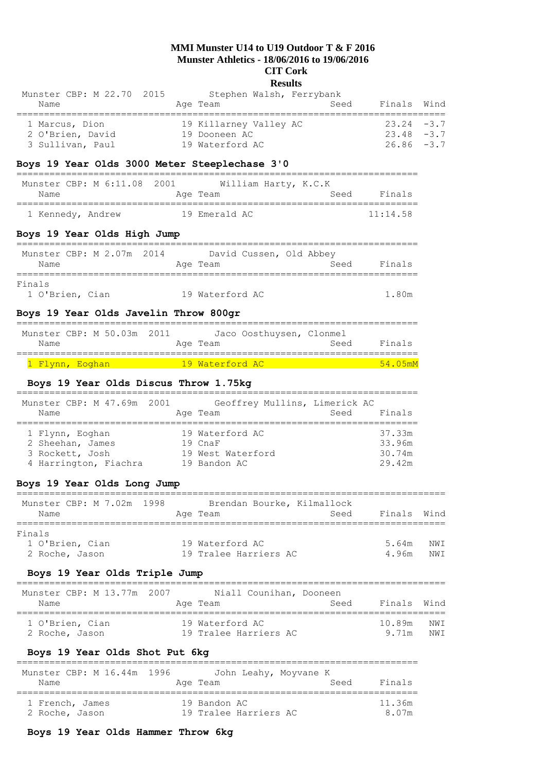#### **Results**

| Munster CBP: M 22.70 2015 | Stephen Walsh, Ferrybank |               |  |
|---------------------------|--------------------------|---------------|--|
| Name                      | Seed<br>Age Team         | Finals Wind   |  |
| 1 Marcus, Dion            | 19 Killarney Valley AC   | $23.24 - 3.7$ |  |
| 2 O'Brien, David          | 19 Dooneen AC            | $23.48 - 3.7$ |  |
| 3 Sullivan, Paul          | 19 Waterford AC          | $26.86 - 3.7$ |  |

## **Boys 19 Year Olds 3000 Meter Steeplechase 3'0**

| Munster CBP: M 6:11.08 2001 |  | William Harty, K.C.K |      |          |
|-----------------------------|--|----------------------|------|----------|
| Name                        |  | Age Team             | Seed | Finals   |
|                             |  |                      |      |          |
| 1 Kennedy, Andrew           |  | 19 Emerald AC        |      | 11:14.58 |

## **Boys 19 Year Olds High Jump**

| Munster CBP: M 2.07m 2014 |  | David Cussen, Old Abbey |  |      |        |
|---------------------------|--|-------------------------|--|------|--------|
| Name                      |  | Age Team                |  | Seed | Finals |
| Finals                    |  |                         |  |      |        |
| 1 O'Brien, Cian           |  | 19 Waterford AC         |  |      | 1.80m  |

# **Boys 19 Year Olds Javelin Throw 800gr**

| Munster CBP: M 50.03m 2011<br>Name |  |  |  | Age Team                 | Jaco Oosthuysen, Clonmel | Seed | Finals |                    |
|------------------------------------|--|--|--|--------------------------|--------------------------|------|--------|--------------------|
|                                    |  |  |  |                          |                          |      |        |                    |
| <mark>1 Flynn, Eoghan</mark>       |  |  |  | <u> 19 Waterford AC </u> |                          |      |        | $54.05 \text{m}$ M |

## **Boys 19 Year Olds Discus Throw 1.75kg**

| Munster CBP: M 47.69m 2001 | Geoffrey Mullins, Limerick AC | Finals |
|----------------------------|-------------------------------|--------|
| Name                       | Age Team                      | Seed   |
| 1 Flynn, Eoghan            | 19 Waterford AC               | 37.33m |
| 2 Sheehan, James           | 19 CnaF                       | 33.96m |
| 3 Rockett, Josh            | 19 West Waterford             | 30.74m |
| 4 Harrington, Fiachra      | 19 Bandon AC                  | 29.42m |

## **Boys 19 Year Olds Long Jump**

| Munster CBP: M 7.02m 1998<br>Name | Brendan Bourke, Kilmallock<br>Age Team | Seed | Finals Wind |      |
|-----------------------------------|----------------------------------------|------|-------------|------|
| Finals                            |                                        |      |             |      |
| 1 O'Brien, Cian                   | 19 Waterford AC                        |      | 5.64m       | NW T |
| 2 Roche, Jason                    | 19 Tralee Harriers AC                  |      | 4 96m       | NW T |

## **Boys 19 Year Olds Triple Jump**

| Munster CBP: M 13.77m 2007<br>Name | Niall Counihan, Dooneen<br>Age Team | Seed | Finals Wind |      |
|------------------------------------|-------------------------------------|------|-------------|------|
| 1 O'Brien, Cian                    | 19 Waterford AC                     |      | 10.89m      | NW T |
| 2 Roche, Jason                     | 19 Tralee Harriers AC               |      | 9 71 m      | NW T |

# **Boys 19 Year Olds Shot Put 6kg**

| Munster CBP: M 16.44m 1996<br>Name | John Leahy, Moyvane K<br>Seed<br>Age Team | Finals |
|------------------------------------|-------------------------------------------|--------|
| 1 French, James                    | 19 Bandon AC                              | 11.36m |
| 2 Roche, Jason                     | 19 Tralee Harriers AC                     | 8.07m  |

## **Boys 19 Year Olds Hammer Throw 6kg**